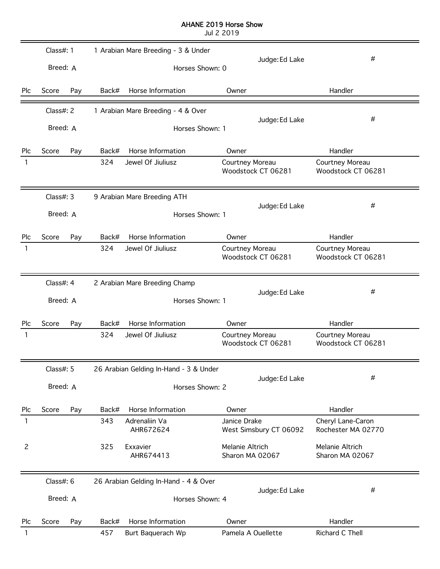## AHANE 2019 Horse Show

Jul 2 2019

|                | Class#: $1$           |     |       | 1 Arabian Mare Breeding - 3 & Under                      |                                        |                                         |
|----------------|-----------------------|-----|-------|----------------------------------------------------------|----------------------------------------|-----------------------------------------|
|                | Breed: A              |     |       | Horses Shown: 0                                          | Judge: Ed Lake                         | #                                       |
| Plc            | Score                 | Pay | Back# | Horse Information                                        | Owner                                  | Handler                                 |
|                | Class#: 2             |     |       | 1 Arabian Mare Breeding - 4 & Over                       | Judge: Ed Lake                         | #                                       |
|                | Breed: A              |     |       | Horses Shown: 1                                          |                                        |                                         |
| Plc            | Score                 | Pay | Back# | Horse Information                                        | Owner                                  | Handler                                 |
| 1              |                       |     | 324   | Jewel Of Jiuliusz                                        | Courtney Moreau<br>Woodstock CT 06281  | Courtney Moreau<br>Woodstock CT 06281   |
|                | Class#: 3             |     |       | 9 Arabian Mare Breeding ATH                              |                                        |                                         |
|                | Breed: A              |     |       | Horses Shown: 1                                          | Judge: Ed Lake                         | #                                       |
| Plc            | Score                 | Pay | Back# | Horse Information                                        | Owner                                  | Handler                                 |
| 1              |                       |     | 324   | Jewel Of Jiuliusz                                        | Courtney Moreau<br>Woodstock CT 06281  | Courtney Moreau<br>Woodstock CT 06281   |
|                | Class#: 4             |     |       | 2 Arabian Mare Breeding Champ                            |                                        |                                         |
|                | Breed: A              |     |       | Horses Shown: 1                                          | Judge: Ed Lake                         | #                                       |
| Plc            | Score                 | Pay | Back# | Horse Information                                        | Owner                                  | Handler                                 |
| 1              |                       |     | 324   | Jewel Of Jiuliusz                                        | Courtney Moreau<br>Woodstock CT 06281  | Courtney Moreau<br>Woodstock CT 06281   |
|                | Class#: 5             |     |       | 26 Arabian Gelding In-Hand - 3 & Under                   |                                        |                                         |
|                | Breed: A              |     |       | Horses Shown: 2                                          | Judge: Ed Lake                         | $\#$                                    |
| Plc            | Score                 | Pay | Back# | Horse Information                                        | Owner                                  | Handler                                 |
| 1              |                       |     | 343   | Adrenaliin Va<br>AHR672624                               | Janice Drake<br>West Simsbury CT 06092 | Cheryl Lane-Caron<br>Rochester MA 02770 |
| $\overline{c}$ |                       |     | 325   | Exxavier<br>AHR674413                                    | Melanie Altrich<br>Sharon MA 02067     | Melanie Altrich<br>Sharon MA 02067      |
|                | Class#: 6<br>Breed: A |     |       | 26 Arabian Gelding In-Hand - 4 & Over<br>Horses Shown: 4 | Judge: Ed Lake                         | #                                       |
| Plc            | Score                 | Pay | Back# | Horse Information                                        | Owner                                  | Handler                                 |
|                |                       |     | 457   | Burt Baquerach Wp                                        | Pamela A Ouellette                     | Richard C Thell                         |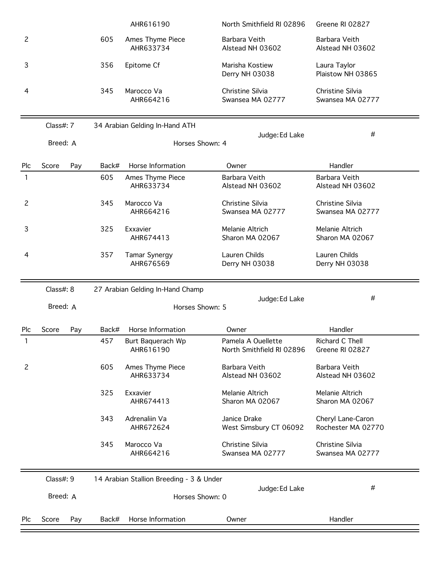|                |              |       | AHR616190                                | North Smithfield RI 02896                       | Greene RI 02827                         |
|----------------|--------------|-------|------------------------------------------|-------------------------------------------------|-----------------------------------------|
| $\overline{c}$ |              | 605   | Ames Thyme Piece<br>AHR633734            | Barbara Veith<br>Alstead NH 03602               | Barbara Veith<br>Alstead NH 03602       |
| 3              |              | 356   | Epitome Cf                               | Marisha Kostiew<br>Derry NH 03038               | Laura Taylor<br>Plaistow NH 03865       |
| 4              |              | 345   | Marocco Va<br>AHR664216                  | Christine Silvia<br>Swansea MA 02777            | Christine Silvia<br>Swansea MA 02777    |
|                | Class#: 7    |       | 34 Arabian Gelding In-Hand ATH           |                                                 |                                         |
|                | Breed: A     |       | Horses Shown: 4                          | Judge: Ed Lake                                  | #                                       |
| Plc            | Score<br>Pay | Back# | Horse Information                        | Owner                                           | Handler                                 |
| 1              |              | 605   | Ames Thyme Piece<br>AHR633734            | Barbara Veith<br>Alstead NH 03602               | Barbara Veith<br>Alstead NH 03602       |
| $\overline{c}$ |              | 345   | Marocco Va<br>AHR664216                  | Christine Silvia<br>Swansea MA 02777            | Christine Silvia<br>Swansea MA 02777    |
| 3              |              | 325   | Exxavier<br>AHR674413                    | Melanie Altrich<br>Sharon MA 02067              | Melanie Altrich<br>Sharon MA 02067      |
| 4              |              | 357   | <b>Tamar Synergy</b><br>AHR676569        | Lauren Childs<br>Derry NH 03038                 | Lauren Childs<br>Derry NH 03038         |
|                |              |       |                                          |                                                 |                                         |
|                | Class#: 8    |       | 27 Arabian Gelding In-Hand Champ         |                                                 |                                         |
|                | Breed: A     |       | Horses Shown: 5                          | Judge: Ed Lake                                  | #                                       |
| Plc            | Score<br>Pay | Back# | Horse Information                        | Owner                                           | Handler                                 |
|                |              | 457   | Burt Baquerach Wp<br>AHR616190           | Pamela A Ouellette<br>North Smithfield RI 02896 | Richard C Thell<br>Greene RI 02827      |
| $\overline{c}$ |              | 605   | Ames Thyme Piece<br>AHR633734            | Barbara Veith<br>Alstead NH 03602               | Barbara Veith<br>Alstead NH 03602       |
|                |              | 325   | Exxavier<br>AHR674413                    | Melanie Altrich<br>Sharon MA 02067              | Melanie Altrich<br>Sharon MA 02067      |
|                |              | 343   | Adrenaliin Va<br>AHR672624               | Janice Drake<br>West Simsbury CT 06092          | Cheryl Lane-Caron<br>Rochester MA 02770 |
|                |              | 345   | Marocco Va<br>AHR664216                  | Christine Silvia<br>Swansea MA 02777            | Christine Silvia<br>Swansea MA 02777    |
|                | Class#: 9    |       | 14 Arabian Stallion Breeding - 3 & Under |                                                 |                                         |
|                | Breed: A     |       | Horses Shown: 0                          | Judge: Ed Lake                                  | #                                       |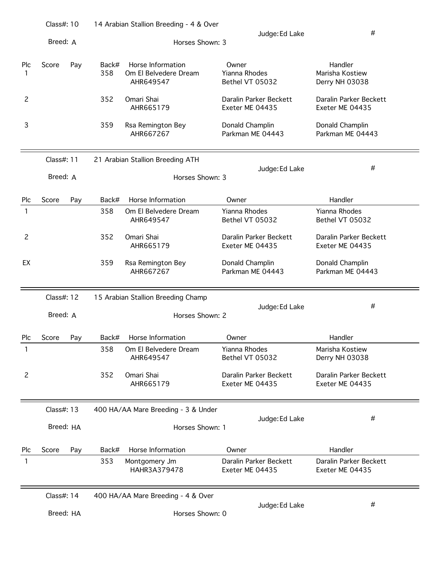|                | Class#: 10 |     |              | 14 Arabian Stallion Breeding - 4 & Over                 |                                           |                                              |  |  |  |  |
|----------------|------------|-----|--------------|---------------------------------------------------------|-------------------------------------------|----------------------------------------------|--|--|--|--|
|                | Breed: A   |     |              | Horses Shown: 3                                         | Judge: Ed Lake                            | #                                            |  |  |  |  |
| Plc<br>1       | Score      | Pay | Back#<br>358 | Horse Information<br>Om El Belvedere Dream<br>AHR649547 | Owner<br>Yianna Rhodes<br>Bethel VT 05032 | Handler<br>Marisha Kostiew<br>Derry NH 03038 |  |  |  |  |
| 2              |            |     | 352          | Omari Shai<br>AHR665179                                 | Daralin Parker Beckett<br>Exeter ME 04435 | Daralin Parker Beckett<br>Exeter ME 04435    |  |  |  |  |
| 3              |            |     | 359          | Rsa Remington Bey<br>AHR667267                          | Donald Champlin<br>Parkman ME 04443       | Donald Champlin<br>Parkman ME 04443          |  |  |  |  |
|                | Class#: 11 |     |              | 21 Arabian Stallion Breeding ATH                        |                                           | #                                            |  |  |  |  |
|                | Breed: A   |     |              | Horses Shown: 3                                         | Judge: Ed Lake                            |                                              |  |  |  |  |
| Plc            | Score      | Pay | Back#        | Horse Information                                       | Owner                                     | Handler                                      |  |  |  |  |
| 1              |            |     | 358          | Om El Belvedere Dream<br>AHR649547                      | <b>Yianna Rhodes</b><br>Bethel VT 05032   | <b>Yianna Rhodes</b><br>Bethel VT 05032      |  |  |  |  |
| $\overline{c}$ |            |     | 352          | Omari Shai<br>AHR665179                                 | Daralin Parker Beckett<br>Exeter ME 04435 | Daralin Parker Beckett<br>Exeter ME 04435    |  |  |  |  |
| EX             |            |     | 359          | Rsa Remington Bey<br>AHR667267                          | Donald Champlin<br>Parkman ME 04443       | Donald Champlin<br>Parkman ME 04443          |  |  |  |  |
|                | Class#: 12 |     |              | 15 Arabian Stallion Breeding Champ                      |                                           |                                              |  |  |  |  |
|                | Breed: A   |     |              | Horses Shown: 2                                         | Judge: Ed Lake                            | #                                            |  |  |  |  |
| Plc            | Score      | Pay | Back#        | Horse Information                                       | Owner                                     | Handler                                      |  |  |  |  |
| 1              |            |     | 358          | Om El Belvedere Dream<br>AHR649547                      | Yianna Rhodes<br>Bethel VT 05032          | Marisha Kostiew<br>Derry NH 03038            |  |  |  |  |
| 2              |            |     | 352          | Omari Shai<br>AHR665179                                 | Daralin Parker Beckett<br>Exeter ME 04435 | Daralin Parker Beckett<br>Exeter ME 04435    |  |  |  |  |
|                | Class#: 13 |     |              | 400 HA/AA Mare Breeding - 3 & Under                     |                                           | #                                            |  |  |  |  |
|                | Breed: HA  |     |              | Horses Shown: 1                                         | Judge: Ed Lake                            |                                              |  |  |  |  |
| Plc            | Score      | Pay | Back#        | Horse Information                                       | Owner                                     | Handler                                      |  |  |  |  |
| 1              |            |     | 353          | Montgomery Jm<br>HAHR3A379478                           | Daralin Parker Beckett<br>Exeter ME 04435 | Daralin Parker Beckett<br>Exeter ME 04435    |  |  |  |  |
|                | Class#: 14 |     |              | 400 HA/AA Mare Breeding - 4 & Over                      |                                           | #                                            |  |  |  |  |
|                | Breed: HA  |     |              | Horses Shown: 0                                         | Judge: Ed Lake                            |                                              |  |  |  |  |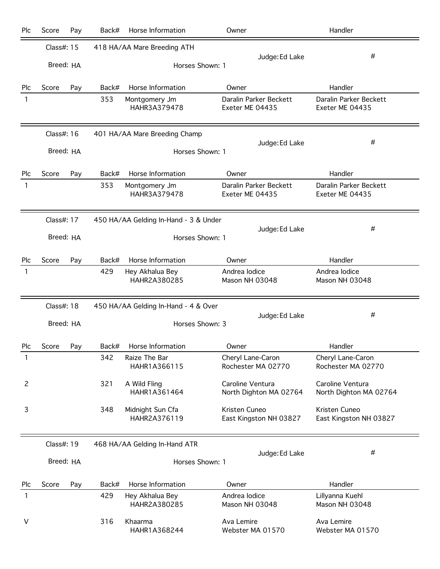| Plc          | Score      | Pay        | Back#                                 | Horse Information                    | Owner                                      | Handler                                    |
|--------------|------------|------------|---------------------------------------|--------------------------------------|--------------------------------------------|--------------------------------------------|
|              |            | Class#: 15 |                                       | 418 HA/AA Mare Breeding ATH          |                                            |                                            |
|              |            | Breed: HA  |                                       | Horses Shown: 1                      | Judge: Ed Lake                             | #                                          |
| Plc          | Score      | Pay        | Back#                                 | Horse Information                    | Owner                                      | Handler                                    |
| 1            |            |            | 353                                   | Montgomery Jm<br>HAHR3A379478        | Daralin Parker Beckett<br>Exeter ME 04435  | Daralin Parker Beckett<br>Exeter ME 04435  |
|              | Class#: 16 |            | 401 HA/AA Mare Breeding Champ         |                                      |                                            |                                            |
|              |            | Breed: HA  |                                       | Horses Shown: 1                      | Judge: Ed Lake                             | #                                          |
| Plc          | Score      | Pay        | Back#                                 | Horse Information                    | Owner                                      | Handler                                    |
| $\mathbf{1}$ |            |            | 353                                   | Montgomery Jm<br>HAHR3A379478        | Daralin Parker Beckett<br>Exeter ME 04435  | Daralin Parker Beckett<br>Exeter ME 04435  |
|              | Class#: 17 |            | 450 HA/AA Gelding In-Hand - 3 & Under |                                      |                                            |                                            |
|              |            | Breed: HA  |                                       | Horses Shown: 1                      | Judge: Ed Lake                             | #                                          |
| Plc          | Score      | Pay        | Back#                                 | Horse Information                    | Owner                                      | Handler                                    |
| 1            |            |            | 429                                   | Hey Akhalua Bey<br>HAHR2A380285      | Andrea lodice<br>Mason NH 03048            | Andrea Iodice<br>Mason NH 03048            |
|              | Class#: 18 |            |                                       | 450 HA/AA Gelding In-Hand - 4 & Over |                                            |                                            |
|              |            | Breed: HA  |                                       | Horses Shown: 3                      | Judge: Ed Lake                             | #                                          |
| Plc          | Score      | Pay        | Back#                                 | Horse Information                    | Owner                                      | Handler                                    |
| 1            |            |            | 342                                   | Raize The Bar<br>HAHR1A366115        | Cheryl Lane-Caron<br>Rochester MA 02770    | Cheryl Lane-Caron<br>Rochester MA 02770    |
| 2            |            |            | 321                                   | A Wild Fling<br>HAHR1A361464         | Caroline Ventura<br>North Dighton MA 02764 | Caroline Ventura<br>North Dighton MA 02764 |
| 3            |            |            | 348                                   | Midnight Sun Cfa<br>HAHR2A376119     | Kristen Cuneo<br>East Kingston NH 03827    | Kristen Cuneo<br>East Kingston NH 03827    |
|              | Class#: 19 |            |                                       | 468 HA/AA Gelding In-Hand ATR        |                                            |                                            |
|              |            | Breed: HA  |                                       | Horses Shown: 1                      | Judge: Ed Lake                             | #                                          |
| Plc          | Score      | Pay        | Back#                                 | Horse Information                    | Owner                                      | Handler                                    |
| 1            |            |            | 429                                   | Hey Akhalua Bey<br>HAHR2A380285      | Andrea lodice<br>Mason NH 03048            | Lillyanna Kuehl<br>Mason NH 03048          |
| V            |            |            | 316                                   | Khaarma<br>HAHR1A368244              | Ava Lemire<br>Webster MA 01570             | Ava Lemire<br>Webster MA 01570             |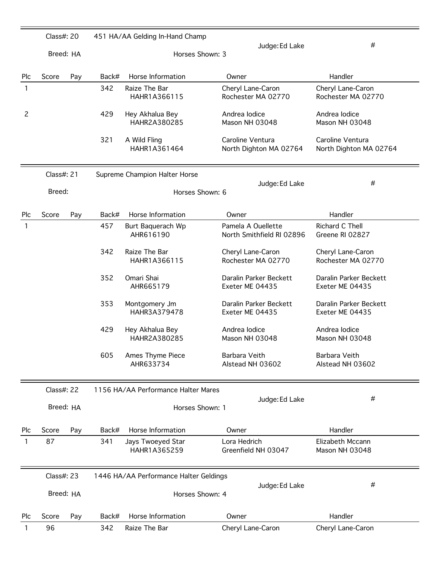|                | Class#: 20 |           |                 | 451 HA/AA Gelding In-Hand Champ     |                                                 |                                            |
|----------------|------------|-----------|-----------------|-------------------------------------|-------------------------------------------------|--------------------------------------------|
|                |            | Breed: HA |                 | Horses Shown: 3                     | Judge: Ed Lake                                  | #                                          |
| Plc            | Score      | Pay       | Back#           | Horse Information                   | Owner                                           | Handler                                    |
| 1              |            |           | 342             | Raize The Bar<br>HAHR1A366115       | Cheryl Lane-Caron<br>Rochester MA 02770         | Cheryl Lane-Caron<br>Rochester MA 02770    |
| $\overline{c}$ |            |           | 429             | Hey Akhalua Bey<br>HAHR2A380285     | Andrea lodice<br>Mason NH 03048                 | Andrea lodice<br>Mason NH 03048            |
|                |            |           | 321             | A Wild Fling<br>HAHR1A361464        | Caroline Ventura<br>North Dighton MA 02764      | Caroline Ventura<br>North Dighton MA 02764 |
|                | Class#: 21 |           |                 | Supreme Champion Halter Horse       | Judge: Ed Lake                                  | #                                          |
|                | Breed:     |           |                 | Horses Shown: 6                     |                                                 |                                            |
| Plc            | Score      | Pay       | Back#           | Horse Information                   | Owner                                           | Handler                                    |
| 1              |            |           | 457             | Burt Baquerach Wp<br>AHR616190      | Pamela A Ouellette<br>North Smithfield RI 02896 | Richard C Thell<br>Greene RI 02827         |
|                |            |           | 342             | Raize The Bar<br>HAHR1A366115       | Cheryl Lane-Caron<br>Rochester MA 02770         | Cheryl Lane-Caron<br>Rochester MA 02770    |
|                |            |           | 352             | Omari Shai<br>AHR665179             | Daralin Parker Beckett<br>Exeter ME 04435       | Daralin Parker Beckett<br>Exeter ME 04435  |
|                |            |           | 353             | Montgomery Jm<br>HAHR3A379478       | Daralin Parker Beckett<br>Exeter ME 04435       | Daralin Parker Beckett<br>Exeter ME 04435  |
|                |            |           | 429             | Hey Akhalua Bey<br>HAHR2A380285     | Andrea Iodice<br>Mason NH 03048                 | Andrea Iodice<br>Mason NH 03048            |
|                |            |           | 605             | Ames Thyme Piece<br>AHR633734       | Barbara Veith<br>Alstead NH 03602               | Barbara Veith<br>Alstead NH 03602          |
|                | Class#: 22 |           |                 | 1156 HA/AA Performance Halter Mares |                                                 |                                            |
|                | Breed: HA  |           |                 | Horses Shown: 1                     | Judge: Ed Lake                                  | #                                          |
| <b>Plc</b>     | Score      | Pay       | Back#           | Horse Information                   | Owner                                           | Handler                                    |
| 1              | 87         |           | 341             | Jays Twoeyed Star<br>HAHR1A365259   | Lora Hedrich<br>Greenfield NH 03047             | Elizabeth Mccann<br>Mason NH 03048         |
|                | Class#: 23 |           |                 |                                     | 1446 HA/AA Performance Halter Geldings          |                                            |
|                | Breed: HA  |           | Horses Shown: 4 |                                     | Judge: Ed Lake                                  | #                                          |
| <b>Plc</b>     | Score      | Pay       | Back#           | Horse Information                   | Owner                                           | Handler                                    |
| 1              | 96         |           | 342             | Raize The Bar                       | Cheryl Lane-Caron                               | Cheryl Lane-Caron                          |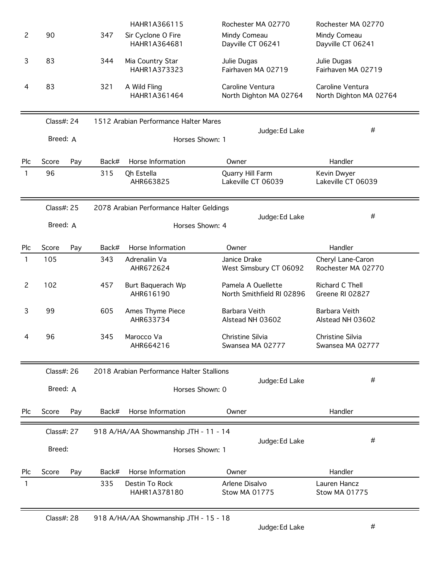|                |            |     |                                   | HAHR1A366115                              | Rochester MA 02770                              | Rochester MA 02770                         |
|----------------|------------|-----|-----------------------------------|-------------------------------------------|-------------------------------------------------|--------------------------------------------|
| 2              | 90         |     | 347                               | Sir Cyclone O Fire<br>HAHR1A364681        | Mindy Comeau<br>Dayville CT 06241               | Mindy Comeau<br>Dayville CT 06241          |
| 3              | 83         |     | 344                               | Mia Country Star<br>HAHR1A373323          | Julie Dugas<br>Fairhaven MA 02719               | Julie Dugas<br>Fairhaven MA 02719          |
| 4              | 83         |     | 321                               | A Wild Fling<br>HAHR1A361464              | Caroline Ventura<br>North Dighton MA 02764      | Caroline Ventura<br>North Dighton MA 02764 |
|                | Class#: 24 |     |                                   | 1512 Arabian Performance Halter Mares     | Judge: Ed Lake                                  | #                                          |
|                | Breed: A   |     |                                   |                                           | Horses Shown: 1                                 |                                            |
| Plc            | Score      | Pay | Back#                             | Horse Information                         | Owner                                           | Handler                                    |
| 1              | 96         |     | 315                               | Qh Estella<br>AHR663825                   | Quarry Hill Farm<br>Lakeville CT 06039          | Kevin Dwyer<br>Lakeville CT 06039          |
|                | Class#: 25 |     |                                   | 2078 Arabian Performance Halter Geldings  |                                                 |                                            |
|                | Breed: A   |     | Judge: Ed Lake<br>Horses Shown: 4 |                                           | #                                               |                                            |
| Plc            | Score      | Pay | Back#                             | Horse Information                         | Owner                                           | Handler                                    |
| 1              | 105        |     | 343                               | Adrenaliin Va<br>AHR672624                | Janice Drake<br>West Simsbury CT 06092          | Cheryl Lane-Caron<br>Rochester MA 02770    |
| $\overline{c}$ | 102        |     | 457                               | Burt Baquerach Wp<br>AHR616190            | Pamela A Ouellette<br>North Smithfield RI 02896 | Richard C Thell<br>Greene RI 02827         |
| 3              | 99         |     | 605                               | Ames Thyme Piece<br>AHR633734             | Barbara Veith<br>Alstead NH 03602               | Barbara Veith<br>Alstead NH 03602          |
| 4              | 96         |     | 345                               | Marocco Va<br>AHR664216                   | Christine Silvia<br>Swansea MA 02777            | Christine Silvia<br>Swansea MA 02777       |
|                | Class#: 26 |     |                                   | 2018 Arabian Performance Halter Stallions |                                                 |                                            |
|                | Breed: A   |     |                                   |                                           | Judge: Ed Lake<br>Horses Shown: 0               | #                                          |
| Plc            | Score      | Pay | Back#                             | Horse Information                         | Owner                                           | Handler                                    |
|                | Class#: 27 |     |                                   | 918 A/HA/AA Showmanship JTH - 11 - 14     |                                                 |                                            |
|                | Breed:     |     |                                   |                                           | Judge: Ed Lake<br>Horses Shown: 1               | #                                          |
| Plc            | Score      | Pay | Back#                             | Horse Information                         | Owner                                           | Handler                                    |
| 1              |            |     | 335                               | Destin To Rock<br>HAHR1A378180            | Arlene Disalvo<br><b>Stow MA 01775</b>          | Lauren Hancz<br>Stow MA 01775              |
|                |            |     |                                   |                                           |                                                 |                                            |

Class#: 28 918 A/HA/AA Showmanship JTH - 15 - 18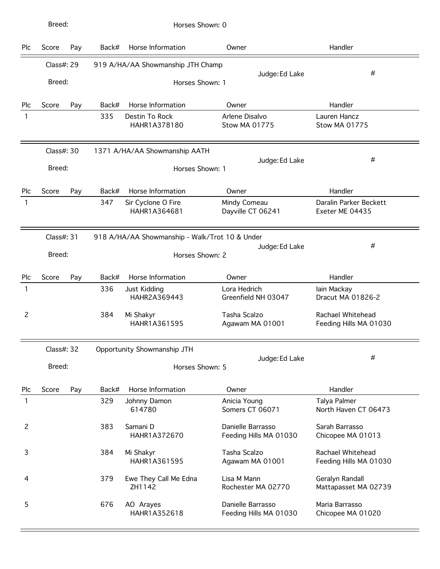| Plc            | Score      | Pay | Back#                             | Horse Information                  | Owner                                       | Handler                                     |
|----------------|------------|-----|-----------------------------------|------------------------------------|---------------------------------------------|---------------------------------------------|
|                | Class#: 29 |     |                                   | 919 A/HA/AA Showmanship JTH Champ  |                                             |                                             |
|                | Breed:     |     |                                   | Horses Shown: 1                    | Judge: Ed Lake                              | #                                           |
|                |            |     |                                   |                                    |                                             |                                             |
| Plc            | Score      | Pay | Back#                             | Horse Information                  | Owner                                       | Handler                                     |
| 1              |            |     | 335                               | Destin To Rock<br>HAHR1A378180     | Arlene Disalvo<br><b>Stow MA 01775</b>      | Lauren Hancz<br><b>Stow MA 01775</b>        |
|                | Class#: 30 |     |                                   | 1371 A/HA/AA Showmanship AATH      |                                             |                                             |
|                | Breed:     |     | Horses Shown: 1                   |                                    | Judge: Ed Lake                              | #                                           |
| Plc            | Score      | Pay | Back#                             | Horse Information                  | Owner                                       | Handler                                     |
| 1              |            |     | 347                               | Sir Cyclone O Fire<br>HAHR1A364681 | Mindy Comeau<br>Dayville CT 06241           | Daralin Parker Beckett<br>Exeter ME 04435   |
|                | Class#: 31 |     |                                   |                                    |                                             |                                             |
|                | Breed:     |     | Judge: Ed Lake<br>Horses Shown: 2 |                                    |                                             | #                                           |
| Plc            | Score      | Pay | Back#                             | Horse Information                  | Owner                                       | Handler                                     |
| 1              |            |     | 336                               | Just Kidding<br>HAHR2A369443       | Lora Hedrich<br>Greenfield NH 03047         | lain Mackay<br>Dracut MA 01826-2            |
| $\overline{c}$ |            |     | 384                               | Mi Shakyr<br>HAHR1A361595          | Tasha Scalzo<br>Agawam MA 01001             | Rachael Whitehead<br>Feeding Hills MA 01030 |
|                | Class#: 32 |     |                                   | Opportunity Showmanship JTH        |                                             |                                             |
|                | Breed:     |     | Horses Shown: 5                   |                                    | Judge: Ed Lake                              | #                                           |
| Plc            | Score      | Pay | Back#                             | Horse Information                  | Owner                                       | Handler                                     |
| 1              |            |     | 329                               | Johnny Damon<br>614780             | Anicia Young<br>Somers CT 06071             | Talya Palmer<br>North Haven CT 06473        |
| 2              |            |     | 383                               | Samani D<br>HAHR1A372670           | Danielle Barrasso<br>Feeding Hills MA 01030 | Sarah Barrasso<br>Chicopee MA 01013         |
| 3              |            |     | 384                               | Mi Shakyr<br>HAHR1A361595          | Tasha Scalzo<br>Agawam MA 01001             | Rachael Whitehead<br>Feeding Hills MA 01030 |
| 4              |            |     | 379                               | Ewe They Call Me Edna<br>ZH1142    | Lisa M Mann<br>Rochester MA 02770           | Geralyn Randall<br>Mattapasset MA 02739     |
| 5              |            |     | 676                               | AO Arayes<br>HAHR1A352618          | Danielle Barrasso<br>Feeding Hills MA 01030 | Maria Barrasso<br>Chicopee MA 01020         |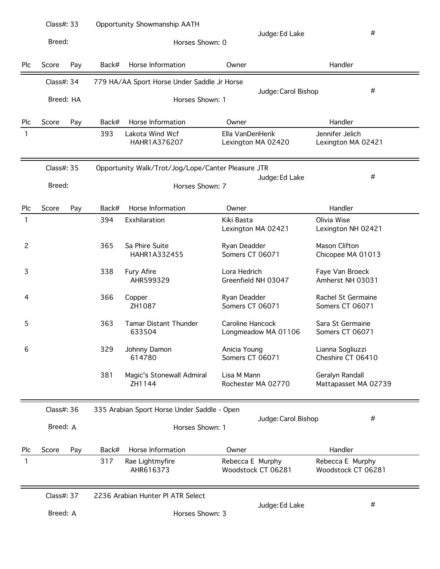|                | Class#: 33 |     |                                                    | Opportunity Showmanship AATH                |                                 |                     |                                         |
|----------------|------------|-----|----------------------------------------------------|---------------------------------------------|---------------------------------|---------------------|-----------------------------------------|
|                | Breed:     |     |                                                    | Horses Shown: 0                             |                                 | Judge: Ed Lake      | $\#$                                    |
| Plc            | Score      | Pay | Back#                                              | Horse Information                           | Owner                           |                     | Handler                                 |
|                | Class#: 34 |     |                                                    | 779 HA/AA Sport Horse Under Saddle Jr Horse |                                 |                     | #                                       |
|                | Breed: HA  |     |                                                    | Horses Shown: 1                             |                                 | Judge: Carol Bishop |                                         |
| Plc            | Score      | Pay | Back#                                              | Horse Information                           | Owner                           |                     | Handler                                 |
| 1              |            |     | 393                                                | Lakota Wind Wcf<br>HAHR1A376207             | Ella VanDenHerik                | Lexington MA 02420  | Jennifer Jelich<br>Lexington MA 02421   |
|                | Class#: 35 |     | Opportunity Walk/Trot/Jog/Lope/Canter Pleasure JTR |                                             |                                 |                     |                                         |
|                | Breed:     |     | Horses Shown: 7                                    |                                             |                                 | Judge: Ed Lake      | #                                       |
| Plc            | Score      | Pay | Back#                                              | Horse Information                           | Owner                           |                     | Handler                                 |
| 1              |            |     | 394                                                | Exxhilaration                               | Kiki Basta                      | Lexington MA 02421  | Olivia Wise<br>Lexington NH 02421       |
| $\overline{c}$ |            |     | 365                                                | Sa Phire Suite<br>HAHR1A332455              | Ryan Deadder<br>Somers CT 06071 |                     | Mason Clifton<br>Chicopee MA 01013      |
| 3              |            |     | 338                                                | Fury Afire<br>AHR599329                     | Lora Hedrich                    | Greenfield NH 03047 | Faye Van Broeck<br>Amherst NH 03031     |
| 4              |            |     | 366                                                | Copper<br>ZH1087                            | Ryan Deadder<br>Somers CT 06071 |                     | Rachel St Germaine<br>Somers CT 06071   |
| 5              |            |     | 363                                                | <b>Tamar Distant Thunder</b><br>633504      | Caroline Hancock                | Longmeadow MA 01106 | Sara St Germaine<br>Somers CT 06071     |
| 6              |            |     | 329                                                | Johnny Damon<br>614780                      | Anicia Young<br>Somers CT 06071 |                     | Lianna Sogliuzzi<br>Cheshire CT 06410   |
|                |            |     | 381                                                | Magic's Stonewall Admiral<br>ZH1144         | Lisa M Mann                     | Rochester MA 02770  | Geralyn Randall<br>Mattapasset MA 02739 |
|                | Class#: 36 |     |                                                    | 335 Arabian Sport Horse Under Saddle - Open |                                 |                     | #                                       |
|                | Breed: A   |     |                                                    | Horses Shown: 1                             |                                 | Judge: Carol Bishop |                                         |
| Plc            | Score      | Pay | Back#                                              | Horse Information                           | Owner                           |                     | Handler                                 |
|                |            |     | 317                                                | Rae Lightmyfire<br>AHR616373                | Rebecca E Murphy                | Woodstock CT 06281  | Rebecca E Murphy<br>Woodstock CT 06281  |
|                | Class#: 37 |     |                                                    | 2236 Arabian Hunter PI ATR Select           |                                 |                     |                                         |
|                | Breed: A   |     |                                                    | Horses Shown: 3                             |                                 | Judge: Ed Lake      | #                                       |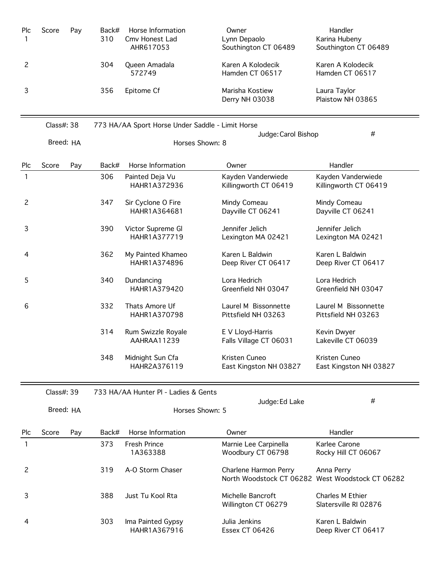| <b>Plc</b> | Score | Pay | Back#<br>310 | Horse Information<br>Cmy Honest Lad | Owner<br>Lynn Depaolo                | Handler<br>Karina Hubeny             |
|------------|-------|-----|--------------|-------------------------------------|--------------------------------------|--------------------------------------|
|            |       |     |              | AHR617053                           | Southington CT 06489                 | Southington CT 06489                 |
|            |       |     | 304          | Queen Amadala<br>572749             | Karen A Kolodecik<br>Hamden CT 06517 | Karen A Kolodecik<br>Hamden CT 06517 |
|            |       |     | 356          | Epitome Cf                          | Marisha Kostiew<br>Derry NH 03038    | Laura Taylor<br>Plaistow NH 03865    |

|            | Class#: 38 |     | 773 HA/AA Sport Horse Under Saddle - Limit Horse |                                    |                                             | #                                           |  |
|------------|------------|-----|--------------------------------------------------|------------------------------------|---------------------------------------------|---------------------------------------------|--|
|            | Breed: HA  |     | Judge: Carol Bishop<br>Horses Shown: 8           |                                    |                                             |                                             |  |
| <b>Plc</b> | Score      | Pay | Back#                                            | Horse Information                  | Owner                                       | Handler                                     |  |
| 1          |            |     | 306                                              | Painted Deja Vu<br>HAHR1A372936    | Kayden Vanderwiede<br>Killingworth CT 06419 | Kayden Vanderwiede<br>Killingworth CT 06419 |  |
| 2          |            |     | 347                                              | Sir Cyclone O Fire<br>HAHR1A364681 | Mindy Comeau<br>Dayville CT 06241           | Mindy Comeau<br>Dayville CT 06241           |  |
| 3          |            |     | 390                                              | Victor Supreme Gl<br>HAHR1A377719  | Jennifer Jelich<br>Lexington MA 02421       | Jennifer Jelich<br>Lexington MA 02421       |  |
| 4          |            |     | 362                                              | My Painted Khameo<br>HAHR1A374896  | Karen L Baldwin<br>Deep River CT 06417      | Karen L Baldwin<br>Deep River CT 06417      |  |
| 5          |            |     | 340                                              | Dundancing<br>HAHR1A379420         | Lora Hedrich<br>Greenfield NH 03047         | Lora Hedrich<br>Greenfield NH 03047         |  |
| 6          |            |     | 332                                              | Thats Amore Uf<br>HAHR1A370798     | Laurel M Bissonnette<br>Pittsfield NH 03263 | Laurel M Bissonnette<br>Pittsfield NH 03263 |  |
|            |            |     | 314                                              | Rum Swizzle Royale<br>AAHRAA11239  | E V Lloyd-Harris<br>Falls Village CT 06031  | Kevin Dwyer<br>Lakeville CT 06039           |  |
|            |            |     | 348                                              | Midnight Sun Cfa<br>HAHR2A376119   | Kristen Cuneo<br>East Kingston NH 03827     | Kristen Cuneo<br>East Kingston NH 03827     |  |

|            | Class#: 39 |     |                                   | 733 HA/AA Hunter PI - Ladies & Gents |                                            |                                                                |  |
|------------|------------|-----|-----------------------------------|--------------------------------------|--------------------------------------------|----------------------------------------------------------------|--|
|            | Breed: HA  |     | Judge: Ed Lake<br>Horses Shown: 5 |                                      | #                                          |                                                                |  |
| <b>PIC</b> | Score      | Pay | Back#                             | Horse Information                    | Owner                                      | Handler                                                        |  |
| 1          |            |     | 373                               | <b>Fresh Prince</b><br>1A363388      | Marnie Lee Carpinella<br>Woodbury CT 06798 | Karlee Carone<br>Rocky Hill CT 06067                           |  |
| 2          |            |     | 319                               | A-O Storm Chaser                     | Charlene Harmon Perry                      | Anna Perry<br>North Woodstock CT 06282 West Woodstock CT 06282 |  |
| 3          |            |     | 388                               | Just Tu Kool Rta                     | Michelle Bancroft<br>Willington CT 06279   | Charles M Ethier<br>Slatersville RI 02876                      |  |
| 4          |            |     | 303                               | Ima Painted Gypsy<br>HAHR1A367916    | Julia Jenkins<br>Essex CT 06426            | Karen L Baldwin<br>Deep River CT 06417                         |  |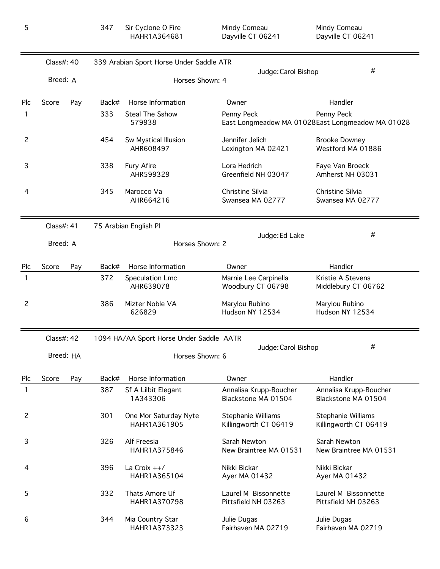|                | Class#: 40 |     |                 | 339 Arabian Sport Horse Under Saddle ATR |                                               |                                                                |  |  |  |
|----------------|------------|-----|-----------------|------------------------------------------|-----------------------------------------------|----------------------------------------------------------------|--|--|--|
|                | Breed: A   |     | Horses Shown: 4 |                                          | Judge: Carol Bishop                           | #                                                              |  |  |  |
| Plc            | Score      | Pay | Back#           | Horse Information                        | Owner                                         | Handler                                                        |  |  |  |
| 1              |            |     | 333             | <b>Steal The Sshow</b><br>579938         | Penny Peck                                    | Penny Peck<br>East Longmeadow MA 01028East Longmeadow MA 01028 |  |  |  |
| 2              |            |     | 454             | Sw Mystical Illusion<br>AHR608497        | Jennifer Jelich<br>Lexington MA 02421         | <b>Brooke Downey</b><br>Westford MA 01886                      |  |  |  |
| 3              |            |     | 338             | <b>Fury Afire</b><br>AHR599329           | Lora Hedrich<br>Greenfield NH 03047           | Faye Van Broeck<br>Amherst NH 03031                            |  |  |  |
| 4              |            |     | 345             | Marocco Va<br>AHR664216                  | Christine Silvia<br>Swansea MA 02777          | Christine Silvia<br>Swansea MA 02777                           |  |  |  |
|                | Class#: 41 |     |                 | 75 Arabian English Pl                    |                                               |                                                                |  |  |  |
|                | Breed: A   |     |                 | Judge: Ed Lake<br>Horses Shown: 2        |                                               | #                                                              |  |  |  |
| Plc            | Score      | Pay | Back#           | Horse Information                        | Owner                                         | Handler                                                        |  |  |  |
| 1              |            |     | 372             | Speculation Lmc<br>AHR639078             | Marnie Lee Carpinella<br>Woodbury CT 06798    | Kristie A Stevens<br>Middlebury CT 06762                       |  |  |  |
| 2              |            |     | 386             | Mizter Noble VA<br>626829                | Marylou Rubino<br>Hudson NY 12534             | Marylou Rubino<br>Hudson NY 12534                              |  |  |  |
|                | Class#: 42 |     |                 | 1094 HA/AA Sport Horse Under Saddle AATR |                                               |                                                                |  |  |  |
|                | Breed: HA  |     | Horses Shown: 6 |                                          | Judge: Carol Bishop                           | #                                                              |  |  |  |
| Plc            | Score      | Pay |                 | Back# Horse Information                  | Owner                                         | Handler                                                        |  |  |  |
| 1              |            |     | 387             | Sf A Lilbit Elegant<br>1A343306          | Annalisa Krupp-Boucher<br>Blackstone MA 01504 | Annalisa Krupp-Boucher<br>Blackstone MA 01504                  |  |  |  |
| $\overline{c}$ |            |     | 301             | One Mor Saturday Nyte<br>HAHR1A361905    | Stephanie Williams<br>Killingworth CT 06419   | Stephanie Williams<br>Killingworth CT 06419                    |  |  |  |
| 3              |            |     | 326             | Alf Freesia<br>HAHR1A375846              | Sarah Newton<br>New Braintree MA 01531        | Sarah Newton<br>New Braintree MA 01531                         |  |  |  |
| 4              |            |     | 396             | La Croix ++/<br>HAHR1A365104             | Nikki Bickar<br>Ayer MA 01432                 | Nikki Bickar<br>Ayer MA 01432                                  |  |  |  |
| 5              |            |     | 332             | Thats Amore Uf<br>HAHR1A370798           | Laurel M Bissonnette<br>Pittsfield NH 03263   | Laurel M Bissonnette<br>Pittsfield NH 03263                    |  |  |  |
| 6              |            |     | 344             | Mia Country Star<br>HAHR1A373323         | Julie Dugas<br>Fairhaven MA 02719             | Julie Dugas<br>Fairhaven MA 02719                              |  |  |  |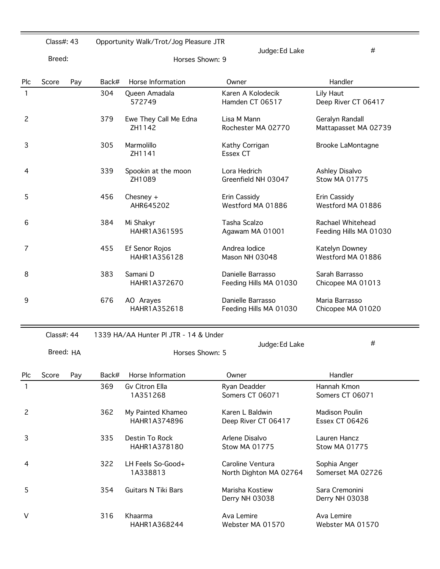|     | Class#: 43 |     |       | Opportunity Walk/Trot/Jog Pleasure JTR |                                             |                                             |
|-----|------------|-----|-------|----------------------------------------|---------------------------------------------|---------------------------------------------|
|     | Breed:     |     |       | Horses Shown: 9                        | Judge: Ed Lake                              | #                                           |
| Plc | Score      | Pay | Back# | Horse Information                      | Owner                                       | Handler                                     |
| 1   |            |     | 304   | Queen Amadala<br>572749                | Karen A Kolodecik<br>Hamden CT 06517        | Lily Haut<br>Deep River CT 06417            |
| 2   |            |     | 379   | Ewe They Call Me Edna<br>ZH1142        | Lisa M Mann<br>Rochester MA 02770           | Geralyn Randall<br>Mattapasset MA 02739     |
| 3   |            |     | 305   | Marmolillo<br>ZH1141                   | Kathy Corrigan<br><b>Essex CT</b>           | <b>Brooke LaMontagne</b>                    |
| 4   |            |     | 339   | Spookin at the moon<br>ZH1089          | Lora Hedrich<br>Greenfield NH 03047         | Ashley Disalvo<br>Stow MA 01775             |
| 5   |            |     | 456   | Chesney $+$<br>AHR645202               | Erin Cassidy<br>Westford MA 01886           | Erin Cassidy<br>Westford MA 01886           |
| 6   |            |     | 384   | Mi Shakyr<br>HAHR1A361595              | Tasha Scalzo<br>Agawam MA 01001             | Rachael Whitehead<br>Feeding Hills MA 01030 |
| 7   |            |     | 455   | Ef Senor Rojos<br>HAHR1A356128         | Andrea lodice<br>Mason NH 03048             | Katelyn Downey<br>Westford MA 01886         |
| 8   |            |     | 383   | Samani D<br>HAHR1A372670               | Danielle Barrasso<br>Feeding Hills MA 01030 | Sarah Barrasso<br>Chicopee MA 01013         |
| 9   |            |     | 676   | AO Arayes<br>HAHR1A352618              | Danielle Barrasso<br>Feeding Hills MA 01030 | Maria Barrasso<br>Chicopee MA 01020         |

## Class#: 44 1339 HA/AA Hunter Pl JTR - 14 & Under

|     | Breed: HA |     |       | Horses Shown: 5                   | Judge: Ed Lake                             | $\#$                                    |
|-----|-----------|-----|-------|-----------------------------------|--------------------------------------------|-----------------------------------------|
| Plc | Score     | Pay | Back# | Horse Information                 | Owner                                      | <b>Handler</b>                          |
|     |           |     | 369   | Gv Citron Ella<br>1A351268        | Ryan Deadder<br>Somers CT 06071            | Hannah Kmon<br>Somers CT 06071          |
| 2   |           |     | 362   | My Painted Khameo<br>HAHR1A374896 | Karen L Baldwin<br>Deep River CT 06417     | Madison Poulin<br><b>Essex CT 06426</b> |
| 3   |           |     | 335   | Destin To Rock<br>HAHR1A378180    | Arlene Disalvo<br><b>Stow MA 01775</b>     | Lauren Hancz<br>Stow MA 01775           |
| 4   |           |     | 322   | LH Feels So-Good+<br>1A338813     | Caroline Ventura<br>North Dighton MA 02764 | Sophia Anger<br>Somerset MA 02726       |
| 5   |           |     | 354   | <b>Guitars N Tiki Bars</b>        | Marisha Kostiew<br>Derry NH 03038          | Sara Cremonini<br>Derry NH 03038        |
| V   |           |     | 316   | Khaarma<br>HAHR1A368244           | Ava Lemire<br>Webster MA 01570             | Ava Lemire<br>Webster MA 01570          |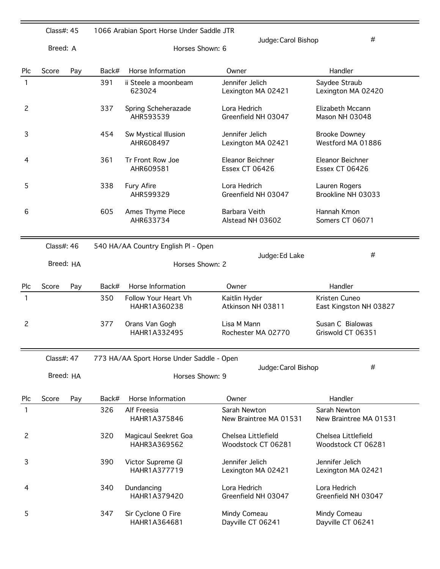|                | Class#: 45 |     |       | 1066 Arabian Sport Horse Under Saddle JTR |                                           |                                           |
|----------------|------------|-----|-------|-------------------------------------------|-------------------------------------------|-------------------------------------------|
|                | Breed: A   |     |       | Horses Shown: 6                           | Judge: Carol Bishop                       | #                                         |
| Plc            | Score      | Pay | Back# | Horse Information                         | Owner                                     | Handler                                   |
| 1              |            |     | 391   | ii Steele a moonbeam<br>623024            | Jennifer Jelich<br>Lexington MA 02421     | Saydee Straub<br>Lexington MA 02420       |
| 2              |            |     | 337   | Spring Scheherazade<br>AHR593539          | Lora Hedrich<br>Greenfield NH 03047       | Elizabeth Mccann<br>Mason NH 03048        |
| 3              |            |     | 454   | Sw Mystical Illusion<br>AHR608497         | Jennifer Jelich<br>Lexington MA 02421     | <b>Brooke Downey</b><br>Westford MA 01886 |
| 4              |            |     | 361   | Tr Front Row Joe<br>AHR609581             | Eleanor Beichner<br><b>Essex CT 06426</b> | Eleanor Beichner<br><b>Essex CT 06426</b> |
| 5              |            |     | 338   | Fury Afire<br>AHR599329                   | Lora Hedrich<br>Greenfield NH 03047       | Lauren Rogers<br>Brookline NH 03033       |
| 6              |            |     | 605   | Ames Thyme Piece<br>AHR633734             | Barbara Veith<br>Alstead NH 03602         | Hannah Kmon<br>Somers CT 06071            |
|                | Class#: 46 |     |       | 540 HA/AA Country English PI - Open       | Judge: Ed Lake                            | #                                         |
|                | Breed: HA  |     |       | Horses Shown: 2                           |                                           |                                           |
| Plc            | Score      | Pay | Back# | Horse Information                         | Owner                                     | Handler                                   |
| 1              |            |     | 350   | Follow Your Heart Vh<br>HAHR1A360238      | Kaitlin Hyder<br>Atkinson NH 03811        | Kristen Cuneo<br>East Kingston NH 03827   |
| $\overline{c}$ |            |     | 377   | Orans Van Gogh<br>HAHR1A332495            | Lisa M Mann<br>Rochester MA 02770         | Susan C Bialowas<br>Griswold CT 06351     |
|                | Class#: 47 |     |       | 773 HA/AA Sport Horse Under Saddle - Open |                                           |                                           |
|                | Breed: HA  |     |       | Horses Shown: 9                           | Judge: Carol Bishop                       | #                                         |
| <b>Plc</b>     | Score      | Pay | Back# | Horse Information                         | Owner                                     | Handler                                   |
| 1              |            |     | 326   | Alf Freesia<br>HAHR1A375846               | Sarah Newton<br>New Braintree MA 01531    | Sarah Newton<br>New Braintree MA 01531    |
| $\overline{c}$ |            |     | 320   | Magicaul Seekret Goa<br>HAHR3A369562      | Chelsea Littlefield<br>Woodstock CT 06281 | Chelsea Littlefield<br>Woodstock CT 06281 |
| 3              |            |     | 390   | Victor Supreme Gl<br>HAHR1A377719         | Jennifer Jelich<br>Lexington MA 02421     | Jennifer Jelich<br>Lexington MA 02421     |
| 4              |            |     | 340   | Dundancing<br>HAHR1A379420                | Lora Hedrich<br>Greenfield NH 03047       | Lora Hedrich<br>Greenfield NH 03047       |
| 5              |            |     | 347   | Sir Cyclone O Fire<br>HAHR1A364681        | Mindy Comeau<br>Dayville CT 06241         | Mindy Comeau<br>Dayville CT 06241         |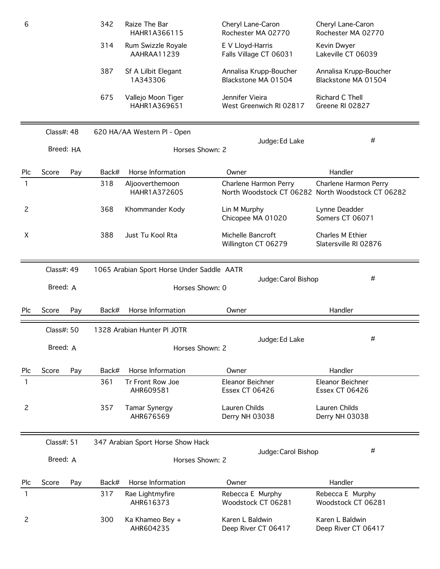| 6   |            |     | 342   | Raize The Bar<br>HAHR1A366115              | Cheryl Lane-Caron<br>Rochester MA 02770       | Cheryl Lane-Caron<br>Rochester MA 02770                                    |
|-----|------------|-----|-------|--------------------------------------------|-----------------------------------------------|----------------------------------------------------------------------------|
|     |            |     | 314   | Rum Swizzle Royale<br>AAHRAA11239          | E V Lloyd-Harris<br>Falls Village CT 06031    | Kevin Dwyer<br>Lakeville CT 06039                                          |
|     |            |     | 387   | Sf A Lilbit Elegant<br>1A343306            | Annalisa Krupp-Boucher<br>Blackstone MA 01504 | Annalisa Krupp-Boucher<br>Blackstone MA 01504                              |
|     |            |     | 675   | Vallejo Moon Tiger<br>HAHR1A369651         | Jennifer Vieira<br>West Greenwich RI 02817    | Richard C Thell<br>Greene RI 02827                                         |
|     | Class#: 48 |     |       | 620 HA/AA Western Pl - Open                |                                               |                                                                            |
|     | Breed: HA  |     |       | Horses Shown: 2                            | Judge: Ed Lake                                | #                                                                          |
| Plc | Score      | Pay | Back# | Horse Information                          | Owner                                         | Handler                                                                    |
| 1   |            |     | 318   | Aljooverthemoon<br>HAHR1A372605            | Charlene Harmon Perry                         | Charlene Harmon Perry<br>North Woodstock CT 06282 North Woodstock CT 06282 |
| 2   |            |     | 368   | Khommander Kody                            | Lin M Murphy<br>Chicopee MA 01020             | Lynne Deadder<br>Somers CT 06071                                           |
| X   |            |     | 388   | Just Tu Kool Rta                           | Michelle Bancroft<br>Willington CT 06279      | Charles M Ethier<br>Slatersville RI 02876                                  |
|     | Class#: 49 |     |       | 1065 Arabian Sport Horse Under Saddle AATR |                                               |                                                                            |
|     | Breed: A   |     |       | Horses Shown: 0                            | Judge: Carol Bishop                           | #                                                                          |
| Plc | Score      | Pay | Back# | Horse Information                          | Owner                                         | Handler                                                                    |
|     | Class#: 50 |     |       | 1328 Arabian Hunter Pl JOTR                |                                               |                                                                            |
|     | Breed: A   |     |       | Horses Shown: 2                            | Judge: Ed Lake                                | #                                                                          |
| Plc | Score      | Pay | Back# | Horse Information                          | Owner                                         | Handler                                                                    |
| 1   |            |     | 361   | Tr Front Row Joe<br>AHR609581              | Eleanor Beichner<br><b>Essex CT 06426</b>     | Eleanor Beichner<br><b>Essex CT 06426</b>                                  |
| 2   |            |     | 357   | Tamar Synergy<br>AHR676569                 | Lauren Childs<br>Derry NH 03038               | Lauren Childs<br>Derry NH 03038                                            |
|     | Class#: 51 |     |       | 347 Arabian Sport Horse Show Hack          |                                               |                                                                            |
|     | Breed: A   |     |       | Horses Shown: 2                            | Judge: Carol Bishop                           | #                                                                          |
| Plc | Score      | Pay | Back# | Horse Information                          | Owner                                         | Handler                                                                    |
| 1   |            |     | 317   | Rae Lightmyfire<br>AHR616373               | Rebecca E Murphy<br>Woodstock CT 06281        | Rebecca E Murphy<br>Woodstock CT 06281                                     |
| 2   |            |     | 300   | Ka Khameo Bey +<br>AHR604235               | Karen L Baldwin<br>Deep River CT 06417        | Karen L Baldwin<br>Deep River CT 06417                                     |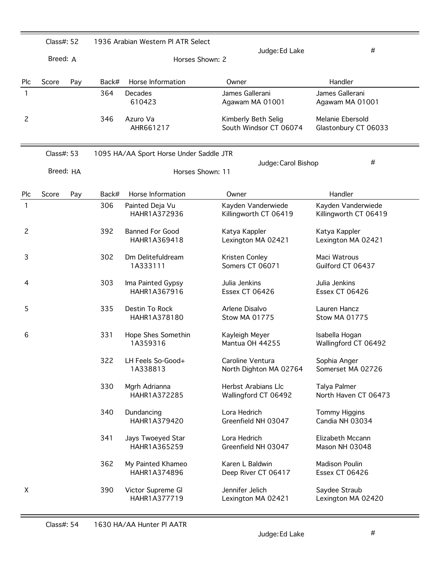|     | Class#: 52 |           |       | 1936 Arabian Western PI ATR Select      |                                               |                                             |
|-----|------------|-----------|-------|-----------------------------------------|-----------------------------------------------|---------------------------------------------|
|     | Breed: A   |           |       | Horses Shown: 2                         | Judge: Ed Lake                                | #                                           |
| Plc | Score      | Pay       | Back# | Horse Information                       | Owner                                         | Handler                                     |
| 1   |            |           | 364   | Decades<br>610423                       | James Gallerani<br>Agawam MA 01001            | James Gallerani<br>Agawam MA 01001          |
| 2   |            |           | 346   | Azuro Va<br>AHR661217                   | Kimberly Beth Selig<br>South Windsor CT 06074 | Melanie Ebersold<br>Glastonbury CT 06033    |
|     | Class#: 53 |           |       | 1095 HA/AA Sport Horse Under Saddle JTR |                                               |                                             |
|     |            | Breed: HA |       | Horses Shown: 11                        | Judge: Carol Bishop                           | #                                           |
| Plc | Score      | Pay       | Back# | Horse Information                       | Owner                                         | Handler                                     |
| 1   |            |           | 306   | Painted Deja Vu<br>HAHR1A372936         | Kayden Vanderwiede<br>Killingworth CT 06419   | Kayden Vanderwiede<br>Killingworth CT 06419 |
| 2   |            |           | 392   | <b>Banned For Good</b><br>HAHR1A369418  | Katya Kappler<br>Lexington MA 02421           | Katya Kappler<br>Lexington MA 02421         |
| 3   |            |           | 302   | Dm Delitefuldream<br>1A333111           | Kristen Conley<br>Somers CT 06071             | Maci Watrous<br>Guilford CT 06437           |
| 4   |            |           | 303   | Ima Painted Gypsy<br>HAHR1A367916       | Julia Jenkins<br><b>Essex CT 06426</b>        | Julia Jenkins<br><b>Essex CT 06426</b>      |
| 5   |            |           | 335   | Destin To Rock<br>HAHR1A378180          | Arlene Disalvo<br>Stow MA 01775               | Lauren Hancz<br><b>Stow MA 01775</b>        |
| 6   |            |           | 331   | Hope Shes Somethin<br>1A359316          | Kayleigh Meyer<br>Mantua OH 44255             | Isabella Hogan<br>Wallingford CT 06492      |
|     |            |           | 322   | LH Feels So-Good+<br>1A338813           | Caroline Ventura<br>North Dighton MA 02764    | Sophia Anger<br>Somerset MA 02726           |
|     |            |           | 330   | Mgrh Adrianna<br>HAHR1A372285           | Herbst Arabians Llc<br>Wallingford CT 06492   | Talya Palmer<br>North Haven CT 06473        |
|     |            |           | 340   | Dundancing<br>HAHR1A379420              | Lora Hedrich<br>Greenfield NH 03047           | <b>Tommy Higgins</b><br>Candia NH 03034     |
|     |            |           | 341   | Jays Twoeyed Star<br>HAHR1A365259       | Lora Hedrich<br>Greenfield NH 03047           | Elizabeth Mccann<br>Mason NH 03048          |
|     |            |           | 362   | My Painted Khameo<br>HAHR1A374896       | Karen L Baldwin<br>Deep River CT 06417        | <b>Madison Poulin</b><br>Essex CT 06426     |
| Χ   |            |           | 390   | Victor Supreme Gl<br>HAHR1A377719       | Jennifer Jelich<br>Lexington MA 02421         | Saydee Straub<br>Lexington MA 02420         |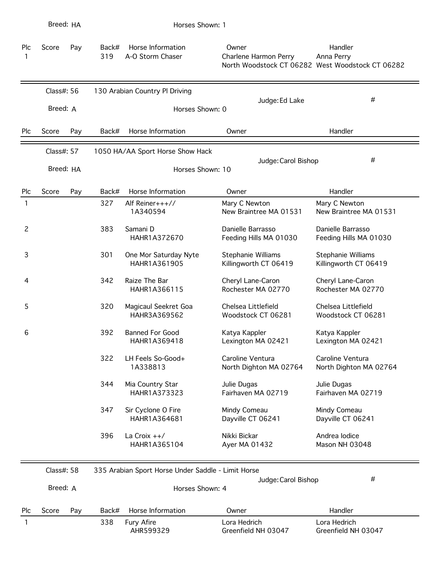|                | Breed: HA  |     |              | Horses Shown: 1                                    |                                             |                                                                           |
|----------------|------------|-----|--------------|----------------------------------------------------|---------------------------------------------|---------------------------------------------------------------------------|
| Plc<br>1       | Score      | Pay | Back#<br>319 | Horse Information<br>A-O Storm Chaser              | Owner<br>Charlene Harmon Perry              | Handler<br>Anna Perry<br>North Woodstock CT 06282 West Woodstock CT 06282 |
|                | Class#: 56 |     |              | 130 Arabian Country Pl Driving                     |                                             |                                                                           |
|                | Breed: A   |     |              | Horses Shown: 0                                    | Judge: Ed Lake                              | #                                                                         |
| Plc            | Score      | Pay | Back#        | Horse Information                                  | Owner                                       | Handler                                                                   |
|                | Class#: 57 |     |              | 1050 HA/AA Sport Horse Show Hack                   |                                             |                                                                           |
|                | Breed: HA  |     |              | Horses Shown: 10                                   | Judge: Carol Bishop                         | #                                                                         |
| Plc            | Score      | Pay | Back#        | Horse Information                                  | Owner                                       | Handler                                                                   |
| 1              |            |     | 327          | Alf Reiner+++//<br>1A340594                        | Mary C Newton<br>New Braintree MA 01531     | Mary C Newton<br>New Braintree MA 01531                                   |
| $\overline{c}$ |            |     | 383          | Samani D<br>HAHR1A372670                           | Danielle Barrasso<br>Feeding Hills MA 01030 | Danielle Barrasso<br>Feeding Hills MA 01030                               |
| 3              |            |     | 301          | One Mor Saturday Nyte<br>HAHR1A361905              | Stephanie Williams<br>Killingworth CT 06419 | Stephanie Williams<br>Killingworth CT 06419                               |
| 4              |            |     | 342          | Raize The Bar<br>HAHR1A366115                      | Cheryl Lane-Caron<br>Rochester MA 02770     | Cheryl Lane-Caron<br>Rochester MA 02770                                   |
| 5              |            |     | 320          | Magicaul Seekret Goa<br>HAHR3A369562               | Chelsea Littlefield<br>Woodstock CT 06281   | Chelsea Littlefield<br>Woodstock CT 06281                                 |
| 6              |            |     | 392          | <b>Banned For Good</b><br>HAHR1A369418             | Katya Kappler<br>Lexington MA 02421         | Katya Kappler<br>Lexington MA 02421                                       |
|                |            |     | 322          | LH Feels So-Good+<br>1A338813                      | Caroline Ventura<br>North Dighton MA 02764  | Caroline Ventura<br>North Dighton MA 02764                                |
|                |            |     | 344          | Mia Country Star<br>HAHR1A373323                   | Julie Dugas<br>Fairhaven MA 02719           | Julie Dugas<br>Fairhaven MA 02719                                         |
|                |            |     | 347          | Sir Cyclone O Fire<br>HAHR1A364681                 | Mindy Comeau<br>Dayville CT 06241           | Mindy Comeau<br>Dayville CT 06241                                         |
|                |            |     | 396          | La Croix $++/$<br>HAHR1A365104                     | Nikki Bickar<br>Ayer MA 01432               | Andrea Iodice<br>Mason NH 03048                                           |
|                | Class#: 58 |     |              | 335 Arabian Sport Horse Under Saddle - Limit Horse |                                             | #                                                                         |
|                | Breed: A   |     |              | Horses Shown: 4                                    | Judge: Carol Bishop                         |                                                                           |
| Plc            | Score      | Pay | Back#        | Horse Information                                  | Owner                                       | Handler                                                                   |
| 1              |            |     | 338          | Fury Afire<br>AHR599329                            | Lora Hedrich<br>Greenfield NH 03047         | Lora Hedrich<br>Greenfield NH 03047                                       |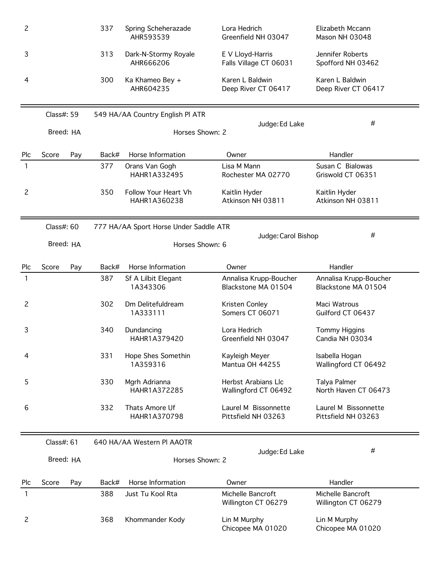| $\overline{c}$ |            |     | 337   | Spring Scheherazade<br>AHR593539       | Lora Hedrich<br>Greenfield NH 03047           | Elizabeth Mccann<br>Mason NH 03048            |
|----------------|------------|-----|-------|----------------------------------------|-----------------------------------------------|-----------------------------------------------|
| 3              |            |     | 313   | Dark-N-Stormy Royale<br>AHR666206      | E V Lloyd-Harris<br>Falls Village CT 06031    | Jennifer Roberts<br>Spofford NH 03462         |
| 4              |            |     | 300   | Ka Khameo Bey +<br>AHR604235           | Karen L Baldwin<br>Deep River CT 06417        | Karen L Baldwin<br>Deep River CT 06417        |
|                | Class#: 59 |     |       | 549 HA/AA Country English PI ATR       |                                               |                                               |
|                | Breed: HA  |     |       | Horses Shown: 2                        | Judge: Ed Lake                                | #                                             |
| Plc            | Score      | Pay | Back# | Horse Information                      | Owner                                         | Handler                                       |
| 1              |            |     | 377   | Orans Van Gogh<br>HAHR1A332495         | Lisa M Mann<br>Rochester MA 02770             | Susan C Bialowas<br>Griswold CT 06351         |
| $\overline{c}$ |            |     | 350   | Follow Your Heart Vh<br>HAHR1A360238   | Kaitlin Hyder<br>Atkinson NH 03811            | Kaitlin Hyder<br>Atkinson NH 03811            |
|                | Class#: 60 |     |       | 777 HA/AA Sport Horse Under Saddle ATR |                                               |                                               |
|                | Breed: HA  |     |       | Horses Shown: 6                        | Judge: Carol Bishop                           | #                                             |
| Plc            | Score      | Pay | Back# | Horse Information                      | Owner                                         | Handler                                       |
| 1              |            |     | 387   | Sf A Lilbit Elegant<br>1A343306        | Annalisa Krupp-Boucher<br>Blackstone MA 01504 | Annalisa Krupp-Boucher<br>Blackstone MA 01504 |
| $\overline{c}$ |            |     | 302   | Dm Delitefuldream<br>1A333111          | Kristen Conley<br>Somers CT 06071             | Maci Watrous<br>Guilford CT 06437             |
| 3              |            |     | 340   | Dundancing<br>HAHR1A379420             | Lora Hedrich<br>Greenfield NH 03047           | <b>Tommy Higgins</b><br>Candia NH 03034       |
| 4              |            |     | 331   | Hope Shes Somethin<br>1A359316         | Kayleigh Meyer<br>Mantua OH 44255             | Isabella Hogan<br>Wallingford CT 06492        |
| 5              |            |     | 330   | Mgrh Adrianna<br>HAHR1A372285          | Herbst Arabians Llc<br>Wallingford CT 06492   | Talya Palmer<br>North Haven CT 06473          |
| 6              |            |     | 332   | Thats Amore Uf<br>HAHR1A370798         | Laurel M Bissonnette<br>Pittsfield NH 03263   | Laurel M Bissonnette<br>Pittsfield NH 03263   |
|                | Class#: 61 |     |       | 640 HA/AA Western PI AAOTR             |                                               |                                               |
|                | Breed: HA  |     |       | Horses Shown: 2                        | Judge: Ed Lake                                | #                                             |
| Plc            | Score      | Pay | Back# | Horse Information                      | Owner                                         | Handler                                       |
| 1              |            |     | 388   | Just Tu Kool Rta                       | Michelle Bancroft<br>Willington CT 06279      | Michelle Bancroft<br>Willington CT 06279      |
| $\overline{c}$ |            |     | 368   | Khommander Kody                        | Lin M Murphy<br>Chicopee MA 01020             | Lin M Murphy<br>Chicopee MA 01020             |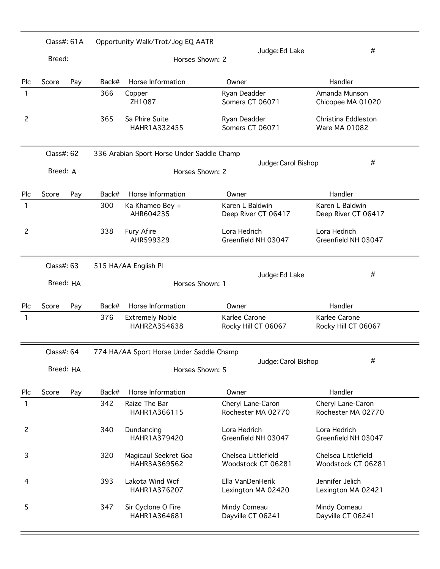|                | Class#: 61A |     |       | Opportunity Walk/Trot/Jog EQ AATR          |                                           |                                           |
|----------------|-------------|-----|-------|--------------------------------------------|-------------------------------------------|-------------------------------------------|
|                | Breed:      |     |       | Horses Shown: 2                            | Judge: Ed Lake                            | #                                         |
| Plc            | Score       | Pay | Back# | Horse Information                          | Owner                                     | Handler                                   |
| 1              |             |     | 366   | Copper<br>ZH1087                           | Ryan Deadder<br>Somers CT 06071           | Amanda Munson<br>Chicopee MA 01020        |
| $\overline{c}$ |             |     | 365   | Sa Phire Suite<br>HAHR1A332455             | Ryan Deadder<br>Somers CT 06071           | Christina Eddleston<br>Ware MA 01082      |
|                | Class#: 62  |     |       | 336 Arabian Sport Horse Under Saddle Champ | Judge: Carol Bishop                       | #                                         |
|                | Breed: A    |     |       | Horses Shown: 2                            |                                           |                                           |
| Plc            | Score       | Pay | Back# | Horse Information                          | Owner                                     | Handler                                   |
| $\mathbf{1}$   |             |     | 300   | Ka Khameo Bey +<br>AHR604235               | Karen L Baldwin<br>Deep River CT 06417    | Karen L Baldwin<br>Deep River CT 06417    |
| $\overline{c}$ |             |     | 338   | Fury Afire<br>AHR599329                    | Lora Hedrich<br>Greenfield NH 03047       | Lora Hedrich<br>Greenfield NH 03047       |
|                | Class#: 63  |     |       | 515 HA/AA English Pl                       |                                           |                                           |
|                | Breed: HA   |     |       | Horses Shown: 1                            | Judge: Ed Lake                            | #                                         |
| Plc            | Score       | Pay | Back# | Horse Information                          | Owner                                     | Handler                                   |
| 1              |             |     | 376   | <b>Extremely Noble</b><br>HAHR2A354638     | Karlee Carone<br>Rocky Hill CT 06067      | Karlee Carone<br>Rocky Hill CT 06067      |
|                | Class#: 64  |     |       | 774 HA/AA Sport Horse Under Saddle Champ   |                                           |                                           |
|                | Breed: HA   |     |       | Horses Shown: 5                            | Judge: Carol Bishop                       | #                                         |
| Plc            | Score       | Pay | Back# | Horse Information                          | Owner                                     | Handler                                   |
| 1              |             |     | 342   | Raize The Bar<br>HAHR1A366115              | Cheryl Lane-Caron<br>Rochester MA 02770   | Cheryl Lane-Caron<br>Rochester MA 02770   |
| $\overline{c}$ |             |     | 340   | Dundancing<br>HAHR1A379420                 | Lora Hedrich<br>Greenfield NH 03047       | Lora Hedrich<br>Greenfield NH 03047       |
| 3              |             |     | 320   | Magicaul Seekret Goa<br>HAHR3A369562       | Chelsea Littlefield<br>Woodstock CT 06281 | Chelsea Littlefield<br>Woodstock CT 06281 |
| 4              |             |     | 393   | Lakota Wind Wcf<br>HAHR1A376207            | Ella VanDenHerik<br>Lexington MA 02420    | Jennifer Jelich<br>Lexington MA 02421     |
| 5              |             |     | 347   | Sir Cyclone O Fire<br>HAHR1A364681         | Mindy Comeau<br>Dayville CT 06241         | Mindy Comeau<br>Dayville CT 06241         |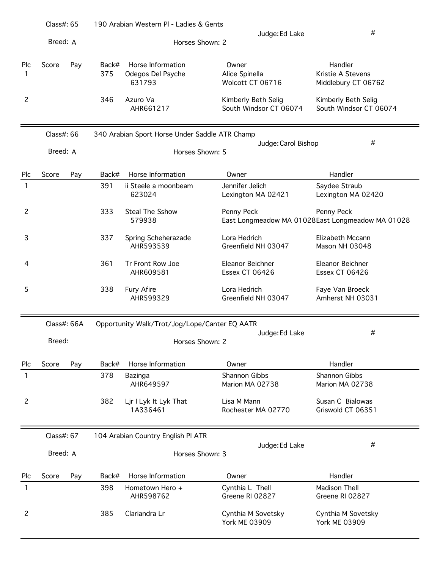|                | Class#: $65$ |     |              | 190 Arabian Western PI - Ladies & Gents          |                                               |                                                                |
|----------------|--------------|-----|--------------|--------------------------------------------------|-----------------------------------------------|----------------------------------------------------------------|
|                | Breed: A     |     |              | Horses Shown: 2                                  | Judge: Ed Lake                                | $\#$                                                           |
| Plc<br>1       | Score        | Pay | Back#<br>375 | Horse Information<br>Odegos Del Psyche<br>631793 | Owner<br>Alice Spinella<br>Wolcott CT 06716   | Handler<br>Kristie A Stevens<br>Middlebury CT 06762            |
| $\overline{c}$ |              |     | 346          | Azuro Va<br>AHR661217                            | Kimberly Beth Selig<br>South Windsor CT 06074 | Kimberly Beth Selig<br>South Windsor CT 06074                  |
|                | Class#: 66   |     |              | 340 Arabian Sport Horse Under Saddle ATR Champ   |                                               |                                                                |
|                | Breed: A     |     |              | Horses Shown: 5                                  | Judge: Carol Bishop                           | #                                                              |
| Plc            | Score        | Pay | Back#        | Horse Information                                | Owner                                         | Handler                                                        |
| 1              |              |     | 391          | ii Steele a moonbeam<br>623024                   | Jennifer Jelich<br>Lexington MA 02421         | Saydee Straub<br>Lexington MA 02420                            |
| $\overline{c}$ |              |     | 333          | <b>Steal The Sshow</b><br>579938                 | Penny Peck                                    | Penny Peck<br>East Longmeadow MA 01028East Longmeadow MA 01028 |
| 3              |              |     | 337          | Spring Scheherazade<br>AHR593539                 | Lora Hedrich<br>Greenfield NH 03047           | Elizabeth Mccann<br>Mason NH 03048                             |
| 4              |              |     | 361          | Tr Front Row Joe<br>AHR609581                    | Eleanor Beichner<br><b>Essex CT 06426</b>     | Eleanor Beichner<br><b>Essex CT 06426</b>                      |
| 5              |              |     | 338          | <b>Fury Afire</b><br>AHR599329                   | Lora Hedrich<br>Greenfield NH 03047           | Faye Van Broeck<br>Amherst NH 03031                            |
|                | Class#: 66A  |     |              | Opportunity Walk/Trot/Jog/Lope/Canter EQ AATR    |                                               |                                                                |
|                | Breed:       |     |              | Horses Shown: 2                                  | Judge: Ed Lake                                | #                                                              |
| Plc            | Score        | Pay | Back#        | Horse Information                                | Owner                                         | Handler                                                        |
| 1              |              |     | 378          | Bazinga<br>AHR649597                             | Shannon Gibbs<br>Marion MA 02738              | Shannon Gibbs<br>Marion MA 02738                               |
| $\overline{c}$ |              |     | 382          | Ljr I Lyk It Lyk That<br>1A336461                | Lisa M Mann<br>Rochester MA 02770             | Susan C Bialowas<br>Griswold CT 06351                          |
|                | Class#: 67   |     |              | 104 Arabian Country English Pl ATR               |                                               |                                                                |
|                | Breed: A     |     |              | Horses Shown: 3                                  | Judge: Ed Lake                                | #                                                              |
| Plc            | Score        | Pay | Back#        | Horse Information                                | Owner                                         | Handler                                                        |
| 1              |              |     | 398          | Hometown Hero +<br>AHR598762                     | Cynthia L Thell<br>Greene RI 02827            | <b>Madison Thell</b><br>Greene RI 02827                        |
| $\overline{c}$ |              |     | 385          | Clariandra Lr                                    | Cynthia M Sovetsky<br><b>York ME 03909</b>    | Cynthia M Sovetsky<br><b>York ME 03909</b>                     |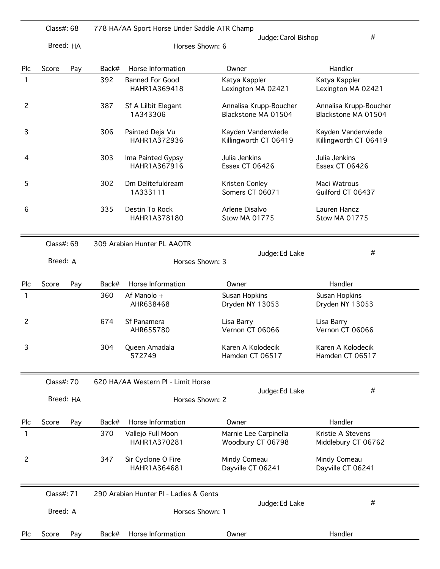|                | Class#: 68 |     |       | 778 HA/AA Sport Horse Under Saddle ATR Champ |                                               |                                               |
|----------------|------------|-----|-------|----------------------------------------------|-----------------------------------------------|-----------------------------------------------|
|                | Breed: HA  |     |       | Horses Shown: 6                              | Judge: Carol Bishop                           | #                                             |
| Plc            | Score      | Pay | Back# | Horse Information                            | Owner                                         | Handler                                       |
| 1              |            |     | 392   | <b>Banned For Good</b><br>HAHR1A369418       | Katya Kappler<br>Lexington MA 02421           | Katya Kappler<br>Lexington MA 02421           |
| 2              |            |     | 387   | Sf A Lilbit Elegant<br>1A343306              | Annalisa Krupp-Boucher<br>Blackstone MA 01504 | Annalisa Krupp-Boucher<br>Blackstone MA 01504 |
| 3              |            |     | 306   | Painted Deja Vu<br>HAHR1A372936              | Kayden Vanderwiede<br>Killingworth CT 06419   | Kayden Vanderwiede<br>Killingworth CT 06419   |
| 4              |            |     | 303   | Ima Painted Gypsy<br>HAHR1A367916            | Julia Jenkins<br><b>Essex CT 06426</b>        | Julia Jenkins<br><b>Essex CT 06426</b>        |
| 5              |            |     | 302   | Dm Delitefuldream<br>1A333111                | Kristen Conley<br>Somers CT 06071             | Maci Watrous<br>Guilford CT 06437             |
| 6              |            |     | 335   | Destin To Rock<br>HAHR1A378180               | Arlene Disalvo<br><b>Stow MA 01775</b>        | Lauren Hancz<br><b>Stow MA 01775</b>          |
|                | Class#: 69 |     |       | 309 Arabian Hunter PL AAOTR                  |                                               | #                                             |
|                | Breed: A   |     |       | Horses Shown: 3                              | Judge: Ed Lake                                |                                               |
| Plc            | Score      | Pay | Back# | Horse Information                            | Owner                                         | Handler                                       |
| 1              |            |     | 360   | Af Manolo +<br>AHR638468                     | Susan Hopkins<br>Dryden NY 13053              | Susan Hopkins<br>Dryden NY 13053              |
| 2              |            |     | 674   | Sf Panamera<br>AHR655780                     | Lisa Barry<br>Vernon CT 06066                 | Lisa Barry<br>Vernon CT 06066                 |
| 3              |            |     | 304   | Queen Amadala<br>572749                      | Karen A Kolodecik<br>Hamden CT 06517          | Karen A Kolodecik<br>Hamden CT 06517          |
|                | Class#: 70 |     |       | 620 HA/AA Western PI - Limit Horse           |                                               |                                               |
|                | Breed: HA  |     |       | Horses Shown: 2                              | Judge: Ed Lake                                | #                                             |
| Plc            | Score      | Pay | Back# | Horse Information                            | Owner                                         | Handler                                       |
| 1              |            |     | 370   | Vallejo Full Moon<br>HAHR1A370281            | Marnie Lee Carpinella<br>Woodbury CT 06798    | Kristie A Stevens<br>Middlebury CT 06762      |
| $\overline{c}$ |            |     | 347   | Sir Cyclone O Fire<br>HAHR1A364681           | Mindy Comeau<br>Dayville CT 06241             | Mindy Comeau<br>Dayville CT 06241             |
|                | Class#: 71 |     |       | 290 Arabian Hunter PI - Ladies & Gents       |                                               |                                               |
|                | Breed: A   |     |       | Horses Shown: 1                              | Judge: Ed Lake                                | #                                             |
| Plc            | Score      | Pay | Back# | Horse Information                            | Owner                                         | Handler                                       |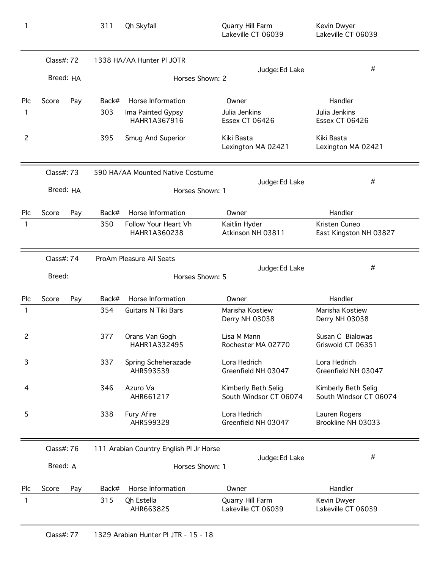|                | Class#: 72 |     |       | 1338 HA/AA Hunter PI JOTR               |                                               |                                               |
|----------------|------------|-----|-------|-----------------------------------------|-----------------------------------------------|-----------------------------------------------|
|                |            |     |       |                                         | Judge: Ed Lake                                | $\#$                                          |
|                | Breed: HA  |     |       | Horses Shown: 2                         |                                               |                                               |
| Plc            | Score      | Pay | Back# | Horse Information                       | Owner                                         | Handler                                       |
| 1              |            |     | 303   | Ima Painted Gypsy<br>HAHR1A367916       | Julia Jenkins<br>Essex CT 06426               | Julia Jenkins<br>Essex CT 06426               |
| $\overline{c}$ |            |     | 395   | Smug And Superior                       | Kiki Basta<br>Lexington MA 02421              | Kiki Basta<br>Lexington MA 02421              |
|                | Class#: 73 |     |       | 590 HA/AA Mounted Native Costume        |                                               |                                               |
|                | Breed: HA  |     |       | Horses Shown: 1                         | Judge: Ed Lake                                | $\#$                                          |
| Plc            | Score      | Pay | Back# | Horse Information                       | Owner                                         | Handler                                       |
| $\mathbf{1}$   |            |     | 350   | Follow Your Heart Vh<br>HAHR1A360238    | Kaitlin Hyder<br>Atkinson NH 03811            | Kristen Cuneo<br>East Kingston NH 03827       |
|                | Class#: 74 |     |       | ProAm Pleasure All Seats                |                                               |                                               |
|                | Breed:     |     |       | Horses Shown: 5                         | Judge: Ed Lake                                | $\#$                                          |
| Plc            | Score      | Pay | Back# | Horse Information                       | Owner                                         | Handler                                       |
| 1              |            |     | 354   | <b>Guitars N Tiki Bars</b>              | Marisha Kostiew<br>Derry NH 03038             | Marisha Kostiew<br>Derry NH 03038             |
| 2              |            |     | 377   | Orans Van Gogh<br>HAHR1A332495          | Lisa M Mann<br>Rochester MA 02770             | Susan C Bialowas<br>Griswold CT 06351         |
| 3              |            |     | 337   | Spring Scheherazade<br>AHR593539        | Lora Hedrich<br>Greenfield NH 03047           | Lora Hedrich<br>Greenfield NH 03047           |
| 4              |            |     | 346   | Azuro Va<br>AHR661217                   | Kimberly Beth Selig<br>South Windsor CT 06074 | Kimberly Beth Selig<br>South Windsor CT 06074 |
| 5              |            |     | 338   | Fury Afire<br>AHR599329                 | Lora Hedrich<br>Greenfield NH 03047           | Lauren Rogers<br>Brookline NH 03033           |
|                | Class#: 76 |     |       | 111 Arabian Country English Pl Jr Horse |                                               |                                               |
|                | Breed: A   |     |       | Horses Shown: 1                         | Judge: Ed Lake                                | #                                             |
| Plc            | Score      | Pay | Back# | Horse Information                       | Owner                                         | Handler                                       |
| 1              |            |     | 315   | Qh Estella<br>AHR663825                 | Quarry Hill Farm<br>Lakeville CT 06039        | Kevin Dwyer<br>Lakeville CT 06039             |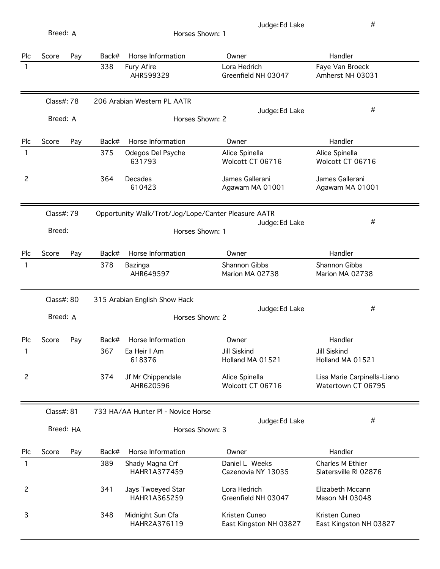| Plc            | Score                  | Pay | Back# | Horse Information                                                      | Owner                                | Handler                                           |
|----------------|------------------------|-----|-------|------------------------------------------------------------------------|--------------------------------------|---------------------------------------------------|
| 1              |                        |     | 338   | Fury Afire<br>AHR599329                                                | Lora Hedrich<br>Greenfield NH 03047  | Faye Van Broeck<br>Amherst NH 03031               |
|                | Class#: 78<br>Breed: A |     |       | 206 Arabian Western PL AATR<br>Horses Shown: 2                         | Judge: Ed Lake                       | #                                                 |
| Plc            | Score                  | Pay | Back# | Horse Information                                                      | Owner                                | Handler                                           |
| 1              |                        |     | 375   | Odegos Del Psyche<br>631793                                            | Alice Spinella<br>Wolcott CT 06716   | Alice Spinella<br>Wolcott CT 06716                |
| 2              |                        |     | 364   | Decades<br>610423                                                      | James Gallerani<br>Agawam MA 01001   | James Gallerani<br>Agawam MA 01001                |
|                | Class#: 79<br>Breed:   |     |       | Opportunity Walk/Trot/Jog/Lope/Canter Pleasure AATR<br>Horses Shown: 1 | Judge: Ed Lake                       | #                                                 |
| Plc            | Score                  | Pay | Back# | Horse Information                                                      | Owner                                | Handler                                           |
| 1              |                        |     | 378   | Bazinga<br>AHR649597                                                   | Shannon Gibbs<br>Marion MA 02738     | Shannon Gibbs<br>Marion MA 02738                  |
|                |                        |     |       |                                                                        |                                      |                                                   |
|                | Class#: 80             |     |       | 315 Arabian English Show Hack                                          |                                      |                                                   |
|                | Breed: A               |     |       | Horses Shown: 2                                                        | Judge: Ed Lake                       | #                                                 |
| Plc            | Score                  | Pay | Back# | Horse Information                                                      | Owner                                | Handler                                           |
| 1              |                        |     | 367   | Ea Heir I Am<br>618376                                                 | Jill Siskind<br>Holland MA 01521     | Jill Siskind<br>Holland MA 01521                  |
| $\overline{c}$ |                        |     | 374   | Jf Mr Chippendale<br>AHR620596                                         | Alice Spinella<br>Wolcott CT 06716   | Lisa Marie Carpinella-Liano<br>Watertown CT 06795 |
|                | Class#: 81             |     |       | 733 HA/AA Hunter PI - Novice Horse                                     |                                      |                                                   |
|                | Breed: HA              |     |       | Horses Shown: 3                                                        | Judge: Ed Lake                       | #                                                 |
| Plc            | Score                  | Pay | Back# | Horse Information                                                      | Owner                                | Handler                                           |
| 1              |                        |     | 389   | Shady Magna Crf<br>HAHR1A377459                                        | Daniel L Weeks<br>Cazenovia NY 13035 | Charles M Ethier<br>Slatersville RI 02876         |
| 2              |                        |     | 341   | Jays Twoeyed Star<br>HAHR1A365259                                      | Lora Hedrich<br>Greenfield NH 03047  | Elizabeth Mccann<br>Mason NH 03048                |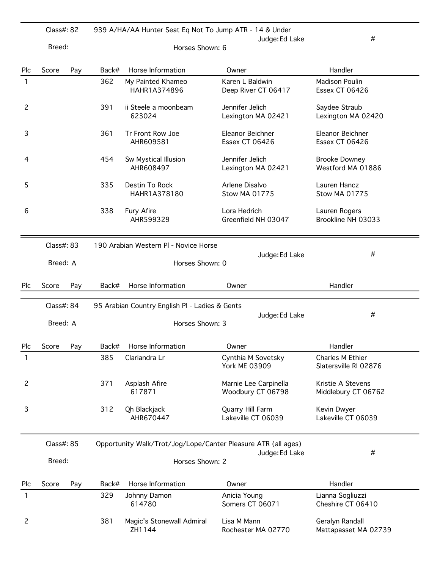|                | Class#: 82                  |     |                 | 939 A/HA/AA Hunter Seat Eq Not To Jump ATR - 14 & Under<br>#<br>Judge: Ed Lake |                                            |                                                |  |  |  |
|----------------|-----------------------------|-----|-----------------|--------------------------------------------------------------------------------|--------------------------------------------|------------------------------------------------|--|--|--|
|                | Breed:                      |     | Horses Shown: 6 |                                                                                |                                            |                                                |  |  |  |
| Plc            | Score                       | Pay | Back#           | Horse Information                                                              | Owner                                      | Handler                                        |  |  |  |
| 1              |                             |     | 362             | My Painted Khameo<br>HAHR1A374896                                              | Karen L Baldwin<br>Deep River CT 06417     | <b>Madison Poulin</b><br><b>Essex CT 06426</b> |  |  |  |
| 2              |                             |     | 391             | ii Steele a moonbeam<br>623024                                                 | Jennifer Jelich<br>Lexington MA 02421      | Saydee Straub<br>Lexington MA 02420            |  |  |  |
| 3              |                             |     | 361             | Tr Front Row Joe<br>AHR609581                                                  | Eleanor Beichner<br><b>Essex CT 06426</b>  | Eleanor Beichner<br><b>Essex CT 06426</b>      |  |  |  |
| 4              |                             |     | 454             | Sw Mystical Illusion<br>AHR608497                                              | Jennifer Jelich<br>Lexington MA 02421      | <b>Brooke Downey</b><br>Westford MA 01886      |  |  |  |
| 5              |                             |     | 335             | Destin To Rock<br>HAHR1A378180                                                 | Arlene Disalvo<br><b>Stow MA 01775</b>     | Lauren Hancz<br><b>Stow MA 01775</b>           |  |  |  |
| 6              |                             |     | 338             | Fury Afire<br>AHR599329                                                        | Lora Hedrich<br>Greenfield NH 03047        | Lauren Rogers<br>Brookline NH 03033            |  |  |  |
|                | Class#: 83                  |     |                 | 190 Arabian Western Pl - Novice Horse                                          |                                            |                                                |  |  |  |
|                | Breed: A<br>Horses Shown: 0 |     |                 |                                                                                | Judge: Ed Lake                             | #                                              |  |  |  |
|                |                             |     |                 |                                                                                |                                            |                                                |  |  |  |
| Plc            | Score                       | Pay | Back#           | Horse Information                                                              | Owner                                      | Handler                                        |  |  |  |
|                | Class#: 84                  |     |                 | 95 Arabian Country English PI - Ladies & Gents                                 |                                            |                                                |  |  |  |
|                | Breed: A                    |     |                 | Horses Shown: 3                                                                | Judge: Ed Lake                             | #                                              |  |  |  |
| Plc            | Score                       | Pay | Back#           | Horse Information                                                              | Owner                                      | Handler                                        |  |  |  |
| 1              |                             |     | 385             | Clariandra Lr                                                                  | Cynthia M Sovetsky<br><b>York ME 03909</b> | Charles M Ethier<br>Slatersville RI 02876      |  |  |  |
| $\overline{c}$ |                             |     | 371             | Asplash Afire<br>617871                                                        | Marnie Lee Carpinella<br>Woodbury CT 06798 | Kristie A Stevens<br>Middlebury CT 06762       |  |  |  |
| 3              |                             |     | 312             | Qh Blackjack<br>AHR670447                                                      | Quarry Hill Farm<br>Lakeville CT 06039     | Kevin Dwyer<br>Lakeville CT 06039              |  |  |  |
|                | Class#: 85                  |     |                 | Opportunity Walk/Trot/Jog/Lope/Canter Pleasure ATR (all ages)                  |                                            |                                                |  |  |  |
|                | Breed:                      |     |                 | Horses Shown: 2                                                                | Judge: Ed Lake                             | #                                              |  |  |  |
| Plc            | Score                       | Pay | Back#           | Horse Information                                                              | Owner                                      | Handler                                        |  |  |  |
| 1              |                             |     | 329             | Johnny Damon<br>614780                                                         | Anicia Young<br>Somers CT 06071            | Lianna Sogliuzzi<br>Cheshire CT 06410          |  |  |  |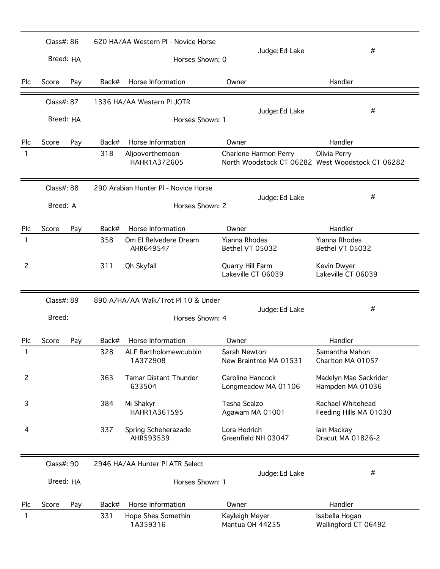|                | Class#: 86              |     |                                   | 620 HA/AA Western PI - Novice Horse           |                                         |                                                                  |
|----------------|-------------------------|-----|-----------------------------------|-----------------------------------------------|-----------------------------------------|------------------------------------------------------------------|
|                | Breed: HA               |     | Judge: Ed Lake<br>Horses Shown: 0 |                                               |                                         | #                                                                |
| Plc            | Score                   | Pay | Back#                             | Horse Information                             | Owner                                   | Handler                                                          |
|                | Class#: 87<br>Breed: HA |     |                                   | 1336 HA/AA Western PI JOTR<br>Horses Shown: 1 | Judge: Ed Lake                          | #                                                                |
|                |                         |     |                                   |                                               |                                         |                                                                  |
| Plc            | Score                   | Pay | Back#                             | Horse Information                             | Owner                                   | Handler                                                          |
| 1              |                         |     | 318                               | Aljooverthemoon<br>HAHR1A372605               | Charlene Harmon Perry                   | Olivia Perry<br>North Woodstock CT 06282 West Woodstock CT 06282 |
|                | Class#: 88              |     |                                   | 290 Arabian Hunter PI - Novice Horse          | Judge: Ed Lake                          | #                                                                |
|                | Breed: A                |     |                                   | Horses Shown: 2                               |                                         |                                                                  |
| Plc            | Score                   | Pay | Back#                             | Horse Information                             | Owner                                   | Handler                                                          |
| 1              |                         |     | 358                               | Om El Belvedere Dream<br>AHR649547            | Yianna Rhodes<br>Bethel VT 05032        | <b>Yianna Rhodes</b><br>Bethel VT 05032                          |
| 2              |                         |     | 311                               | Qh Skyfall                                    | Quarry Hill Farm<br>Lakeville CT 06039  | Kevin Dwyer<br>Lakeville CT 06039                                |
|                | Class#: 89              |     |                                   | 890 A/HA/AA Walk/Trot Pl 10 & Under           |                                         |                                                                  |
|                | Breed:                  |     | Judge: Ed Lake<br>Horses Shown: 4 |                                               |                                         | #                                                                |
| Plc            | Score                   | Pay | Back#                             | Horse Information                             | Owner                                   | Handler                                                          |
| 1              |                         |     | 328                               | ALF Bartholomewcubbin<br>1A372908             | Sarah Newton<br>New Braintree MA 01531  | Samantha Mahon<br>Charlton MA 01057                              |
| $\overline{c}$ |                         |     | 363                               | <b>Tamar Distant Thunder</b><br>633504        | Caroline Hancock<br>Longmeadow MA 01106 | Madelyn Mae Sackrider<br>Hampden MA 01036                        |
| 3              |                         |     | 384                               | Mi Shakyr<br>HAHR1A361595                     | Tasha Scalzo<br>Agawam MA 01001         | Rachael Whitehead<br>Feeding Hills MA 01030                      |
| 4              |                         |     | 337                               | Spring Scheherazade<br>AHR593539              | Lora Hedrich<br>Greenfield NH 03047     | lain Mackay<br>Dracut MA 01826-2                                 |
|                | Class#: 90              |     |                                   | 2946 HA/AA Hunter PI ATR Select               |                                         |                                                                  |
|                | Breed: HA               |     |                                   | Horses Shown: 1                               | Judge: Ed Lake                          | #                                                                |
| Plc            | Score                   | Pay | Back#                             | Horse Information                             | Owner                                   | Handler                                                          |
| 1              |                         |     | 331                               | Hope Shes Somethin<br>1A359316                | Kayleigh Meyer<br>Mantua OH 44255       | Isabella Hogan<br>Wallingford CT 06492                           |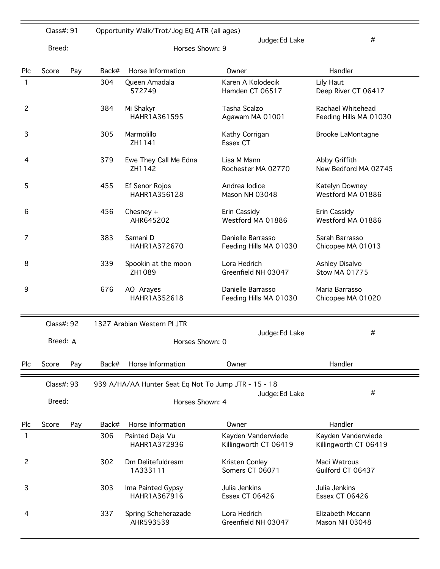|     | Class#: 91 |     |                                   | Opportunity Walk/Trot/Jog EQ ATR (all ages)          |                                             |                                             |  |  |  |
|-----|------------|-----|-----------------------------------|------------------------------------------------------|---------------------------------------------|---------------------------------------------|--|--|--|
|     | Breed:     |     | Judge: Ed Lake<br>Horses Shown: 9 |                                                      |                                             | #                                           |  |  |  |
| Plc | Score      | Pay | Back#                             | Horse Information                                    | Owner                                       | Handler                                     |  |  |  |
| 1   |            |     | 304                               | Queen Amadala<br>572749                              | Karen A Kolodecik<br>Hamden CT 06517        | Lily Haut<br>Deep River CT 06417            |  |  |  |
| 2   |            |     | 384                               | Mi Shakyr<br>HAHR1A361595                            | Tasha Scalzo<br>Agawam MA 01001             | Rachael Whitehead<br>Feeding Hills MA 01030 |  |  |  |
| 3   |            |     | 305                               | Marmolillo<br>ZH1141                                 | Kathy Corrigan<br>Essex CT                  | <b>Brooke LaMontagne</b>                    |  |  |  |
| 4   |            |     | 379                               | Ewe They Call Me Edna<br>ZH1142                      | Lisa M Mann<br>Rochester MA 02770           | Abby Griffith<br>New Bedford MA 02745       |  |  |  |
| 5   |            |     | 455                               | Ef Senor Rojos<br>HAHR1A356128                       | Andrea lodice<br>Mason NH 03048             | Katelyn Downey<br>Westford MA 01886         |  |  |  |
| 6   |            |     | 456                               | Chesney $+$<br>AHR645202                             | Erin Cassidy<br>Westford MA 01886           | Erin Cassidy<br>Westford MA 01886           |  |  |  |
| 7   |            |     | 383                               | Samani D<br>HAHR1A372670                             | Danielle Barrasso<br>Feeding Hills MA 01030 | Sarah Barrasso<br>Chicopee MA 01013         |  |  |  |
| 8   |            |     | 339                               | Spookin at the moon<br>ZH1089                        | Lora Hedrich<br>Greenfield NH 03047         | Ashley Disalvo<br><b>Stow MA 01775</b>      |  |  |  |
| 9   |            |     | 676                               | AO Arayes<br>HAHR1A352618                            | Danielle Barrasso<br>Feeding Hills MA 01030 | Maria Barrasso<br>Chicopee MA 01020         |  |  |  |
|     | Class#: 92 |     |                                   | 1327 Arabian Western PI JTR                          |                                             |                                             |  |  |  |
|     | Breed: A   |     |                                   | Judge: Ed Lake<br>Horses Shown: 0                    |                                             | #                                           |  |  |  |
| Plc | Score      | Pay | Back#                             | Horse Information                                    | Owner                                       | Handler                                     |  |  |  |
|     | Class#: 93 |     |                                   | 939 A/HA/AA Hunter Seat Eq Not To Jump JTR - 15 - 18 | Judge: Ed Lake                              | #                                           |  |  |  |
|     | Breed:     |     |                                   | Horses Shown: 4                                      |                                             |                                             |  |  |  |
| Plc | Score      | Pay | Back#                             | Horse Information                                    | Owner                                       | Handler                                     |  |  |  |
| 1   |            |     | 306                               | Painted Deja Vu<br>HAHR1A372936                      | Kayden Vanderwiede<br>Killingworth CT 06419 | Kayden Vanderwiede<br>Killingworth CT 06419 |  |  |  |
| 2   |            |     | 302                               | Dm Delitefuldream<br>1A333111                        | Kristen Conley<br>Somers CT 06071           | Maci Watrous<br>Guilford CT 06437           |  |  |  |
| 3   |            |     | 303                               | Ima Painted Gypsy<br>HAHR1A367916                    | Julia Jenkins<br><b>Essex CT 06426</b>      | Julia Jenkins<br><b>Essex CT 06426</b>      |  |  |  |
| 4   |            |     | 337                               | Spring Scheherazade<br>AHR593539                     | Lora Hedrich<br>Greenfield NH 03047         | Elizabeth Mccann<br>Mason NH 03048          |  |  |  |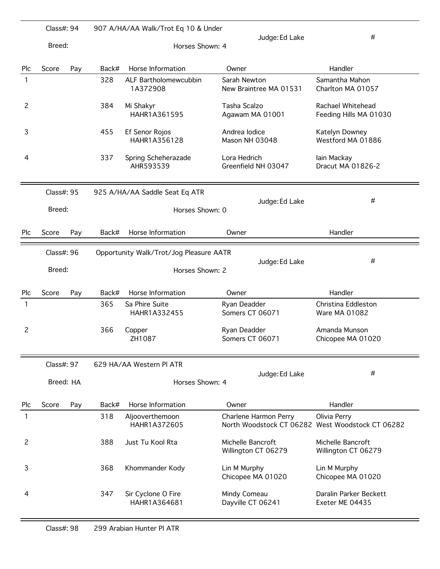|                | Class#: 94                                            |     |                                   | 907 A/HA/AA Walk/Trot Eq 10 & Under |                                          |                                                                  |  |  |  |
|----------------|-------------------------------------------------------|-----|-----------------------------------|-------------------------------------|------------------------------------------|------------------------------------------------------------------|--|--|--|
|                | Breed:                                                |     |                                   | Horses Shown: 4                     | Judge: Ed Lake                           | #                                                                |  |  |  |
| Plc            | Score                                                 | Pay | Back#                             | Horse Information                   | Owner                                    | Handler                                                          |  |  |  |
| 1              |                                                       |     | 328                               | ALF Bartholomewcubbin<br>1A372908   | Sarah Newton<br>New Braintree MA 01531   | Samantha Mahon<br>Charlton MA 01057                              |  |  |  |
| $\overline{c}$ |                                                       |     | 384                               | Mi Shakyr<br>HAHR1A361595           | Tasha Scalzo<br>Agawam MA 01001          | Rachael Whitehead<br>Feeding Hills MA 01030                      |  |  |  |
| 3              |                                                       |     | 455                               | Ef Senor Rojos<br>HAHR1A356128      | Andrea lodice<br>Mason NH 03048          | Katelyn Downey<br>Westford MA 01886                              |  |  |  |
| 4              |                                                       |     | 337                               | Spring Scheherazade<br>AHR593539    | Lora Hedrich<br>Greenfield NH 03047      | lain Mackay<br>Dracut MA 01826-2                                 |  |  |  |
|                | Class#: 95                                            |     |                                   | 925 A/HA/AA Saddle Seat Eq ATR      |                                          | #                                                                |  |  |  |
|                | Breed:                                                |     | Judge: Ed Lake<br>Horses Shown: 0 |                                     |                                          |                                                                  |  |  |  |
| Plc            | Score                                                 | Pay | Back#                             | Horse Information                   | Owner                                    | Handler                                                          |  |  |  |
|                | Class#: 96<br>Opportunity Walk/Trot/Jog Pleasure AATR |     |                                   |                                     |                                          |                                                                  |  |  |  |
|                | Breed:                                                |     | Horses Shown: 2                   |                                     | Judge: Ed Lake                           | #                                                                |  |  |  |
| Plc            | Score                                                 | Pay | Back#                             | Horse Information                   | Owner                                    | Handler                                                          |  |  |  |
| 1              |                                                       |     | 365                               | Sa Phire Suite<br>HAHR1A332455      | Ryan Deadder<br>Somers CT 06071          | Christina Eddleston<br>Ware MA 01082                             |  |  |  |
| $\overline{c}$ |                                                       |     | 366                               | Copper<br>ZH1087                    | Ryan Deadder<br>Somers CT 06071          | Amanda Munson<br>Chicopee MA 01020                               |  |  |  |
|                | Class#: 97                                            |     |                                   | 629 HA/AA Western PI ATR            |                                          |                                                                  |  |  |  |
|                | Breed: HA                                             |     |                                   | Judge: Ed Lake<br>Horses Shown: 4   |                                          | #                                                                |  |  |  |
| Plc            | Score                                                 | Pay | Back#                             | Horse Information                   | Owner                                    | Handler                                                          |  |  |  |
| 1              |                                                       |     | 318                               | Aljooverthemoon<br>HAHR1A372605     | Charlene Harmon Perry                    | Olivia Perry<br>North Woodstock CT 06282 West Woodstock CT 06282 |  |  |  |
| $\overline{c}$ |                                                       |     | 388                               | Just Tu Kool Rta                    | Michelle Bancroft<br>Willington CT 06279 | Michelle Bancroft<br>Willington CT 06279                         |  |  |  |
| 3              |                                                       |     | 368                               | Khommander Kody                     | Lin M Murphy<br>Chicopee MA 01020        | Lin M Murphy<br>Chicopee MA 01020                                |  |  |  |
| 4              |                                                       |     | 347                               | Sir Cyclone O Fire<br>HAHR1A364681  | Mindy Comeau<br>Dayville CT 06241        | Daralin Parker Beckett<br>Exeter ME 04435                        |  |  |  |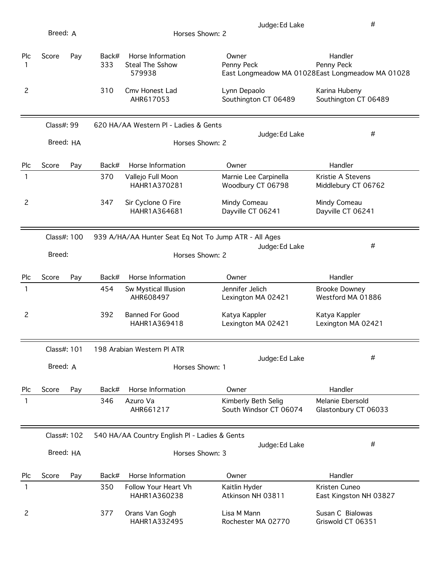| Breed: A       |                                             |     |              | #<br>Judge: Ed Lake<br>Horses Shown: 2                |                                               |                                                                           |  |  |  |
|----------------|---------------------------------------------|-----|--------------|-------------------------------------------------------|-----------------------------------------------|---------------------------------------------------------------------------|--|--|--|
| Plc<br>1       | Score                                       | Pay | Back#<br>333 | Horse Information<br>Steal The Sshow<br>579938        | Owner<br>Penny Peck                           | Handler<br>Penny Peck<br>East Longmeadow MA 01028East Longmeadow MA 01028 |  |  |  |
| 2              |                                             |     | 310          | Cmv Honest Lad<br>AHR617053                           | Lynn Depaolo<br>Southington CT 06489          | Karina Hubeny<br>Southington CT 06489                                     |  |  |  |
|                | Class#: 99                                  |     |              | 620 HA/AA Western PI - Ladies & Gents                 |                                               | #                                                                         |  |  |  |
|                | Breed: HA                                   |     |              | Horses Shown: 2                                       | Judge: Ed Lake                                |                                                                           |  |  |  |
| Plc            | Score                                       | Pay | Back#        | Horse Information                                     | Owner                                         | Handler                                                                   |  |  |  |
| 1              |                                             |     | 370          | Vallejo Full Moon<br>HAHR1A370281                     | Marnie Lee Carpinella<br>Woodbury CT 06798    | Kristie A Stevens<br>Middlebury CT 06762                                  |  |  |  |
| $\overline{c}$ |                                             |     | 347          | Sir Cyclone O Fire<br>HAHR1A364681                    | Mindy Comeau<br>Dayville CT 06241             | Mindy Comeau<br>Dayville CT 06241                                         |  |  |  |
|                | Class#: 100                                 |     |              | 939 A/HA/AA Hunter Seat Eq Not To Jump ATR - All Ages |                                               |                                                                           |  |  |  |
|                | Judge: Ed Lake<br>Breed:<br>Horses Shown: 2 |     |              |                                                       |                                               | #                                                                         |  |  |  |
|                |                                             |     |              |                                                       |                                               |                                                                           |  |  |  |
| Plc            | Score                                       | Pay | Back#        | Horse Information                                     | Owner                                         | Handler                                                                   |  |  |  |
| 1              |                                             |     | 454          | Sw Mystical Illusion<br>AHR608497                     | Jennifer Jelich<br>Lexington MA 02421         | <b>Brooke Downey</b><br>Westford MA 01886                                 |  |  |  |
| 2              |                                             |     | 392          | <b>Banned For Good</b><br>HAHR1A369418                | Katya Kappler<br>Lexington MA 02421           | Katya Kappler<br>Lexington MA 02421                                       |  |  |  |
|                | Class#: 101                                 |     |              | 198 Arabian Western PI ATR                            |                                               |                                                                           |  |  |  |
|                | Breed: A                                    |     |              | Horses Shown: 1                                       | Judge: Ed Lake                                | #                                                                         |  |  |  |
| Plc            | Score                                       | Pay | Back#        | Horse Information                                     | Owner                                         | Handler                                                                   |  |  |  |
| $\mathbf{1}$   |                                             |     | 346          | Azuro Va<br>AHR661217                                 | Kimberly Beth Selig<br>South Windsor CT 06074 | Melanie Ebersold<br>Glastonbury CT 06033                                  |  |  |  |
|                | Class#: 102                                 |     |              | 540 HA/AA Country English PI - Ladies & Gents         |                                               |                                                                           |  |  |  |
|                | Breed: HA                                   |     |              | Horses Shown: 3                                       | Judge: Ed Lake                                | #                                                                         |  |  |  |
| Plc            | Score                                       | Pay | Back#        | Horse Information                                     | Owner                                         | Handler                                                                   |  |  |  |
| 1              |                                             |     | 350          | Follow Your Heart Vh<br>HAHR1A360238                  | Kaitlin Hyder<br>Atkinson NH 03811            | Kristen Cuneo<br>East Kingston NH 03827                                   |  |  |  |
| 2              |                                             |     | 377          | Orans Van Gogh<br>HAHR1A332495                        | Lisa M Mann<br>Rochester MA 02770             | Susan C Bialowas<br>Griswold CT 06351                                     |  |  |  |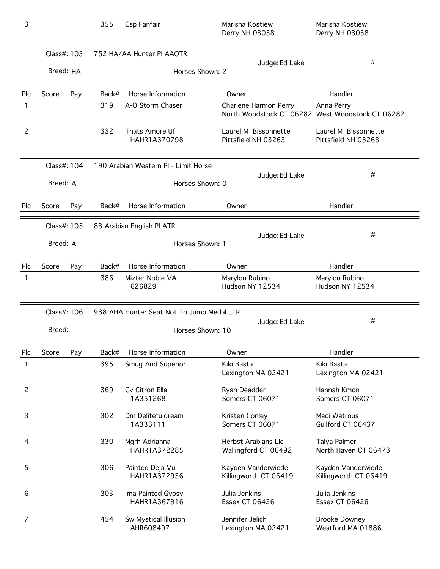| 3              |                          |     | 355                                     | Csp Fanfair                               | Marisha Kostiew<br>Derry NH 03038           | Marisha Kostiew<br>Derry NH 03038                              |  |
|----------------|--------------------------|-----|-----------------------------------------|-------------------------------------------|---------------------------------------------|----------------------------------------------------------------|--|
|                | Class#: 103<br>Breed: HA |     |                                         | 752 HA/AA Hunter PI AAOTR                 | Judge: Ed Lake<br>Horses Shown: 2           | #                                                              |  |
|                |                          |     |                                         |                                           |                                             |                                                                |  |
| Plc            | Score                    | Pay | Back#                                   | Horse Information                         | Owner                                       | Handler                                                        |  |
| 1              |                          |     | 319                                     | A-O Storm Chaser                          | Charlene Harmon Perry                       | Anna Perry<br>North Woodstock CT 06282 West Woodstock CT 06282 |  |
| $\overline{c}$ |                          |     | 332                                     | Thats Amore Uf<br>HAHR1A370798            | Laurel M Bissonnette<br>Pittsfield NH 03263 | Laurel M Bissonnette<br>Pittsfield NH 03263                    |  |
|                | Class#: 104              |     |                                         | 190 Arabian Western PI - Limit Horse      |                                             | #                                                              |  |
|                | Breed: A                 |     |                                         |                                           | Judge: Ed Lake<br>Horses Shown: 0           |                                                                |  |
| Plc            | Score                    | Pay | Back#                                   | Horse Information                         | Owner                                       | Handler                                                        |  |
|                | Class#: 105              |     |                                         | 83 Arabian English PI ATR                 |                                             |                                                                |  |
|                | Breed: A                 |     | Judge: Ed Lake<br>Horses Shown: 1       |                                           |                                             | #                                                              |  |
| Plc            | Score                    | Pay | Back#                                   | Horse Information                         | Owner                                       | Handler                                                        |  |
| 1              |                          |     | 386                                     | Mizter Noble VA<br>626829                 | Marylou Rubino<br>Hudson NY 12534           | Marylou Rubino<br>Hudson NY 12534                              |  |
|                | Class#: 106              |     |                                         | 938 AHA Hunter Seat Not To Jump Medal JTR |                                             |                                                                |  |
|                | Breed:                   |     | #<br>Judge: Ed Lake<br>Horses Shown: 10 |                                           |                                             |                                                                |  |
| Plc            | Score                    | Pay | Back#                                   | Horse Information                         | Owner                                       | Handler                                                        |  |
| 1              |                          |     | 395                                     | Smug And Superior                         | Kiki Basta<br>Lexington MA 02421            | Kiki Basta<br>Lexington MA 02421                               |  |
| $\overline{c}$ |                          |     | 369                                     | Gv Citron Ella<br>1A351268                | Ryan Deadder<br>Somers CT 06071             | Hannah Kmon<br>Somers CT 06071                                 |  |
| 3              |                          |     | 302                                     | Dm Delitefuldream<br>1A333111             | Kristen Conley<br>Somers CT 06071           | Maci Watrous<br>Guilford CT 06437                              |  |
| $\overline{4}$ |                          |     | 330                                     | Mgrh Adrianna<br>HAHR1A372285             | Herbst Arabians Llc<br>Wallingford CT 06492 | Talya Palmer<br>North Haven CT 06473                           |  |
| 5              |                          |     | 306                                     | Painted Deja Vu<br>HAHR1A372936           | Kayden Vanderwiede<br>Killingworth CT 06419 | Kayden Vanderwiede<br>Killingworth CT 06419                    |  |
| 6              |                          |     | 303                                     | Ima Painted Gypsy<br>HAHR1A367916         | Julia Jenkins<br>Essex CT 06426             | Julia Jenkins<br><b>Essex CT 06426</b>                         |  |
| $\overline{7}$ |                          |     | 454                                     | Sw Mystical Illusion<br>AHR608497         | Jennifer Jelich<br>Lexington MA 02421       | <b>Brooke Downey</b><br>Westford MA 01886                      |  |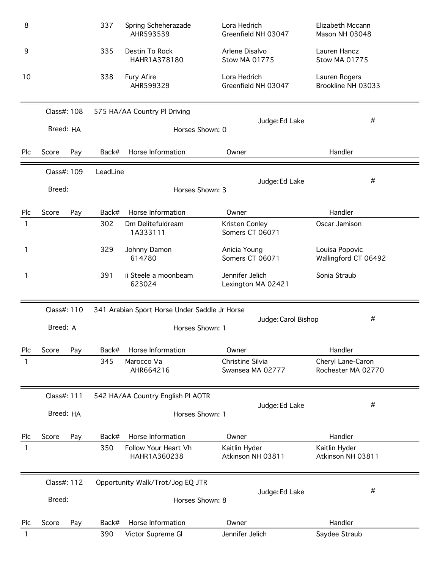| 8   |             |     | 337      | Spring Scheherazade<br>AHR593539              | Lora Hedrich<br>Greenfield NH 03047    | Elizabeth Mccann<br>Mason NH 03048      |  |  |  |
|-----|-------------|-----|----------|-----------------------------------------------|----------------------------------------|-----------------------------------------|--|--|--|
| 9   |             |     | 335      | Destin To Rock<br>HAHR1A378180                | Arlene Disalvo<br><b>Stow MA 01775</b> | Lauren Hancz<br><b>Stow MA 01775</b>    |  |  |  |
| 10  |             |     | 338      | <b>Fury Afire</b><br>AHR599329                | Lora Hedrich<br>Greenfield NH 03047    | Lauren Rogers<br>Brookline NH 03033     |  |  |  |
|     | Class#: 108 |     |          | 575 HA/AA Country Pl Driving                  |                                        |                                         |  |  |  |
|     | Breed: HA   |     |          | Horses Shown: 0                               | Judge: Ed Lake                         | #                                       |  |  |  |
| Plc | Score       | Pay | Back#    | Horse Information                             | Owner                                  | Handler                                 |  |  |  |
|     | Class#: 109 |     | LeadLine |                                               |                                        |                                         |  |  |  |
|     | Breed:      |     |          | Horses Shown: 3                               | Judge: Ed Lake                         | #                                       |  |  |  |
| Plc | Score       | Pay | Back#    | Horse Information                             | Owner                                  | Handler                                 |  |  |  |
| 1   |             |     | 302      | Dm Delitefuldream<br>1A333111                 | Kristen Conley<br>Somers CT 06071      | Oscar Jamison                           |  |  |  |
| 1   |             |     | 329      | Johnny Damon<br>614780                        | Anicia Young<br>Somers CT 06071        | Louisa Popovic<br>Wallingford CT 06492  |  |  |  |
| 1   |             |     | 391      | ii Steele a moonbeam<br>623024                | Jennifer Jelich<br>Lexington MA 02421  | Sonia Straub                            |  |  |  |
|     | Class#: 110 |     |          | 341 Arabian Sport Horse Under Saddle Jr Horse |                                        |                                         |  |  |  |
|     | Breed: A    |     |          | Horses Shown: 1                               | Judge: Carol Bishop                    | #                                       |  |  |  |
| Plc | Score       | Pay | Back#    | Horse Information                             | Owner                                  | Handler                                 |  |  |  |
| 1   |             |     | 345      | Marocco Va<br>AHR664216                       | Christine Silvia<br>Swansea MA 02777   | Cheryl Lane-Caron<br>Rochester MA 02770 |  |  |  |
|     | Class#: 111 |     |          | 542 HA/AA Country English PI AOTR             |                                        |                                         |  |  |  |
|     | Breed: HA   |     |          | Horses Shown: 1                               | Judge: Ed Lake                         | #                                       |  |  |  |
| Plc | Score       | Pay | Back#    | Horse Information                             | Owner                                  | Handler                                 |  |  |  |
| 1   |             |     | 350      | Follow Your Heart Vh<br>HAHR1A360238          | Kaitlin Hyder<br>Atkinson NH 03811     | Kaitlin Hyder<br>Atkinson NH 03811      |  |  |  |
|     | Class#: 112 |     |          | Opportunity Walk/Trot/Jog EQ JTR              |                                        |                                         |  |  |  |
|     | Breed:      |     |          | Horses Shown: 8                               | Judge: Ed Lake                         | #                                       |  |  |  |
| Plc | Score       | Pay | Back#    | Horse Information                             | Owner                                  | Handler                                 |  |  |  |
| 1   |             |     | 390      | Victor Supreme Gl                             | Jennifer Jelich                        | Saydee Straub                           |  |  |  |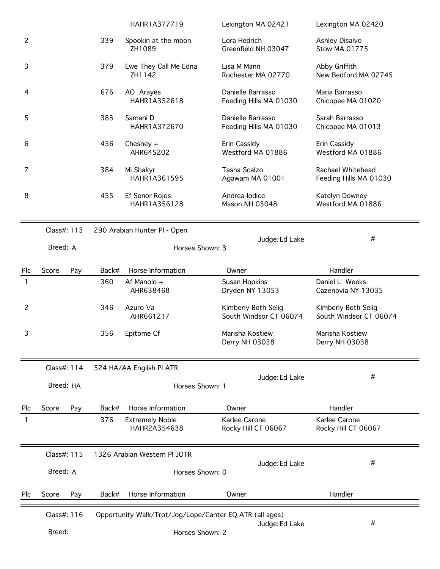|                |              |       | HAHR1A377719                           | Lexington MA 02421                                      | Lexington MA 02420                            |
|----------------|--------------|-------|----------------------------------------|---------------------------------------------------------|-----------------------------------------------|
| $\mathbf{2}$   |              | 339   | Spookin at the moon<br>ZH1089          | Lora Hedrich<br>Greenfield NH 03047                     | Ashley Disalvo<br><b>Stow MA 01775</b>        |
| 3              |              | 379   | Ewe They Call Me Edna<br>ZH1142        | Lisa M Mann<br>Rochester MA 02770                       | Abby Griffith<br>New Bedford MA 02745         |
| 4              |              | 676   | AO Arayes<br>HAHR1A352618              | Danielle Barrasso<br>Feeding Hills MA 01030             | Maria Barrasso<br>Chicopee MA 01020           |
| 5              |              | 383   | Samani D<br>HAHR1A372670               | Danielle Barrasso<br>Feeding Hills MA 01030             | Sarah Barrasso<br>Chicopee MA 01013           |
| 6              |              | 456   | Chesney $+$<br>AHR645202               | Erin Cassidy<br>Westford MA 01886                       | Erin Cassidy<br>Westford MA 01886             |
| 7              |              | 384   | Mi Shakyr<br>HAHR1A361595              | Tasha Scalzo<br>Agawam MA 01001                         | Rachael Whitehead<br>Feeding Hills MA 01030   |
| 8              |              | 455   | Ef Senor Rojos<br>HAHR1A356128         | Andrea Iodice<br>Mason NH 03048                         | Katelyn Downey<br>Westford MA 01886           |
|                | Class#: 113  |       | 290 Arabian Hunter Pl - Open           | Judge: Ed Lake                                          |                                               |
|                | Breed: A     |       | Horses Shown: 3                        | #                                                       |                                               |
| Plc            | Score<br>Pay | Back# | Horse Information                      | Owner                                                   | Handler                                       |
| 1              |              | 360   | Af Manolo +<br>AHR638468               | Susan Hopkins<br>Dryden NY 13053                        | Daniel L Weeks<br>Cazenovia NY 13035          |
| $\overline{c}$ |              | 346   | Azuro Va<br>AHR661217                  | Kimberly Beth Selig<br>South Windsor CT 06074           | Kimberly Beth Selig<br>South Windsor CT 06074 |
| 3              |              | 356   | Epitome Cf                             | Marisha Kostiew<br>Derry NH 03038                       | Marisha Kostiew<br>Derry NH 03038             |
|                | Class#: 114  |       | 524 HA/AA English Pl ATR               |                                                         |                                               |
|                | Breed: HA    |       | Horses Shown: 1                        | Judge: Ed Lake                                          | #                                             |
| Plc            | Score<br>Pay | Back# | Horse Information                      | Owner                                                   | Handler                                       |
| 1              |              | 376   | <b>Extremely Noble</b><br>HAHR2A354638 | Karlee Carone<br>Rocky Hill CT 06067                    | Karlee Carone<br>Rocky Hill CT 06067          |
|                | Class#: 115  |       | 1326 Arabian Western PI JOTR           |                                                         |                                               |
|                | Breed: A     |       | Horses Shown: 0                        | Judge: Ed Lake                                          | #                                             |
| Plc            | Score<br>Pay | Back# | Horse Information                      | Owner                                                   | Handler                                       |
|                | Class#: 116  |       |                                        | Opportunity Walk/Trot/Jog/Lope/Canter EQ ATR (all ages) |                                               |
|                | Breed:       |       | Horses Shown: 2                        | #                                                       |                                               |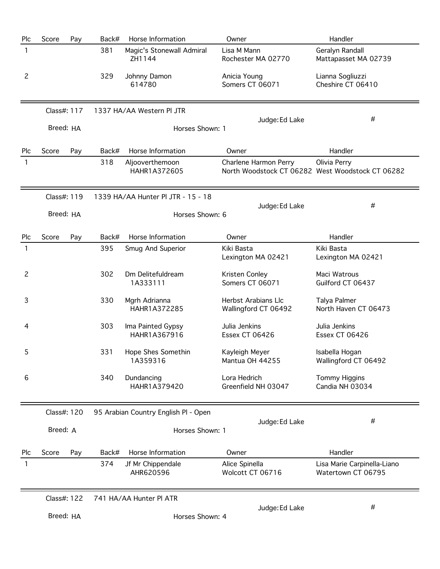| Plc            | Score       | Pay | Back# | Horse Information                    | Owner                                                                     | Handler                                           |
|----------------|-------------|-----|-------|--------------------------------------|---------------------------------------------------------------------------|---------------------------------------------------|
| 1              |             |     | 381   | Magic's Stonewall Admiral<br>ZH1144  | Lisa M Mann<br>Rochester MA 02770                                         | Geralyn Randall<br>Mattapasset MA 02739           |
| $\overline{c}$ |             |     | 329   | Johnny Damon<br>614780               | Anicia Young<br>Somers CT 06071                                           | Lianna Sogliuzzi<br>Cheshire CT 06410             |
|                | Class#: 117 |     |       | 1337 HA/AA Western PI JTR            |                                                                           | #                                                 |
|                | Breed: HA   |     |       | Horses Shown: 1                      | Judge: Ed Lake                                                            |                                                   |
| Plc            | Score       | Pay | Back# | Horse Information                    | Owner                                                                     | Handler                                           |
| 1              |             |     | 318   | Aljooverthemoon<br>HAHR1A372605      | Charlene Harmon Perry<br>North Woodstock CT 06282 West Woodstock CT 06282 | Olivia Perry                                      |
|                | Class#: 119 |     |       | 1339 HA/AA Hunter PI JTR - 15 - 18   |                                                                           |                                                   |
|                | Breed: HA   |     |       | Horses Shown: 6                      | Judge: Ed Lake                                                            | #                                                 |
| Plc            | Score       | Pay | Back# | Horse Information                    | Owner                                                                     | Handler                                           |
| 1              |             |     | 395   | Smug And Superior                    | Kiki Basta<br>Lexington MA 02421                                          | Kiki Basta<br>Lexington MA 02421                  |
| 2              |             |     | 302   | Dm Delitefuldream<br>1A333111        | Kristen Conley<br>Somers CT 06071                                         | Maci Watrous<br>Guilford CT 06437                 |
| 3              |             |     | 330   | Mgrh Adrianna<br>HAHR1A372285        | Herbst Arabians Llc<br>Wallingford CT 06492                               | Talya Palmer<br>North Haven CT 06473              |
| 4              |             |     | 303   | Ima Painted Gypsy<br>HAHR1A367916    | Julia Jenkins<br>Essex CT 06426                                           | Julia Jenkins<br><b>Essex CT 06426</b>            |
| 5              |             |     | 331   | Hope Shes Somethin<br>1A359316       | Kayleigh Meyer<br>Mantua OH 44255                                         | Isabella Hogan<br>Wallingford CT 06492            |
| 6              |             |     | 340   | Dundancing<br>HAHR1A379420           | Lora Hedrich<br>Greenfield NH 03047                                       | <b>Tommy Higgins</b><br>Candia NH 03034           |
|                | Class#: 120 |     |       | 95 Arabian Country English PI - Open |                                                                           |                                                   |
|                | Breed: A    |     |       | Horses Shown: 1                      | Judge: Ed Lake                                                            | #                                                 |
| Plc            | Score       | Pay | Back# | Horse Information                    | Owner                                                                     | Handler                                           |
| 1              |             |     | 374   | Jf Mr Chippendale<br>AHR620596       | Alice Spinella<br>Wolcott CT 06716                                        | Lisa Marie Carpinella-Liano<br>Watertown CT 06795 |
|                | Class#: 122 |     |       | 741 HA/AA Hunter PI ATR              |                                                                           |                                                   |
|                | Breed: HA   |     |       | Horses Shown: 4                      | Judge: Ed Lake                                                            | $^{\#}$                                           |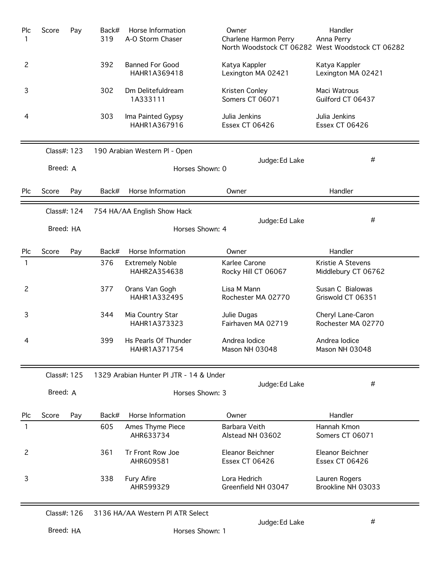| Plc<br>1       | Score       | Pay                                            | Back#<br>319 | Horse Information<br>A-O Storm Chaser   | Owner<br>Charlene Harmon Perry       | Handler<br>Anna Perry<br>North Woodstock CT 06282 West Woodstock CT 06282 |
|----------------|-------------|------------------------------------------------|--------------|-----------------------------------------|--------------------------------------|---------------------------------------------------------------------------|
| $\overline{c}$ |             |                                                | 392          | <b>Banned For Good</b><br>HAHR1A369418  | Katya Kappler<br>Lexington MA 02421  | Katya Kappler<br>Lexington MA 02421                                       |
| 3              |             |                                                | 302          | Dm Delitefuldream<br>1A333111           | Kristen Conley<br>Somers CT 06071    | Maci Watrous<br>Guilford CT 06437                                         |
| 4              |             |                                                | 303          | Ima Painted Gypsy<br>HAHR1A367916       | Julia Jenkins<br>Essex CT 06426      | Julia Jenkins<br>Essex CT 06426                                           |
|                | Class#: 123 |                                                |              | 190 Arabian Western Pl - Open           |                                      |                                                                           |
|                | Breed: A    |                                                |              | Horses Shown: 0                         | Judge: Ed Lake                       | #                                                                         |
| <b>Plc</b>     | Score       | Pay                                            | Back#        | Horse Information                       | Owner                                | Handler                                                                   |
|                | Class#: 124 |                                                |              | 754 HA/AA English Show Hack             |                                      |                                                                           |
|                |             | Judge: Ed Lake<br>Breed: HA<br>Horses Shown: 4 |              |                                         |                                      | #                                                                         |
| Plc            | Score       | Pay                                            | Back#        | Horse Information                       | Owner                                | Handler                                                                   |
| 1              |             |                                                | 376          | <b>Extremely Noble</b><br>HAHR2A354638  | Karlee Carone<br>Rocky Hill CT 06067 | Kristie A Stevens<br>Middlebury CT 06762                                  |
| $\overline{c}$ |             |                                                | 377          | Orans Van Gogh<br>HAHR1A332495          | Lisa M Mann<br>Rochester MA 02770    | Susan C Bialowas<br>Griswold CT 06351                                     |
| 3              |             |                                                | 344          | Mia Country Star<br>HAHR1A373323        | Julie Dugas<br>Fairhaven MA 02719    | Cheryl Lane-Caron<br>Rochester MA 02770                                   |
| 4              |             |                                                | 399          | Hs Pearls Of Thunder<br>HAHR1A371754    | Andrea lodice<br>Mason NH 03048      | Andrea Iodice<br>Mason NH 03048                                           |
|                | Class#: 125 |                                                |              | 1329 Arabian Hunter PI JTR - 14 & Under |                                      |                                                                           |
|                | Breed: A    |                                                |              | Horses Shown: 3                         | Judge: Ed Lake                       | #                                                                         |
| Plc            | Score       | Pay                                            | Back#        | Horse Information                       | Owner                                | Handler                                                                   |
| 1              |             |                                                | 605          | Ames Thyme Piece<br>AHR633734           | Barbara Veith<br>Alstead NH 03602    | Hannah Kmon<br>Somers CT 06071                                            |
| $\overline{c}$ |             |                                                | 361          | Tr Front Row Joe<br>AHR609581           | Eleanor Beichner<br>Essex CT 06426   | Eleanor Beichner<br><b>Essex CT 06426</b>                                 |
| 3              |             |                                                | 338          | <b>Fury Afire</b><br>AHR599329          | Lora Hedrich<br>Greenfield NH 03047  | Lauren Rogers<br>Brookline NH 03033                                       |

Class#: 126 3136 HA/AA Western Pl ATR Select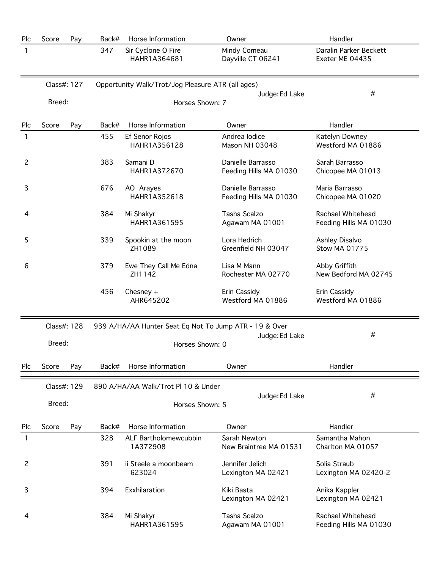| Plc            | Score       | Pay | Back# | Horse Information                                      | Owner                                       | Handler                                     |
|----------------|-------------|-----|-------|--------------------------------------------------------|---------------------------------------------|---------------------------------------------|
| 1              |             |     | 347   | Sir Cyclone O Fire<br>HAHR1A364681                     | Mindy Comeau<br>Dayville CT 06241           | Daralin Parker Beckett<br>Exeter ME 04435   |
|                | Class#: 127 |     |       | Opportunity Walk/Trot/Jog Pleasure ATR (all ages)      |                                             |                                             |
|                |             |     |       |                                                        | #                                           |                                             |
|                | Breed:      |     |       | Horses Shown: 7                                        |                                             |                                             |
| Plc            | Score       | Pay | Back# | Horse Information                                      | Owner                                       | Handler                                     |
| 1              |             |     | 455   | Ef Senor Rojos<br>HAHR1A356128                         | Andrea Iodice<br>Mason NH 03048             | Katelyn Downey<br>Westford MA 01886         |
| $\overline{c}$ |             |     | 383   | Samani D<br>HAHR1A372670                               | Danielle Barrasso<br>Feeding Hills MA 01030 | Sarah Barrasso<br>Chicopee MA 01013         |
| 3              |             |     | 676   | AO Arayes<br>HAHR1A352618                              | Danielle Barrasso<br>Feeding Hills MA 01030 | Maria Barrasso<br>Chicopee MA 01020         |
| 4              |             |     | 384   | Mi Shakyr<br>HAHR1A361595                              | Tasha Scalzo<br>Agawam MA 01001             | Rachael Whitehead<br>Feeding Hills MA 01030 |
| 5              |             |     | 339   | Spookin at the moon<br>ZH1089                          | Lora Hedrich<br>Greenfield NH 03047         | Ashley Disalvo<br><b>Stow MA 01775</b>      |
| 6              |             |     | 379   | Ewe They Call Me Edna<br>ZH1142                        | Lisa M Mann<br>Rochester MA 02770           | Abby Griffith<br>New Bedford MA 02745       |
|                |             |     | 456   | Chesney $+$<br>AHR645202                               | Erin Cassidy<br>Westford MA 01886           | Erin Cassidy<br>Westford MA 01886           |
|                | Class#: 128 |     |       | 939 A/HA/AA Hunter Seat Eq Not To Jump ATR - 19 & Over |                                             |                                             |
|                | Breed:      |     |       | Horses Shown: 0                                        | Judge: Ed Lake                              | #                                           |
| Plc            | Score       | Pay | Back# | Horse Information                                      | Owner                                       | Handler                                     |
|                | Class#: 129 |     |       | 890 A/HA/AA Walk/Trot Pl 10 & Under                    |                                             |                                             |
|                | Breed:      |     |       | Horses Shown: 5                                        | Judge: Ed Lake                              | #                                           |
| Plc            | Score       | Pay | Back# | Horse Information                                      | Owner                                       | Handler                                     |
| 1              |             |     | 328   | ALF Bartholomewcubbin<br>1A372908                      | Sarah Newton<br>New Braintree MA 01531      | Samantha Mahon<br>Charlton MA 01057         |
| 2              |             |     | 391   | ii Steele a moonbeam<br>623024                         | Jennifer Jelich<br>Lexington MA 02421       | Solia Straub<br>Lexington MA 02420-2        |
| 3              |             |     | 394   | Exxhilaration                                          | Kiki Basta<br>Lexington MA 02421            | Anika Kappler<br>Lexington MA 02421         |
| 4              |             |     | 384   | Mi Shakyr<br>HAHR1A361595                              | Tasha Scalzo<br>Agawam MA 01001             | Rachael Whitehead<br>Feeding Hills MA 01030 |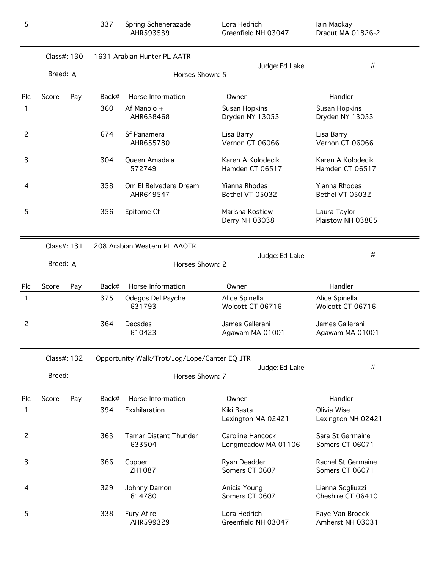|                | Class#: 130 |     | 1631 Arabian Hunter PL AATR                                    |                                    |                                         |                                       |
|----------------|-------------|-----|----------------------------------------------------------------|------------------------------------|-----------------------------------------|---------------------------------------|
|                | Breed: A    |     | Horses Shown: 5                                                |                                    | Judge: Ed Lake                          | #                                     |
| Plc            | Score       | Pay | Back#                                                          | Horse Information                  | Owner                                   | Handler                               |
| 1              |             |     | 360                                                            | Af Manolo +<br>AHR638468           | Susan Hopkins<br>Dryden NY 13053        | Susan Hopkins<br>Dryden NY 13053      |
| 2              |             |     | 674                                                            | Sf Panamera<br>AHR655780           | Lisa Barry<br>Vernon CT 06066           | Lisa Barry<br>Vernon CT 06066         |
| 3              |             |     | 304                                                            | Queen Amadala<br>572749            | Karen A Kolodecik<br>Hamden CT 06517    | Karen A Kolodecik<br>Hamden CT 06517  |
| 4              |             |     | 358                                                            | Om El Belvedere Dream<br>AHR649547 | <b>Yianna Rhodes</b><br>Bethel VT 05032 | Yianna Rhodes<br>Bethel VT 05032      |
| 5              |             |     | 356                                                            | Epitome Cf                         | Marisha Kostiew<br>Derry NH 03038       | Laura Taylor<br>Plaistow NH 03865     |
|                | Class#: 131 |     |                                                                | 208 Arabian Western PL AAOTR       | Judge: Ed Lake                          | #                                     |
|                | Breed: A    |     | Horses Shown: 2                                                |                                    |                                         |                                       |
| Plc            | Score       | Pay | Back#                                                          | Horse Information                  | Owner                                   | Handler                               |
| 1              |             |     | 375                                                            | Odegos Del Psyche<br>631793        | Alice Spinella<br>Wolcott CT 06716      | Alice Spinella<br>Wolcott CT 06716    |
| 2              |             |     | 364                                                            | Decades<br>610423                  | James Gallerani<br>Agawam MA 01001      | James Gallerani<br>Agawam MA 01001    |
|                | Class#: 132 |     | Opportunity Walk/Trot/Jog/Lope/Canter EQ JTR<br>Judge: Ed Lake |                                    |                                         | #                                     |
|                | Breed:      |     |                                                                | Horses Shown: 7                    |                                         |                                       |
| Plc            | Score       | Pay | Back#                                                          | Horse Information                  | Owner                                   | Handler                               |
| $\mathbf{1}$   |             |     | 394                                                            | Exxhilaration                      | Kiki Basta<br>Lexington MA 02421        | Olivia Wise<br>Lexington NH 02421     |
| $\overline{c}$ |             |     | 363                                                            | Tamar Distant Thunder<br>633504    | Caroline Hancock<br>Longmeadow MA 01106 | Sara St Germaine<br>Somers CT 06071   |
| 3              |             |     | 366                                                            | Copper<br>ZH1087                   | Ryan Deadder<br>Somers CT 06071         | Rachel St Germaine<br>Somers CT 06071 |
| 4              |             |     | 329                                                            | Johnny Damon<br>614780             | Anicia Young<br>Somers CT 06071         | Lianna Sogliuzzi<br>Cheshire CT 06410 |
| 5              |             |     | 338                                                            | Fury Afire<br>AHR599329            | Lora Hedrich<br>Greenfield NH 03047     | Faye Van Broeck<br>Amherst NH 03031   |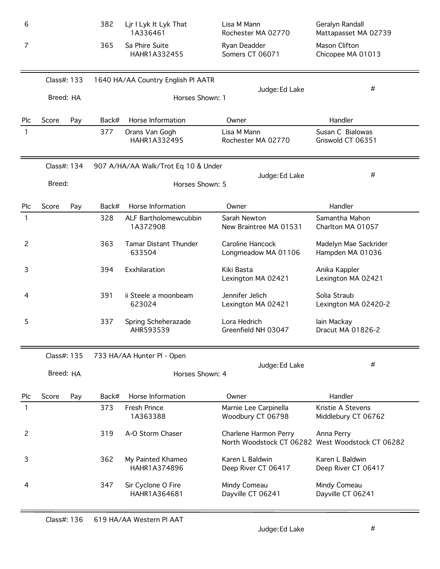| 6              |             |     | 382   | Ljr I Lyk It Lyk That<br>1A336461   | Lisa M Mann<br>Rochester MA 02770                                         | Geralyn Randall<br>Mattapasset MA 02739   |
|----------------|-------------|-----|-------|-------------------------------------|---------------------------------------------------------------------------|-------------------------------------------|
| 7              |             |     | 365   | Sa Phire Suite<br>HAHR1A332455      | Ryan Deadder<br>Somers CT 06071                                           | Mason Clifton<br>Chicopee MA 01013        |
|                | Class#: 133 |     |       | 1640 HA/AA Country English PI AATR  |                                                                           |                                           |
|                | Breed: HA   |     |       | Horses Shown: 1                     | Judge: Ed Lake                                                            | #                                         |
| Plc            | Score       | Pay | Back# | Horse Information                   | Owner                                                                     | Handler                                   |
| 1              |             |     | 377   | Orans Van Gogh<br>HAHR1A332495      | Lisa M Mann<br>Rochester MA 02770                                         | Susan C Bialowas<br>Griswold CT 06351     |
|                | Class#: 134 |     |       | 907 A/HA/AA Walk/Trot Eq 10 & Under |                                                                           |                                           |
|                | Breed:      |     |       | Horses Shown: 5                     | Judge: Ed Lake                                                            | #                                         |
| Plc            | Score       | Pay | Back# | Horse Information                   | Owner                                                                     | Handler                                   |
| 1              |             |     | 328   | ALF Bartholomewcubbin<br>1A372908   | Sarah Newton<br>New Braintree MA 01531                                    | Samantha Mahon<br>Charlton MA 01057       |
| $\overline{c}$ |             |     | 363   | Tamar Distant Thunder<br>633504     | Caroline Hancock<br>Longmeadow MA 01106                                   | Madelyn Mae Sackrider<br>Hampden MA 01036 |
| 3              |             |     | 394   | Exxhilaration                       | Kiki Basta<br>Lexington MA 02421                                          | Anika Kappler<br>Lexington MA 02421       |
| 4              |             |     | 391   | ii Steele a moonbeam<br>623024      | Jennifer Jelich<br>Lexington MA 02421                                     | Solia Straub<br>Lexington MA 02420-2      |
| 5              |             |     | 337   | Spring Scheherazade<br>AHR593539    | Lora Hedrich<br>Greenfield NH 03047                                       | lain Mackay<br>Dracut MA 01826-2          |
|                | Class#: 135 |     |       | 733 HA/AA Hunter Pl - Open          |                                                                           |                                           |
|                | Breed: HA   |     |       | Horses Shown: 4                     | Judge: Ed Lake                                                            | #                                         |
| Plc            | Score       | Pay | Back# | Horse Information                   | Owner                                                                     | Handler                                   |
| 1              |             |     | 373   | <b>Fresh Prince</b><br>1A363388     | Marnie Lee Carpinella<br>Woodbury CT 06798                                | Kristie A Stevens<br>Middlebury CT 06762  |
| 2              |             |     | 319   | A-O Storm Chaser                    | Charlene Harmon Perry<br>North Woodstock CT 06282 West Woodstock CT 06282 | Anna Perry                                |
| 3              |             |     | 362   | My Painted Khameo<br>HAHR1A374896   | Karen L Baldwin<br>Deep River CT 06417                                    | Karen L Baldwin<br>Deep River CT 06417    |
| 4              |             |     | 347   | Sir Cyclone O Fire<br>HAHR1A364681  | Mindy Comeau<br>Dayville CT 06241                                         | Mindy Comeau<br>Dayville CT 06241         |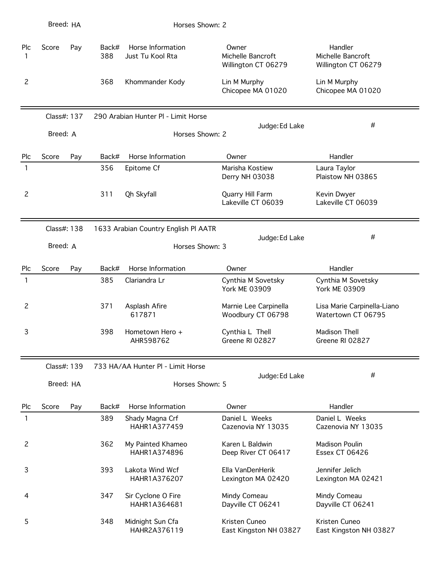|                | Breed: HA   |     |              | Horses Shown: 2                       |                                                   |                                                     |
|----------------|-------------|-----|--------------|---------------------------------------|---------------------------------------------------|-----------------------------------------------------|
| Plc<br>1       | Score       | Pay | Back#<br>388 | Horse Information<br>Just Tu Kool Rta | Owner<br>Michelle Bancroft<br>Willington CT 06279 | Handler<br>Michelle Bancroft<br>Willington CT 06279 |
| 2              |             |     | 368          | Khommander Kody                       | Lin M Murphy<br>Chicopee MA 01020                 | Lin M Murphy<br>Chicopee MA 01020                   |
|                | Class#: 137 |     |              | 290 Arabian Hunter PI - Limit Horse   |                                                   |                                                     |
|                | Breed: A    |     |              | Horses Shown: 2                       | Judge: Ed Lake                                    | #                                                   |
| Plc            | Score       | Pay | Back#        | Horse Information                     | Owner                                             | Handler                                             |
| 1              |             |     | 356          | Epitome Cf                            | Marisha Kostiew<br>Derry NH 03038                 | Laura Taylor<br>Plaistow NH 03865                   |
| $\overline{c}$ |             |     | 311          | Qh Skyfall                            | Quarry Hill Farm<br>Lakeville CT 06039            | Kevin Dwyer<br>Lakeville CT 06039                   |
|                | Class#: 138 |     |              | 1633 Arabian Country English PI AATR  |                                                   |                                                     |
|                | Breed: A    |     |              | Horses Shown: 3                       | Judge: Ed Lake                                    | #                                                   |
| Plc            | Score       | Pay | Back#        | Horse Information                     | Owner                                             | Handler                                             |
| 1              |             |     | 385          | Clariandra Lr                         | Cynthia M Sovetsky<br><b>York ME 03909</b>        | Cynthia M Sovetsky<br><b>York ME 03909</b>          |
| $\overline{c}$ |             |     | 371          | Asplash Afire<br>617871               | Marnie Lee Carpinella<br>Woodbury CT 06798        | Lisa Marie Carpinella-Liano<br>Watertown CT 06795   |
| 3              |             |     | 398          | Hometown Hero +<br>AHR598762          | Cynthia L Thell<br>Greene RI 02827                | Madison Thell<br>Greene RI 02827                    |
|                | Class#: 139 |     |              | 733 HA/AA Hunter PI - Limit Horse     |                                                   |                                                     |
|                | Breed: HA   |     |              | Horses Shown: 5                       | Judge: Ed Lake                                    | #                                                   |
| Plc            | Score       | Pay | Back#        | Horse Information                     | Owner                                             | Handler                                             |
| 1              |             |     | 389          | Shady Magna Crf<br>HAHR1A377459       | Daniel L Weeks<br>Cazenovia NY 13035              | Daniel L Weeks<br>Cazenovia NY 13035                |
| 2              |             |     | 362          | My Painted Khameo<br>HAHR1A374896     | Karen L Baldwin<br>Deep River CT 06417            | Madison Poulin<br><b>Essex CT 06426</b>             |
| 3              |             |     | 393          | Lakota Wind Wcf<br>HAHR1A376207       | Ella VanDenHerik<br>Lexington MA 02420            | Jennifer Jelich<br>Lexington MA 02421               |
| 4              |             |     | 347          | Sir Cyclone O Fire<br>HAHR1A364681    | Mindy Comeau<br>Dayville CT 06241                 | Mindy Comeau<br>Dayville CT 06241                   |
| 5              |             |     | 348          | Midnight Sun Cfa<br>HAHR2A376119      | Kristen Cuneo<br>East Kingston NH 03827           | Kristen Cuneo<br>East Kingston NH 03827             |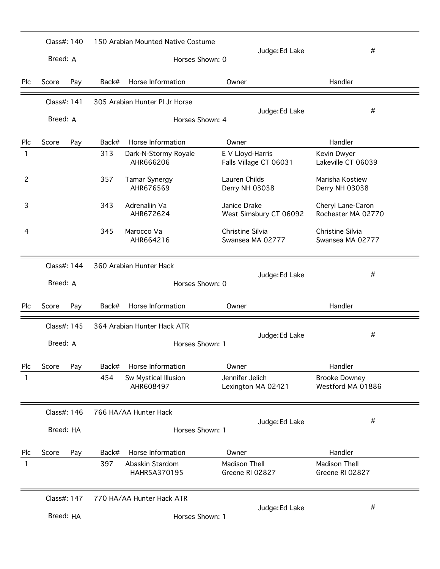|                | Class#: 140 |             |       | 150 Arabian Mounted Native Costume |                                            | #                                         |
|----------------|-------------|-------------|-------|------------------------------------|--------------------------------------------|-------------------------------------------|
|                | Breed: A    |             |       | Horses Shown: 0                    | Judge: Ed Lake                             |                                           |
| Plc            | Score       | Pay         | Back# | Horse Information                  | Owner                                      | Handler                                   |
|                | Class#: 141 |             |       | 305 Arabian Hunter Pl Jr Horse     |                                            |                                           |
|                | Breed: A    |             |       | Horses Shown: 4                    | Judge: Ed Lake                             | #                                         |
| Plc            | Score       | Pay         | Back# | Horse Information                  | Owner                                      | Handler                                   |
| 1              |             |             | 313   | Dark-N-Stormy Royale<br>AHR666206  | E V Lloyd-Harris<br>Falls Village CT 06031 | Kevin Dwyer<br>Lakeville CT 06039         |
| $\overline{c}$ |             |             | 357   | Tamar Synergy<br>AHR676569         | Lauren Childs<br>Derry NH 03038            | Marisha Kostiew<br>Derry NH 03038         |
| 3              |             |             | 343   | Adrenaliin Va<br>AHR672624         | Janice Drake<br>West Simsbury CT 06092     | Cheryl Lane-Caron<br>Rochester MA 02770   |
| 4              |             |             | 345   | Marocco Va<br>AHR664216            | Christine Silvia<br>Swansea MA 02777       | Christine Silvia<br>Swansea MA 02777      |
|                | Class#: 144 |             |       | 360 Arabian Hunter Hack            |                                            |                                           |
|                | Breed: A    |             |       | Horses Shown: 0                    | Judge: Ed Lake                             | #                                         |
| Plc            | Score       | Pay         | Back# | Horse Information                  | Owner                                      | Handler                                   |
|                | Class#: 145 |             |       | 364 Arabian Hunter Hack ATR        |                                            |                                           |
|                | Breed: A    |             |       | Horses Shown: 1                    | Judge: Ed Lake                             | #                                         |
| Plc            | Score       | Pay         | Back# | Horse Information                  | Owner                                      | Handler                                   |
| 1              |             |             | 454   | Sw Mystical Illusion<br>AHR608497  | Jennifer Jelich<br>Lexington MA 02421      | <b>Brooke Downey</b><br>Westford MA 01886 |
|                | Class#: 146 |             |       | 766 HA/AA Hunter Hack              |                                            |                                           |
|                | Breed: HA   |             |       | Horses Shown: 1                    | Judge: Ed Lake                             | #                                         |
| Plc            | Score       | Pay         | Back# | Horse Information                  | Owner                                      | Handler                                   |
| 1              |             |             | 397   | Abaskin Stardom<br>HAHR5A370195    | <b>Madison Thell</b><br>Greene RI 02827    | <b>Madison Thell</b><br>Greene RI 02827   |
|                |             | Class#: 147 |       | 770 HA/AA Hunter Hack ATR          |                                            |                                           |
|                |             |             |       |                                    | Judge: Ed Lake                             | #                                         |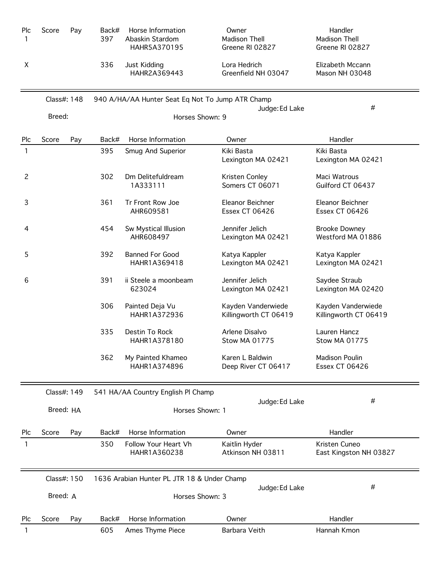| Plc<br>1       | Score       | Pay | Back#<br>397 | Horse Information<br>Abaskin Stardom<br>HAHR5A370195 | Owner<br>Madison Thell<br>Greene RI 02827   | Handler<br>Madison Thell<br>Greene RI 02827    |
|----------------|-------------|-----|--------------|------------------------------------------------------|---------------------------------------------|------------------------------------------------|
| X              |             |     | 336          | Just Kidding<br>HAHR2A369443                         | Lora Hedrich<br>Greenfield NH 03047         | Elizabeth Mccann<br>Mason NH 03048             |
|                | Class#: 148 |     |              | 940 A/HA/AA Hunter Seat Eq Not To Jump ATR Champ     |                                             |                                                |
|                | Breed:      |     |              | Horses Shown: 9                                      | Judge: Ed Lake                              | #                                              |
| Plc            | Score       | Pay | Back#        | Horse Information                                    | Owner                                       | Handler                                        |
| 1              |             |     | 395          | Smug And Superior                                    | Kiki Basta<br>Lexington MA 02421            | Kiki Basta<br>Lexington MA 02421               |
| $\overline{c}$ |             |     | 302          | Dm Delitefuldream<br>1A333111                        | Kristen Conley<br>Somers CT 06071           | Maci Watrous<br>Guilford CT 06437              |
| 3              |             |     | 361          | Tr Front Row Joe<br>AHR609581                        | Eleanor Beichner<br>Essex CT 06426          | Eleanor Beichner<br>Essex CT 06426             |
| 4              |             |     | 454          | Sw Mystical Illusion<br>AHR608497                    | Jennifer Jelich<br>Lexington MA 02421       | <b>Brooke Downey</b><br>Westford MA 01886      |
| 5              |             |     | 392          | <b>Banned For Good</b><br>HAHR1A369418               | Katya Kappler<br>Lexington MA 02421         | Katya Kappler<br>Lexington MA 02421            |
| 6              |             |     | 391          | ii Steele a moonbeam<br>623024                       | Jennifer Jelich<br>Lexington MA 02421       | Saydee Straub<br>Lexington MA 02420            |
|                |             |     | 306          | Painted Deja Vu<br>HAHR1A372936                      | Kayden Vanderwiede<br>Killingworth CT 06419 | Kayden Vanderwiede<br>Killingworth CT 06419    |
|                |             |     | 335          | Destin To Rock<br>HAHR1A378180                       | Arlene Disalvo<br><b>Stow MA 01775</b>      | Lauren Hancz<br><b>Stow MA 01775</b>           |
|                |             |     | 362          | My Painted Khameo<br>HAHR1A374896                    | Karen L Baldwin<br>Deep River CT 06417      | <b>Madison Poulin</b><br><b>Essex CT 06426</b> |
|                | Class#: 149 |     |              | 541 HA/AA Country English Pl Champ                   |                                             |                                                |
|                | Breed: HA   |     |              | Horses Shown: 1                                      | Judge: Ed Lake                              | #                                              |
| Plc            | Score       | Pay | Back#        | Horse Information                                    | Owner                                       | Handler                                        |
| 1              |             |     | 350          | Follow Your Heart Vh<br>HAHR1A360238                 | Kaitlin Hyder<br>Atkinson NH 03811          | Kristen Cuneo<br>East Kingston NH 03827        |
|                | Class#: 150 |     |              | 1636 Arabian Hunter PL JTR 18 & Under Champ          |                                             |                                                |
|                | Breed: A    |     |              | Horses Shown: 3                                      | Judge: Ed Lake                              | #                                              |
| Plc            | Score       | Pay | Back#        | Horse Information                                    | Owner                                       | Handler                                        |
| 1              |             |     | 605          | Ames Thyme Piece                                     | Barbara Veith                               | Hannah Kmon                                    |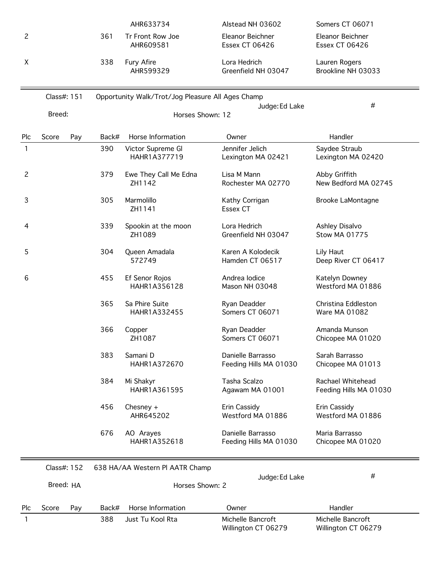|                |             |     |       | AHR633734                                         | Alstead NH 03602                            | Somers CT 06071                             |
|----------------|-------------|-----|-------|---------------------------------------------------|---------------------------------------------|---------------------------------------------|
| $\overline{c}$ |             |     | 361   | Tr Front Row Joe<br>AHR609581                     | Eleanor Beichner<br><b>Essex CT 06426</b>   | Eleanor Beichner<br><b>Essex CT 06426</b>   |
| X              |             |     | 338   | Fury Afire<br>AHR599329                           | Lora Hedrich<br>Greenfield NH 03047         | Lauren Rogers<br>Brookline NH 03033         |
|                | Class#: 151 |     |       | Opportunity Walk/Trot/Jog Pleasure All Ages Champ | Judge: Ed Lake                              | #                                           |
|                | Breed:      |     |       | Horses Shown: 12                                  |                                             |                                             |
| Plc            | Score       | Pay | Back# | Horse Information                                 | Owner                                       | Handler                                     |
| $\mathbf{1}$   |             |     | 390   | Victor Supreme Gl<br>HAHR1A377719                 | Jennifer Jelich<br>Lexington MA 02421       | Saydee Straub<br>Lexington MA 02420         |
| 2              |             |     | 379   | Ewe They Call Me Edna<br>ZH1142                   | Lisa M Mann<br>Rochester MA 02770           | Abby Griffith<br>New Bedford MA 02745       |
| 3              |             |     | 305   | Marmolillo<br>ZH1141                              | Kathy Corrigan<br>Essex CT                  | <b>Brooke LaMontagne</b>                    |
| 4              |             |     | 339   | Spookin at the moon<br>ZH1089                     | Lora Hedrich<br>Greenfield NH 03047         | Ashley Disalvo<br><b>Stow MA 01775</b>      |
| 5              |             |     | 304   | Queen Amadala<br>572749                           | Karen A Kolodecik<br>Hamden CT 06517        | Lily Haut<br>Deep River CT 06417            |
| 6              |             |     | 455   | Ef Senor Rojos<br>HAHR1A356128                    | Andrea Iodice<br>Mason NH 03048             | Katelyn Downey<br>Westford MA 01886         |
|                |             |     | 365   | Sa Phire Suite<br>HAHR1A332455                    | Ryan Deadder<br>Somers CT 06071             | Christina Eddleston<br>Ware MA 01082        |
|                |             |     | 366   | Copper<br>ZH1087                                  | Ryan Deadder<br>Somers CT 06071             | Amanda Munson<br>Chicopee MA 01020          |
|                |             |     | 383   | Samani D<br>HAHR1A372670                          | Danielle Barrasso<br>Feeding Hills MA 01030 | Sarah Barrasso<br>Chicopee MA 01013         |
|                |             |     | 384   | Mi Shakyr<br>HAHR1A361595                         | Tasha Scalzo<br>Agawam MA 01001             | Rachael Whitehead<br>Feeding Hills MA 01030 |
|                |             |     | 456   | Chesney $+$<br>AHR645202                          | Erin Cassidy<br>Westford MA 01886           | Erin Cassidy<br>Westford MA 01886           |
|                |             |     | 676   | AO Arayes<br>HAHR1A352618                         | Danielle Barrasso<br>Feeding Hills MA 01030 | Maria Barrasso<br>Chicopee MA 01020         |
|                | Class#: 152 |     |       | 638 HA/AA Western PI AATR Champ                   | Judge: Ed Lake                              | #                                           |
|                | Breed: HA   |     |       | Horses Shown: 2                                   |                                             |                                             |
| Plc            | Score       | Pay | Back# | Horse Information                                 | Owner                                       | Handler                                     |
| 1              |             |     | 388   | Just Tu Kool Rta                                  | Michelle Bancroft<br>Willington CT 06279    | Michelle Bancroft<br>Willington CT 06279    |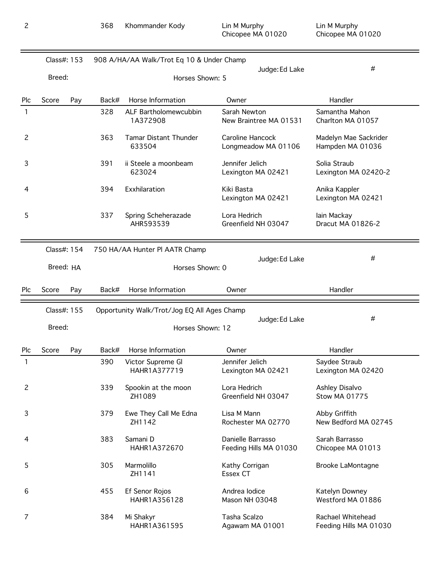|                | Class#: 153 |     |       | 908 A/HA/AA Walk/Trot Eq 10 & Under Champ   |                                             |                                             |
|----------------|-------------|-----|-------|---------------------------------------------|---------------------------------------------|---------------------------------------------|
|                | Breed:      |     |       | Horses Shown: 5                             | Judge: Ed Lake                              | #                                           |
| Plc            | Score       | Pay | Back# | Horse Information                           | Owner                                       | Handler                                     |
| 1              |             |     | 328   | ALF Bartholomewcubbin<br>1A372908           | Sarah Newton<br>New Braintree MA 01531      | Samantha Mahon<br>Charlton MA 01057         |
| 2              |             |     | 363   | <b>Tamar Distant Thunder</b><br>633504      | Caroline Hancock<br>Longmeadow MA 01106     | Madelyn Mae Sackrider<br>Hampden MA 01036   |
| 3              |             |     | 391   | ii Steele a moonbeam<br>623024              | Jennifer Jelich<br>Lexington MA 02421       | Solia Straub<br>Lexington MA 02420-2        |
| 4              |             |     | 394   | Exxhilaration                               | Kiki Basta<br>Lexington MA 02421            | Anika Kappler<br>Lexington MA 02421         |
| 5              |             |     | 337   | Spring Scheherazade<br>AHR593539            | Lora Hedrich<br>Greenfield NH 03047         | lain Mackay<br>Dracut MA 01826-2            |
|                | Class#: 154 |     |       | 750 HA/AA Hunter PI AATR Champ              |                                             | #                                           |
|                | Breed: HA   |     |       | Horses Shown: 0                             | Judge: Ed Lake                              |                                             |
| Plc            | Score       | Pay | Back# | Horse Information                           | Owner                                       | Handler                                     |
|                | Class#: 155 |     |       | Opportunity Walk/Trot/Jog EQ All Ages Champ |                                             |                                             |
|                | Breed:      |     |       | Horses Shown: 12                            | Judge: Ed Lake                              | #                                           |
| Plc            | Score       | Pay | Back# | Horse Information                           | Owner                                       | Handler                                     |
| 1              |             |     | 390   | Victor Supreme Gl<br>HAHR1A377719           | Jennifer Jelich<br>Lexington MA 02421       | Saydee Straub<br>Lexington MA 02420         |
| $\overline{c}$ |             |     | 339   | Spookin at the moon<br>ZH1089               | Lora Hedrich<br>Greenfield NH 03047         | Ashley Disalvo<br><b>Stow MA 01775</b>      |
| 3              |             |     | 379   | Ewe They Call Me Edna<br>ZH1142             | Lisa M Mann<br>Rochester MA 02770           | Abby Griffith<br>New Bedford MA 02745       |
| 4              |             |     | 383   | Samani D<br>HAHR1A372670                    | Danielle Barrasso<br>Feeding Hills MA 01030 | Sarah Barrasso<br>Chicopee MA 01013         |
| 5              |             |     | 305   | Marmolillo<br>ZH1141                        | Kathy Corrigan<br>Essex CT                  | <b>Brooke LaMontagne</b>                    |
| 6              |             |     | 455   | Ef Senor Rojos<br>HAHR1A356128              | Andrea lodice<br>Mason NH 03048             | Katelyn Downey<br>Westford MA 01886         |
| 7              |             |     | 384   | Mi Shakyr<br>HAHR1A361595                   | Tasha Scalzo<br>Agawam MA 01001             | Rachael Whitehead<br>Feeding Hills MA 01030 |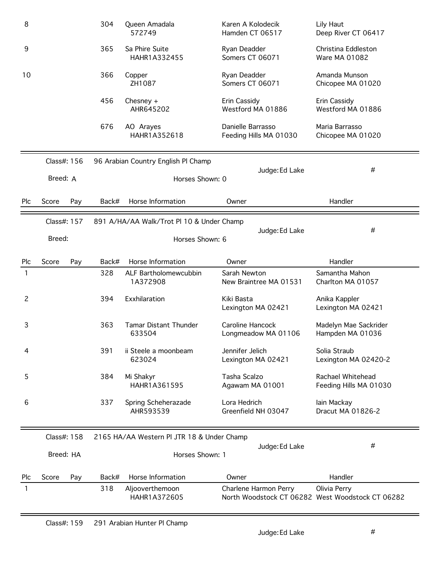| 8          |             |     | 304   | Queen Amadala<br>572749                    | Karen A Kolodecik<br>Hamden CT 06517        | Lily Haut<br>Deep River CT 06417                                 |
|------------|-------------|-----|-------|--------------------------------------------|---------------------------------------------|------------------------------------------------------------------|
| 9          |             |     | 365   | Sa Phire Suite<br>HAHR1A332455             | Ryan Deadder<br>Somers CT 06071             | Christina Eddleston<br>Ware MA 01082                             |
| 10         |             |     | 366   | Copper<br>ZH1087                           | Ryan Deadder<br>Somers CT 06071             | Amanda Munson<br>Chicopee MA 01020                               |
|            |             |     | 456   | Chesney $+$<br>AHR645202                   | Erin Cassidy<br>Westford MA 01886           | Erin Cassidy<br>Westford MA 01886                                |
|            |             |     | 676   | AO Arayes<br>HAHR1A352618                  | Danielle Barrasso<br>Feeding Hills MA 01030 | Maria Barrasso<br>Chicopee MA 01020                              |
|            | Class#: 156 |     |       | 96 Arabian Country English Pl Champ        |                                             |                                                                  |
|            | Breed: A    |     |       | Horses Shown: 0                            | Judge: Ed Lake                              | #                                                                |
| Plc        | Score       | Pay | Back# | Horse Information                          | Owner                                       | Handler                                                          |
|            | Class#: 157 |     |       | 891 A/HA/AA Walk/Trot Pl 10 & Under Champ  | Judge: Ed Lake                              | #                                                                |
|            | Breed:      |     |       | Horses Shown: 6                            |                                             |                                                                  |
| Plc        | Score       | Pay | Back# | Horse Information                          | Owner                                       | Handler                                                          |
| 1          |             |     | 328   | ALF Bartholomewcubbin<br>1A372908          | Sarah Newton<br>New Braintree MA 01531      | Samantha Mahon<br>Charlton MA 01057                              |
| 2          |             |     | 394   | Exxhilaration                              | Kiki Basta<br>Lexington MA 02421            | Anika Kappler<br>Lexington MA 02421                              |
| 3          |             |     | 363   | <b>Tamar Distant Thunder</b><br>633504     | Caroline Hancock<br>Longmeadow MA 01106     | Madelyn Mae Sackrider<br>Hampden MA 01036                        |
| 4          |             |     | 391   | ii Steele a moonbeam<br>623024             | Jennifer Jelich<br>Lexington MA 02421       | Solia Straub<br>Lexington MA 02420-2                             |
| 5          |             |     | 384   | Mi Shakyr<br>HAHR1A361595                  | Tasha Scalzo<br>Agawam MA 01001             | Rachael Whitehead<br>Feeding Hills MA 01030                      |
| 6          |             |     | 337   | Spring Scheherazade<br>AHR593539           | Lora Hedrich<br>Greenfield NH 03047         | lain Mackay<br>Dracut MA 01826-2                                 |
|            | Class#: 158 |     |       | 2165 HA/AA Western Pl JTR 18 & Under Champ |                                             |                                                                  |
|            | Breed: HA   |     |       | Horses Shown: 1                            | Judge: Ed Lake                              | #                                                                |
| <b>Plc</b> | Score       | Pay | Back# | Horse Information                          | Owner                                       | Handler                                                          |
| 1          |             |     | 318   | Aljooverthemoon<br>HAHR1A372605            | Charlene Harmon Perry                       | Olivia Perry<br>North Woodstock CT 06282 West Woodstock CT 06282 |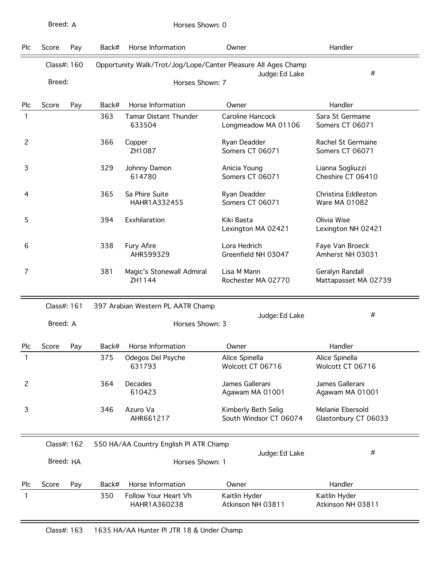| Plc | Score       | Pay | Back# | Horse Information                                             | Owner                                         | Handler                                  |
|-----|-------------|-----|-------|---------------------------------------------------------------|-----------------------------------------------|------------------------------------------|
|     | Class#: 160 |     |       | Opportunity Walk/Trot/Jog/Lope/Canter Pleasure All Ages Champ | Judge: Ed Lake                                | #                                        |
|     | Breed:      |     |       | Horses Shown: 7                                               |                                               |                                          |
| Plc | Score       | Pay | Back# | Horse Information                                             | Owner                                         | Handler                                  |
| 1   |             |     | 363   | Tamar Distant Thunder<br>633504                               | Caroline Hancock<br>Longmeadow MA 01106       | Sara St Germaine<br>Somers CT 06071      |
| 2   |             |     | 366   | Copper<br>ZH1087                                              | Ryan Deadder<br>Somers CT 06071               | Rachel St Germaine<br>Somers CT 06071    |
| 3   |             |     | 329   | Johnny Damon<br>614780                                        | Anicia Young<br>Somers CT 06071               | Lianna Sogliuzzi<br>Cheshire CT 06410    |
| 4   |             |     | 365   | Sa Phire Suite<br>HAHR1A332455                                | Ryan Deadder<br>Somers CT 06071               | Christina Eddleston<br>Ware MA 01082     |
| 5   |             |     | 394   | Exxhilaration                                                 | Kiki Basta<br>Lexington MA 02421              | Olivia Wise<br>Lexington NH 02421        |
| 6   |             |     | 338   | Fury Afire<br>AHR599329                                       | Lora Hedrich<br>Greenfield NH 03047           | Faye Van Broeck<br>Amherst NH 03031      |
| 7   |             |     | 381   | Magic's Stonewall Admiral<br>ZH1144                           | Lisa M Mann<br>Rochester MA 02770             | Geralyn Randall<br>Mattapasset MA 02739  |
|     | Class#: 161 |     |       | 397 Arabian Western PL AATR Champ                             |                                               |                                          |
|     | Breed: A    |     |       | Horses Shown: 3                                               | Judge: Ed Lake                                | #                                        |
| Plc | Score       | Pay | Back# | Horse Information                                             | Owner                                         | Handler                                  |
| 1   |             |     | 375   | Odegos Del Psyche<br>631793                                   | Alice Spinella<br>Wolcott CT 06716            | Alice Spinella<br>Wolcott CT 06716       |
| 2   |             |     | 364   | Decades<br>610423                                             | James Gallerani<br>Agawam MA 01001            | James Gallerani<br>Agawam MA 01001       |
| 3   |             |     | 346   | Azuro Va<br>AHR661217                                         | Kimberly Beth Selig<br>South Windsor CT 06074 | Melanie Ebersold<br>Glastonbury CT 06033 |
|     | Class#: 162 |     |       | 550 HA/AA Country English PI ATR Champ                        | Judge: Ed Lake                                | #                                        |
|     | Breed: HA   |     |       | Horses Shown: 1                                               |                                               |                                          |
| Plc | Score       | Pay | Back# | Horse Information                                             | Owner                                         | Handler                                  |
| 1   |             |     | 350   | Follow Your Heart Vh<br>HAHR1A360238                          | Kaitlin Hyder<br>Atkinson NH 03811            | Kaitlin Hyder<br>Atkinson NH 03811       |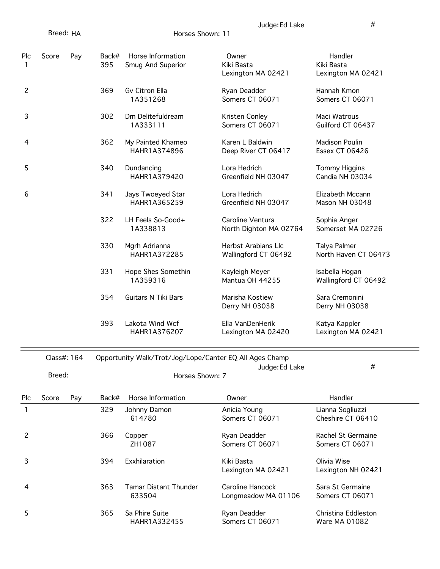|                | Breed: HA |     |              | Horses Shown: 11                       |                                             |                                             |
|----------------|-----------|-----|--------------|----------------------------------------|---------------------------------------------|---------------------------------------------|
| Plc<br>1       | Score     | Pay | Back#<br>395 | Horse Information<br>Smug And Superior | Owner<br>Kiki Basta<br>Lexington MA 02421   | Handler<br>Kiki Basta<br>Lexington MA 02421 |
| $\overline{c}$ |           |     | 369          | Gv Citron Ella<br>1A351268             | Ryan Deadder<br>Somers CT 06071             | Hannah Kmon<br>Somers CT 06071              |
| 3              |           |     | 302          | Dm Delitefuldream<br>1A333111          | Kristen Conley<br>Somers CT 06071           | Maci Watrous<br>Guilford CT 06437           |
| 4              |           |     | 362          | My Painted Khameo<br>HAHR1A374896      | Karen L Baldwin<br>Deep River CT 06417      | <b>Madison Poulin</b><br>Essex CT 06426     |
| 5              |           |     | 340          | Dundancing<br>HAHR1A379420             | Lora Hedrich<br>Greenfield NH 03047         | <b>Tommy Higgins</b><br>Candia NH 03034     |
| 6              |           |     | 341          | Jays Twoeyed Star<br>HAHR1A365259      | Lora Hedrich<br>Greenfield NH 03047         | Elizabeth Mccann<br>Mason NH 03048          |
|                |           |     | 322          | LH Feels So-Good+<br>1A338813          | Caroline Ventura<br>North Dighton MA 02764  | Sophia Anger<br>Somerset MA 02726           |
|                |           |     | 330          | Mgrh Adrianna<br>HAHR1A372285          | Herbst Arabians Llc<br>Wallingford CT 06492 | Talya Palmer<br>North Haven CT 06473        |
|                |           |     | 331          | Hope Shes Somethin<br>1A359316         | Kayleigh Meyer<br>Mantua OH 44255           | Isabella Hogan<br>Wallingford CT 06492      |
|                |           |     | 354          | <b>Guitars N Tiki Bars</b>             | Marisha Kostiew<br>Derry NH 03038           | Sara Cremonini<br>Derry NH 03038            |
|                |           |     | 393          | Lakota Wind Wcf<br>HAHR1A376207        | Ella VanDenHerik<br>Lexington MA 02420      | Katya Kappler<br>Lexington MA 02421         |

Class#: 164 Opportunity Walk/Trot/Jog/Lope/Canter EQ All Ages Champ

 $\overline{\phantom{a}}$ Judge:Ed Lake  $\overline{\phantom{a}}$ Breed: Horses Shown: 7

| <b>Plc</b> | Score | Pay | Back# | Horse Information                      | Owner                                   | Handler                               |
|------------|-------|-----|-------|----------------------------------------|-----------------------------------------|---------------------------------------|
|            |       |     | 329   | Johnny Damon<br>614780                 | Anicia Young<br>Somers CT 06071         | Lianna Sogliuzzi<br>Cheshire CT 06410 |
| 2          |       |     | 366   | Copper<br>ZH1087                       | Ryan Deadder<br>Somers CT 06071         | Rachel St Germaine<br>Somers CT 06071 |
| 3          |       |     | 394   | Exxhilaration                          | Kiki Basta<br>Lexington MA 02421        | Olivia Wise<br>Lexington NH 02421     |
| 4          |       |     | 363   | <b>Tamar Distant Thunder</b><br>633504 | Caroline Hancock<br>Longmeadow MA 01106 | Sara St Germaine<br>Somers CT 06071   |
| 5          |       |     | 365   | Sa Phire Suite<br>HAHR1A332455         | Ryan Deadder<br>Somers CT 06071         | Christina Eddleston<br>Ware MA 01082  |

Judge:Ed Lake #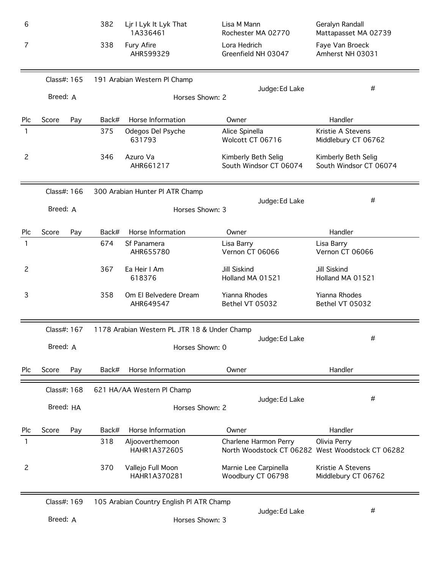| 6              |             |     | 382   | Ljr I Lyk It Lyk That<br>1A336461            | Lisa M Mann<br>Rochester MA 02770             | Geralyn Randall<br>Mattapasset MA 02739                          |
|----------------|-------------|-----|-------|----------------------------------------------|-----------------------------------------------|------------------------------------------------------------------|
| 7              |             |     | 338   | Fury Afire<br>AHR599329                      | Lora Hedrich<br>Greenfield NH 03047           | Faye Van Broeck<br>Amherst NH 03031                              |
|                | Class#: 165 |     |       | 191 Arabian Western Pl Champ                 |                                               | #                                                                |
|                | Breed: A    |     |       | Horses Shown: 2                              | Judge: Ed Lake                                |                                                                  |
| Plc            | Score       | Pay | Back# | Horse Information                            | Owner                                         | Handler                                                          |
| 1              |             |     | 375   | Odegos Del Psyche<br>631793                  | Alice Spinella<br>Wolcott CT 06716            | Kristie A Stevens<br>Middlebury CT 06762                         |
| $\overline{c}$ |             |     | 346   | Azuro Va<br>AHR661217                        | Kimberly Beth Selig<br>South Windsor CT 06074 | Kimberly Beth Selig<br>South Windsor CT 06074                    |
|                | Class#: 166 |     |       | 300 Arabian Hunter PI ATR Champ              |                                               | #                                                                |
|                | Breed: A    |     |       | Horses Shown: 3                              | Judge: Ed Lake                                |                                                                  |
| Plc            | Score       | Pay | Back# | Horse Information                            | Owner                                         | Handler                                                          |
| 1              |             |     | 674   | Sf Panamera<br>AHR655780                     | Lisa Barry<br>Vernon CT 06066                 | Lisa Barry<br>Vernon CT 06066                                    |
| $\overline{c}$ |             |     | 367   | Ea Heir I Am<br>618376                       | Jill Siskind<br>Holland MA 01521              | <b>Jill Siskind</b><br>Holland MA 01521                          |
| 3              |             |     | 358   | Om El Belvedere Dream<br>AHR649547           | Yianna Rhodes<br>Bethel VT 05032              | Yianna Rhodes<br>Bethel VT 05032                                 |
|                | Class#: 167 |     |       | 1178 Arabian Western PL JTR 18 & Under Champ |                                               |                                                                  |
|                | Breed: A    |     |       | Horses Shown: 0                              | Judge: Ed Lake                                | #                                                                |
| Plc            | Score       | Pay | Back# | Horse Information                            | Owner                                         | Handler                                                          |
|                | Class#: 168 |     |       | 621 HA/AA Western Pl Champ                   |                                               |                                                                  |
|                | Breed: HA   |     |       | Horses Shown: 2                              | Judge: Ed Lake                                | #                                                                |
| Plc            | Score       | Pay | Back# | Horse Information                            | Owner                                         | Handler                                                          |
|                |             |     | 318   | Aljooverthemoon<br>HAHR1A372605              | Charlene Harmon Perry                         | Olivia Perry<br>North Woodstock CT 06282 West Woodstock CT 06282 |
| $\overline{c}$ |             |     | 370   | Vallejo Full Moon<br>HAHR1A370281            | Marnie Lee Carpinella<br>Woodbury CT 06798    | Kristie A Stevens<br>Middlebury CT 06762                         |
|                | Class#: 169 |     |       | 105 Arabian Country English PI ATR Champ     |                                               |                                                                  |
|                | Breed: A    |     |       | Horses Shown: 3                              | Judge: Ed Lake                                | #                                                                |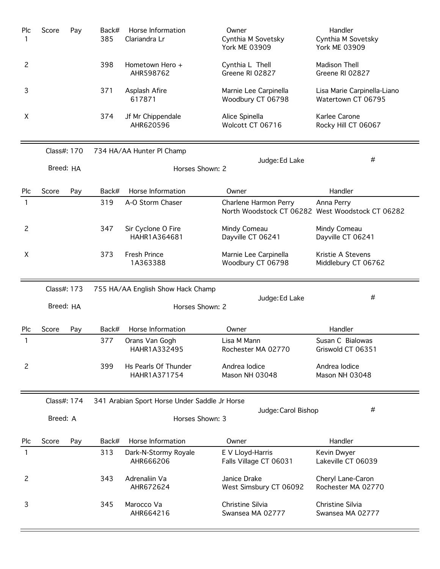| Plc            | Score       | Pay | Back#<br>385 | Horse Information<br>Clariandra Lr            | Owner<br>Cynthia M Sovetsky<br><b>York ME 03909</b> | Handler<br>Cynthia M Sovetsky<br><b>York ME 03909</b> |
|----------------|-------------|-----|--------------|-----------------------------------------------|-----------------------------------------------------|-------------------------------------------------------|
| 2              |             |     | 398          | Hometown Hero +<br>AHR598762                  | Cynthia L Thell<br>Greene RI 02827                  | Madison Thell<br>Greene RI 02827                      |
| 3              |             |     | 371          | Asplash Afire<br>617871                       | Marnie Lee Carpinella<br>Woodbury CT 06798          | Lisa Marie Carpinella-Liano<br>Watertown CT 06795     |
| X              |             |     | 374          | Jf Mr Chippendale<br>AHR620596                | Alice Spinella<br>Wolcott CT 06716                  | Karlee Carone<br>Rocky Hill CT 06067                  |
|                | Class#: 170 |     |              | 734 HA/AA Hunter Pl Champ                     |                                                     | #                                                     |
|                | Breed: HA   |     |              | Horses Shown: 2                               | Judge: Ed Lake                                      |                                                       |
| Plc            | Score       | Pay | Back#        | Horse Information                             | Owner                                               | Handler                                               |
| 1              |             |     | 319          | A-O Storm Chaser                              | Charlene Harmon Perry<br>North Woodstock CT 06282   | Anna Perry<br>West Woodstock CT 06282                 |
| $\overline{c}$ |             |     | 347          | Sir Cyclone O Fire<br>HAHR1A364681            | Mindy Comeau<br>Dayville CT 06241                   | Mindy Comeau<br>Dayville CT 06241                     |
| X              |             |     | 373          | <b>Fresh Prince</b><br>1A363388               | Marnie Lee Carpinella<br>Woodbury CT 06798          | Kristie A Stevens<br>Middlebury CT 06762              |
|                |             |     |              |                                               |                                                     |                                                       |
|                | Class#: 173 |     |              | 755 HA/AA English Show Hack Champ             |                                                     |                                                       |
|                | Breed: HA   |     |              | Horses Shown: 2                               | Judge: Ed Lake                                      | #                                                     |
| Plc            | Score       | Pay | Back#        | Horse Information                             | Owner                                               | Handler                                               |
| 1              |             |     | 377          | Orans Van Gogh<br>HAHR1A332495                | Lisa M Mann<br>Rochester MA 02770                   | Susan C Bialowas<br>Griswold CT 06351                 |
| 2              |             |     | 399          | Hs Pearls Of Thunder<br>HAHR1A371754          | Andrea lodice<br>Mason NH 03048                     | Andrea lodice<br>Mason NH 03048                       |
|                | Class#: 174 |     |              | 341 Arabian Sport Horse Under Saddle Jr Horse |                                                     |                                                       |
|                | Breed: A    |     |              | Horses Shown: 3                               | Judge: Carol Bishop                                 | #                                                     |
| Plc            | Score       | Pay | Back#        | Horse Information                             | Owner                                               | Handler                                               |
| 1              |             |     | 313          | Dark-N-Stormy Royale<br>AHR666206             | E V Lloyd-Harris<br>Falls Village CT 06031          | Kevin Dwyer<br>Lakeville CT 06039                     |
| 2              |             |     | 343          | Adrenaliin Va<br>AHR672624                    | Janice Drake<br>West Simsbury CT 06092              | Cheryl Lane-Caron<br>Rochester MA 02770               |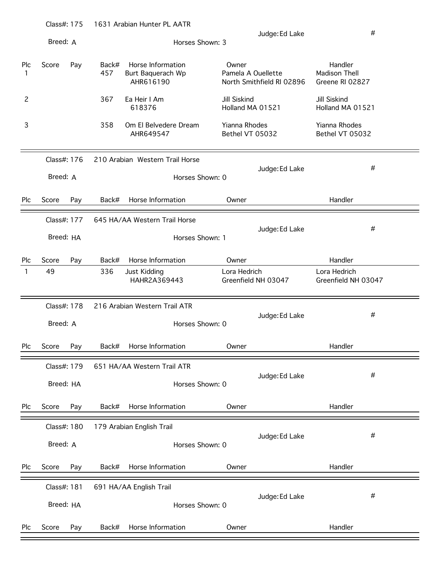|          | Class#: 175 |     |              | 1631 Arabian Hunter PL AATR                         |                                         |                           |                                                    |  |
|----------|-------------|-----|--------------|-----------------------------------------------------|-----------------------------------------|---------------------------|----------------------------------------------------|--|
|          | Breed: A    |     |              |                                                     | Horses Shown: 3                         | Judge: Ed Lake            | #                                                  |  |
| Plc<br>1 | Score       | Pay | Back#<br>457 | Horse Information<br>Burt Baquerach Wp<br>AHR616190 | Owner<br>Pamela A Ouellette             | North Smithfield RI 02896 | Handler<br><b>Madison Thell</b><br>Greene RI 02827 |  |
| 2        |             |     | 367          | Ea Heir I Am<br>618376                              | Jill Siskind<br>Holland MA 01521        |                           | Jill Siskind<br>Holland MA 01521                   |  |
| 3        |             |     | 358          | Om El Belvedere Dream<br>AHR649547                  | <b>Yianna Rhodes</b><br>Bethel VT 05032 |                           | Yianna Rhodes<br>Bethel VT 05032                   |  |
|          | Class#: 176 |     |              | 210 Arabian Western Trail Horse                     |                                         |                           |                                                    |  |
|          | Breed: A    |     |              |                                                     | Horses Shown: 0                         | Judge: Ed Lake            | #                                                  |  |
| Plc      | Score       | Pay | Back#        | Horse Information                                   | Owner                                   |                           | Handler                                            |  |
|          | Class#: 177 |     |              | 645 HA/AA Western Trail Horse                       |                                         |                           |                                                    |  |
|          | Breed: HA   |     |              |                                                     | Horses Shown: 1                         | Judge: Ed Lake            | #                                                  |  |
| Plc      | Score       | Pay | Back#        | Horse Information                                   | Owner                                   |                           | Handler                                            |  |
| 1        | 49          |     | 336          | Just Kidding<br>HAHR2A369443                        | Lora Hedrich                            | Greenfield NH 03047       | Lora Hedrich<br>Greenfield NH 03047                |  |
|          | Class#: 178 |     |              | 216 Arabian Western Trail ATR                       |                                         |                           |                                                    |  |
|          | Breed: A    |     |              |                                                     | Horses Shown: 0                         | Judge: Ed Lake            | #                                                  |  |
| Plc      | Score       | Pay | Back#        | Horse Information                                   | Owner                                   |                           | Handler                                            |  |
|          | Class#: 179 |     |              | 651 HA/AA Western Trail ATR                         |                                         |                           |                                                    |  |
|          | Breed: HA   |     |              |                                                     | Horses Shown: 0                         | Judge: Ed Lake            | #                                                  |  |
| Plc      | Score       | Pay | Back#        | Horse Information                                   | Owner                                   |                           | Handler                                            |  |
|          | Class#: 180 |     |              | 179 Arabian English Trail                           |                                         |                           |                                                    |  |
|          | Breed: A    |     |              |                                                     | Horses Shown: 0                         | Judge: Ed Lake            | #                                                  |  |
| Plc      | Score       | Pay | Back#        | Horse Information                                   | Owner                                   |                           | Handler                                            |  |
|          | Class#: 181 |     |              | 691 HA/AA English Trail                             |                                         |                           |                                                    |  |
|          | Breed: HA   |     |              |                                                     | Horses Shown: 0                         | Judge: Ed Lake            | #                                                  |  |
| Plc      | Score       | Pay | Back#        | Horse Information                                   | Owner                                   |                           | Handler                                            |  |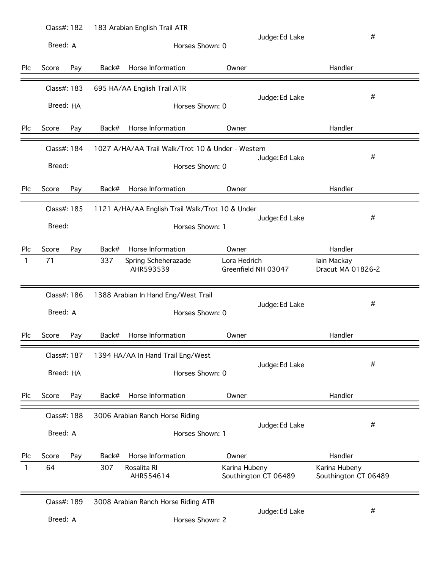|     | Class#: 182  |       | 183 Arabian English Trail ATR                     |                 |                      |                                       |  |
|-----|--------------|-------|---------------------------------------------------|-----------------|----------------------|---------------------------------------|--|
|     | Breed: A     |       |                                                   | Horses Shown: 0 | Judge: Ed Lake       | #                                     |  |
| Plc | Score        | Back# | Horse Information                                 | Owner           |                      | Handler                               |  |
|     | Pay          |       |                                                   |                 |                      |                                       |  |
|     | Class#: 183  |       | 695 HA/AA English Trail ATR                       |                 |                      |                                       |  |
|     | Breed: HA    |       |                                                   | Horses Shown: 0 | Judge: Ed Lake       | #                                     |  |
| Plc | Score<br>Pay | Back# | Horse Information                                 | Owner           |                      | Handler                               |  |
|     | Class#: 184  |       | 1027 A/HA/AA Trail Walk/Trot 10 & Under - Western |                 |                      |                                       |  |
|     | Breed:       |       |                                                   | Horses Shown: 0 | Judge: Ed Lake       | #                                     |  |
| Plc | Score<br>Pay | Back# | Horse Information                                 | Owner           |                      | Handler                               |  |
|     | Class#: 185  |       | 1121 A/HA/AA English Trail Walk/Trot 10 & Under   |                 |                      |                                       |  |
|     | Breed:       |       |                                                   | Horses Shown: 1 | Judge: Ed Lake       | #                                     |  |
|     |              |       |                                                   |                 |                      |                                       |  |
| Plc | Score<br>Pay | Back# | Horse Information                                 | Owner           |                      | Handler                               |  |
| 1   | 71           | 337   | Spring Scheherazade<br>AHR593539                  | Lora Hedrich    | Greenfield NH 03047  | lain Mackay<br>Dracut MA 01826-2      |  |
|     | Class#: 186  |       | 1388 Arabian In Hand Eng/West Trail               |                 |                      |                                       |  |
|     | Breed: A     |       |                                                   | Horses Shown: 0 | Judge: Ed Lake       | #                                     |  |
| Plc | Score<br>Pay | Back# | Horse Information                                 | Owner           |                      | Handler                               |  |
|     | Class#: 187  |       | 1394 HA/AA In Hand Trail Eng/West                 |                 |                      |                                       |  |
|     | Breed: HA    |       |                                                   | Horses Shown: 0 | Judge: Ed Lake       | #                                     |  |
|     |              |       |                                                   |                 |                      |                                       |  |
| Plc | Score<br>Pay | Back# | Horse Information                                 | Owner           |                      | Handler                               |  |
|     | Class#: 188  |       | 3006 Arabian Ranch Horse Riding                   |                 | Judge: Ed Lake       | #                                     |  |
|     | Breed: A     |       |                                                   | Horses Shown: 1 |                      |                                       |  |
| Plc | Score<br>Pay | Back# | Horse Information                                 | Owner           |                      | Handler                               |  |
| 1   | 64           | 307   | Rosalita RI<br>AHR554614                          | Karina Hubeny   | Southington CT 06489 | Karina Hubeny<br>Southington CT 06489 |  |
|     | Class#: 189  |       | 3008 Arabian Ranch Horse Riding ATR               |                 |                      |                                       |  |
|     | Breed: A     |       |                                                   | Horses Shown: 2 | Judge: Ed Lake       | #                                     |  |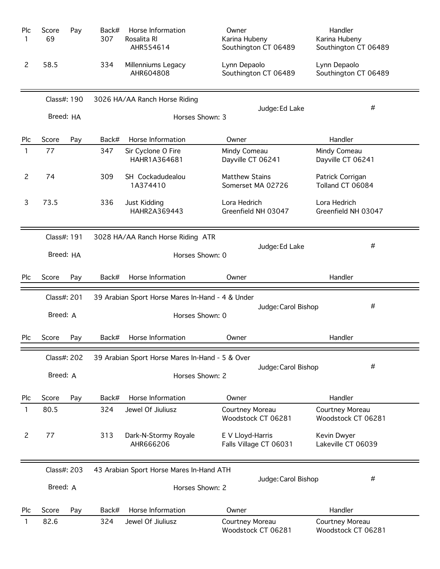| Plc<br>1       | Score<br>69 | Pay | Back#<br>307 | Horse Information<br>Rosalita RI<br>AHR554614    | Owner<br>Karina Hubeny<br>Southington CT 06489 | Handler<br>Karina Hubeny<br>Southington CT 06489 |
|----------------|-------------|-----|--------------|--------------------------------------------------|------------------------------------------------|--------------------------------------------------|
| 2              | 58.5        |     | 334          | Millenniums Legacy<br>AHR604808                  | Lynn Depaolo<br>Southington CT 06489           | Lynn Depaolo<br>Southington CT 06489             |
|                | Class#: 190 |     |              | 3026 HA/AA Ranch Horse Riding                    |                                                |                                                  |
|                | Breed: HA   |     |              | Horses Shown: 3                                  | Judge: Ed Lake                                 | #                                                |
| Plc            | Score       | Pay | Back#        | Horse Information                                | Owner                                          | Handler                                          |
| 1              | 77          |     | 347          | Sir Cyclone O Fire<br>HAHR1A364681               | Mindy Comeau<br>Dayville CT 06241              | Mindy Comeau<br>Dayville CT 06241                |
| $\overline{c}$ | 74          |     | 309          | SH Cockadudealou<br>1A374410                     | <b>Matthew Stains</b><br>Somerset MA 02726     | Patrick Corrigan<br>Tolland CT 06084             |
| 3              | 73.5        |     | 336          | Just Kidding<br>HAHR2A369443                     | Lora Hedrich<br>Greenfield NH 03047            | Lora Hedrich<br>Greenfield NH 03047              |
|                | Class#: 191 |     |              | 3028 HA/AA Ranch Horse Riding ATR                |                                                |                                                  |
|                | Breed: HA   |     |              | Horses Shown: 0                                  | Judge: Ed Lake                                 | #                                                |
| Plc            | Score       | Pay | Back#        | Horse Information                                | Owner                                          | Handler                                          |
|                |             |     |              |                                                  |                                                |                                                  |
|                | Class#: 201 |     |              | 39 Arabian Sport Horse Mares In-Hand - 4 & Under |                                                |                                                  |
|                | Breed: A    |     |              | Horses Shown: 0                                  | Judge: Carol Bishop                            | #                                                |
| Plc            | Score       | Pay | Back#        | Horse Information                                | Owner                                          | Handler                                          |
|                | Class#: 202 |     |              | 39 Arabian Sport Horse Mares In-Hand - 5 & Over  |                                                |                                                  |
|                | Breed: A    |     |              | Horses Shown: 2                                  | Judge: Carol Bishop                            | #                                                |
| Plc            | Score       | Pay | Back#        | Horse Information                                | Owner                                          | Handler                                          |
| 1              | 80.5        |     | 324          | Jewel Of Jiuliusz                                | Courtney Moreau<br>Woodstock CT 06281          | Courtney Moreau<br>Woodstock CT 06281            |
| 2              | 77          |     | 313          | Dark-N-Stormy Royale<br>AHR666206                | E V Lloyd-Harris<br>Falls Village CT 06031     | Kevin Dwyer<br>Lakeville CT 06039                |
|                | Class#: 203 |     |              | 43 Arabian Sport Horse Mares In-Hand ATH         |                                                |                                                  |
|                | Breed: A    |     |              | Horses Shown: 2                                  | Judge: Carol Bishop                            | #                                                |
| Plc            | Score       | Pay | Back#        | Horse Information                                | Owner                                          | Handler                                          |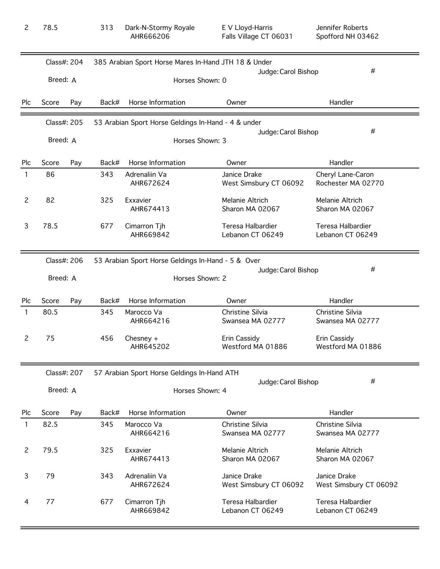| $\overline{c}$ | 78.5        |             | 313   | Dark-N-Stormy Royale<br>AHR666206                    |                 | E V Lloyd-Harris<br>Falls Village CT 06031 | Jennifer Roberts<br>Spofford NH 03462   |
|----------------|-------------|-------------|-------|------------------------------------------------------|-----------------|--------------------------------------------|-----------------------------------------|
|                |             | Class#: 204 |       | 385 Arabian Sport Horse Mares In-Hand JTH 18 & Under |                 | Judge: Carol Bishop                        | #                                       |
|                | Breed: A    |             |       |                                                      | Horses Shown: 0 |                                            |                                         |
| Plc            | Score       | Pay         | Back# | Horse Information                                    |                 | Owner                                      | Handler                                 |
|                | Class#: 205 |             |       | 53 Arabian Sport Horse Geldings In-Hand - 4 & under  |                 |                                            |                                         |
|                | Breed: A    |             |       |                                                      | Horses Shown: 3 | Judge: Carol Bishop                        | #                                       |
| Plc            | Score       | Pay         | Back# | Horse Information                                    |                 | Owner                                      | Handler                                 |
| $\mathbf{1}$   | 86          |             | 343   | Adrenaliin Va<br>AHR672624                           |                 | Janice Drake<br>West Simsbury CT 06092     | Cheryl Lane-Caron<br>Rochester MA 02770 |
| $\mathbf{2}$   | 82          |             | 325   | Exxavier<br>AHR674413                                |                 | Melanie Altrich<br>Sharon MA 02067         | Melanie Altrich<br>Sharon MA 02067      |
| 3              | 78.5        |             | 677   | Cimarron Tjh<br>AHR669842                            |                 | Teresa Halbardier<br>Lebanon CT 06249      | Teresa Halbardier<br>Lebanon CT 06249   |
|                |             | Class#: 206 |       | 53 Arabian Sport Horse Geldings In-Hand - 5 & Over   |                 |                                            |                                         |
|                | Breed: A    |             |       |                                                      | Horses Shown: 2 | Judge: Carol Bishop                        | #                                       |
| Plc            | Score       | Pay         | Back# | Horse Information                                    |                 | Owner                                      | Handler                                 |
| $\mathbf{1}$   | 80.5        |             | 345   | Marocco Va<br>AHR664216                              |                 | Christine Silvia<br>Swansea MA 02777       | Christine Silvia<br>Swansea MA 02777    |
| $\mathsf{S}$   | 75          |             | 456   | Chesney $+$<br>AHR645202                             |                 | Erin Cassidy<br>Westford MA 01886          | Erin Cassidy<br>Westford MA 01886       |
|                | Class#: 207 |             |       | 57 Arabian Sport Horse Geldings In-Hand ATH          |                 |                                            |                                         |
|                | Breed: A    |             |       |                                                      | Horses Shown: 4 | Judge: Carol Bishop                        | #                                       |
| Plc            | Score       | Pay         | Back# | Horse Information                                    |                 | Owner                                      | Handler                                 |
| 1              | 82.5        |             | 345   | Marocco Va<br>AHR664216                              |                 | Christine Silvia<br>Swansea MA 02777       | Christine Silvia<br>Swansea MA 02777    |
| $\mathbf{2}$   | 79.5        |             | 325   | Exxavier<br>AHR674413                                |                 | Melanie Altrich<br>Sharon MA 02067         | Melanie Altrich<br>Sharon MA 02067      |
| 3              | 79          |             | 343   | Adrenaliin Va<br>AHR672624                           |                 | Janice Drake<br>West Simsbury CT 06092     | Janice Drake<br>West Simsbury CT 06092  |
| 4              | 77          |             | 677   | Cimarron Tjh<br>AHR669842                            |                 | Teresa Halbardier<br>Lebanon CT 06249      | Teresa Halbardier<br>Lebanon CT 06249   |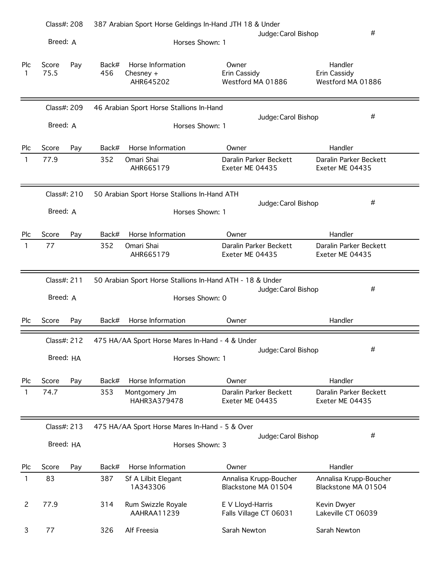|          | Class#: 208          | 387 Arabian Sport Horse Geldings In-Hand JTH 18 & Under       |                                               |                                               |
|----------|----------------------|---------------------------------------------------------------|-----------------------------------------------|-----------------------------------------------|
|          | Breed: A             | Horses Shown: 1                                               | Judge: Carol Bishop                           | #                                             |
| Plc<br>1 | Score<br>Pay<br>75.5 | Horse Information<br>Back#<br>456<br>Chesney $+$<br>AHR645202 | Owner<br>Erin Cassidy<br>Westford MA 01886    | Handler<br>Erin Cassidy<br>Westford MA 01886  |
|          | Class#: 209          | 46 Arabian Sport Horse Stallions In-Hand                      | Judge: Carol Bishop                           | #                                             |
|          | Breed: A             | Horses Shown: 1                                               |                                               |                                               |
| Plc      | Score<br>Pay         | Horse Information<br>Back#                                    | Owner                                         | Handler                                       |
| 1        | 77.9                 | 352<br>Omari Shai<br>AHR665179                                | Daralin Parker Beckett<br>Exeter ME 04435     | Daralin Parker Beckett<br>Exeter ME 04435     |
|          | Class#: 210          | 50 Arabian Sport Horse Stallions In-Hand ATH                  | Judge: Carol Bishop                           | #                                             |
|          | Breed: A             | Horses Shown: 1                                               |                                               |                                               |
| Plc      | Score<br>Pay         | Horse Information<br>Back#                                    | Owner                                         | Handler                                       |
| 1        | 77                   | 352<br>Omari Shai<br>AHR665179                                | Daralin Parker Beckett<br>Exeter ME 04435     | Daralin Parker Beckett<br>Exeter ME 04435     |
|          | Class#: 211          | 50 Arabian Sport Horse Stallions In-Hand ATH - 18 & Under     |                                               | #                                             |
|          | Breed: A             | Horses Shown: 0                                               | Judge: Carol Bishop                           |                                               |
| Plc      | Score<br>Pay         | Horse Information<br>Back#                                    | Owner                                         | Handler                                       |
|          | Class#: $212$        | 475 HA/AA Sport Horse Mares In-Hand - 4 & Under               |                                               |                                               |
|          | Breed: HA            | Horses Shown: 1                                               | Judge: Carol Bishop                           | #                                             |
| Plc      | Score<br>Pay         | Horse Information<br>Back#                                    | Owner                                         | Handler                                       |
| 1        | 74.7                 | 353<br>Montgomery Jm<br>HAHR3A379478                          | Daralin Parker Beckett<br>Exeter ME 04435     | Daralin Parker Beckett<br>Exeter ME 04435     |
|          | Class#: 213          | 475 HA/AA Sport Horse Mares In-Hand - 5 & Over                |                                               |                                               |
|          | Breed: HA            | Horses Shown: 3                                               | Judge: Carol Bishop                           | #                                             |
| Plc      | Score<br>Pay         | Horse Information<br>Back#                                    | Owner                                         | Handler                                       |
| 1        | 83                   | 387<br>Sf A Lilbit Elegant<br>1A343306                        | Annalisa Krupp-Boucher<br>Blackstone MA 01504 | Annalisa Krupp-Boucher<br>Blackstone MA 01504 |
| 2        | 77.9                 | 314<br>Rum Swizzle Royale<br>AAHRAA11239                      | E V Lloyd-Harris<br>Falls Village CT 06031    | Kevin Dwyer<br>Lakeville CT 06039             |
| 3        | 77                   | 326<br>Alf Freesia                                            | Sarah Newton                                  | Sarah Newton                                  |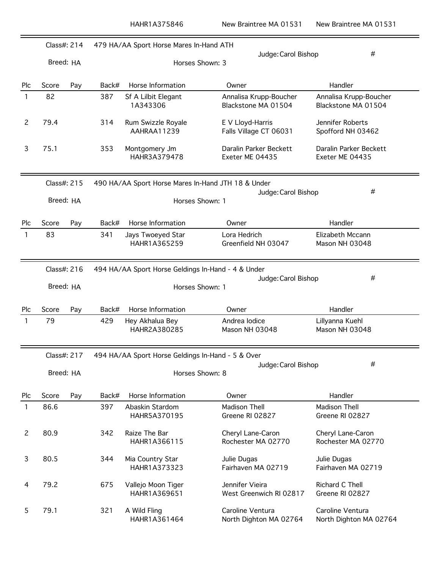|                | Class#: 214 |     |       | 479 HA/AA Sport Horse Mares In-Hand ATH            |                                               |                                               |
|----------------|-------------|-----|-------|----------------------------------------------------|-----------------------------------------------|-----------------------------------------------|
|                | Breed: HA   |     |       | Horses Shown: 3                                    | Judge: Carol Bishop                           | #                                             |
| Plc            | Score       | Pay | Back# | Horse Information                                  | Owner                                         | Handler                                       |
| $\mathbf{1}$   | 82          |     | 387   | Sf A Lilbit Elegant<br>1A343306                    | Annalisa Krupp-Boucher<br>Blackstone MA 01504 | Annalisa Krupp-Boucher<br>Blackstone MA 01504 |
| $\overline{2}$ | 79.4        |     | 314   | Rum Swizzle Royale<br>AAHRAA11239                  | E V Lloyd-Harris<br>Falls Village CT 06031    | Jennifer Roberts<br>Spofford NH 03462         |
| 3              | 75.1        |     | 353   | Montgomery Jm<br>HAHR3A379478                      | Daralin Parker Beckett<br>Exeter ME 04435     | Daralin Parker Beckett<br>Exeter ME 04435     |
|                | Class#: 215 |     |       | 490 HA/AA Sport Horse Mares In-Hand JTH 18 & Under |                                               |                                               |
|                | Breed: HA   |     |       | Horses Shown: 1                                    | Judge: Carol Bishop                           | #                                             |
| Plc            | Score       | Pay | Back# | Horse Information                                  | Owner                                         | Handler                                       |
| 1              | 83          |     | 341   | Jays Twoeyed Star<br>HAHR1A365259                  | Lora Hedrich<br>Greenfield NH 03047           | Elizabeth Mccann<br>Mason NH 03048            |
|                | Class#: 216 |     |       | 494 HA/AA Sport Horse Geldings In-Hand - 4 & Under |                                               |                                               |
|                | Breed: HA   |     |       | Horses Shown: 1                                    | Judge: Carol Bishop                           | #                                             |
| Plc            | Score       | Pay | Back# | Horse Information                                  | Owner                                         | Handler                                       |
| 1              | 79          |     | 429   | Hey Akhalua Bey<br>HAHR2A380285                    | Andrea lodice<br>Mason NH 03048               | Lillyanna Kuehl<br>Mason NH 03048             |
|                | Class#: 217 |     |       | 494 HA/AA Sport Horse Geldings In-Hand - 5 & Over  |                                               |                                               |
|                | Breed: HA   |     |       | Horses Shown: 8                                    | Judge: Carol Bishop                           | #                                             |
| Plc            | Score       | Pay | Back# | Horse Information                                  | Owner                                         | Handler                                       |
| 1              | 86.6        |     | 397   | Abaskin Stardom<br>HAHR5A370195                    | <b>Madison Thell</b><br>Greene RI 02827       | <b>Madison Thell</b><br>Greene RI 02827       |
| $\overline{c}$ | 80.9        |     | 342   | Raize The Bar<br>HAHR1A366115                      | Cheryl Lane-Caron<br>Rochester MA 02770       | Cheryl Lane-Caron<br>Rochester MA 02770       |
| 3              | 80.5        |     | 344   | Mia Country Star<br>HAHR1A373323                   | Julie Dugas<br>Fairhaven MA 02719             | Julie Dugas<br>Fairhaven MA 02719             |
| 4              | 79.2        |     | 675   | Vallejo Moon Tiger<br>HAHR1A369651                 | Jennifer Vieira<br>West Greenwich RI 02817    | Richard C Thell<br>Greene RI 02827            |
| 5              | 79.1        |     | 321   | A Wild Fling<br>HAHR1A361464                       | Caroline Ventura<br>North Dighton MA 02764    | Caroline Ventura<br>North Dighton MA 02764    |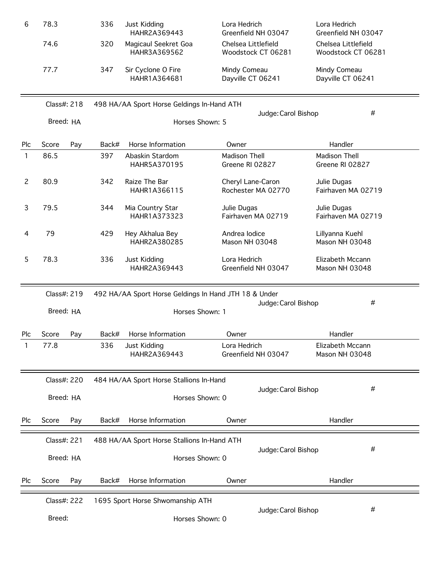| 6   | 78.3         | 336   | Just Kidding<br>HAHR2A369443                          | Lora Hedrich<br>Greenfield NH 03047       |                     | Lora Hedrich<br>Greenfield NH 03047       |
|-----|--------------|-------|-------------------------------------------------------|-------------------------------------------|---------------------|-------------------------------------------|
|     | 74.6         | 320   | Magicaul Seekret Goa<br>HAHR3A369562                  | Chelsea Littlefield<br>Woodstock CT 06281 |                     | Chelsea Littlefield<br>Woodstock CT 06281 |
|     | 77.7         | 347   | Sir Cyclone O Fire<br>HAHR1A364681                    | Mindy Comeau<br>Dayville CT 06241         |                     | Mindy Comeau<br>Dayville CT 06241         |
|     | Class#: 218  |       | 498 HA/AA Sport Horse Geldings In-Hand ATH            |                                           |                     | #                                         |
|     | Breed: HA    |       | Horses Shown: 5                                       |                                           | Judge: Carol Bishop |                                           |
| Plc | Score<br>Pay | Back# | Horse Information                                     | Owner                                     |                     | Handler                                   |
| 1   | 86.5         | 397   | Abaskin Stardom<br>HAHR5A370195                       | Madison Thell<br>Greene RI 02827          |                     | Madison Thell<br>Greene RI 02827          |
| 2   | 80.9         | 342   | Raize The Bar<br>HAHR1A366115                         | Cheryl Lane-Caron<br>Rochester MA 02770   |                     | Julie Dugas<br>Fairhaven MA 02719         |
| 3   | 79.5         | 344   | Mia Country Star<br>HAHR1A373323                      | Julie Dugas<br>Fairhaven MA 02719         |                     | Julie Dugas<br>Fairhaven MA 02719         |
| 4   | 79           | 429   | Hey Akhalua Bey<br>HAHR2A380285                       | Andrea lodice<br>Mason NH 03048           |                     | Lillyanna Kuehl<br>Mason NH 03048         |
| 5   | 78.3         | 336   | Just Kidding<br>HAHR2A369443                          | Lora Hedrich<br>Greenfield NH 03047       |                     | Elizabeth Mccann<br>Mason NH 03048        |
|     | Class#: 219  |       | 492 HA/AA Sport Horse Geldings In Hand JTH 18 & Under |                                           |                     |                                           |
|     | Breed: HA    |       | Horses Shown: 1                                       |                                           | Judge: Carol Bishop | #                                         |
| Plc | Score<br>Pay | Back# | Horse Information                                     | Owner                                     |                     | Handler                                   |
| 1   | 77.8         | 336   | Just Kidding<br>HAHR2A369443                          | Lora Hedrich<br>Greenfield NH 03047       |                     | Elizabeth Mccann<br>Mason NH 03048        |
|     | Class#: 220  |       | 484 HA/AA Sport Horse Stallions In-Hand               |                                           |                     |                                           |
|     | Breed: HA    |       | Horses Shown: 0                                       |                                           | Judge: Carol Bishop | #                                         |
| Plc | Score<br>Pay | Back# | Horse Information                                     | Owner                                     |                     | Handler                                   |
|     | Class#: 221  |       | 488 HA/AA Sport Horse Stallions In-Hand ATH           |                                           |                     | #                                         |
|     | Breed: HA    |       | Horses Shown: 0                                       |                                           | Judge: Carol Bishop |                                           |
| Plc | Score<br>Pay | Back# | Horse Information                                     | Owner                                     |                     | Handler                                   |
|     | Class#: 222  |       | 1695 Sport Horse Shwomanship ATH                      |                                           |                     |                                           |
|     | Breed:       |       | Horses Shown: 0                                       |                                           | Judge: Carol Bishop | #                                         |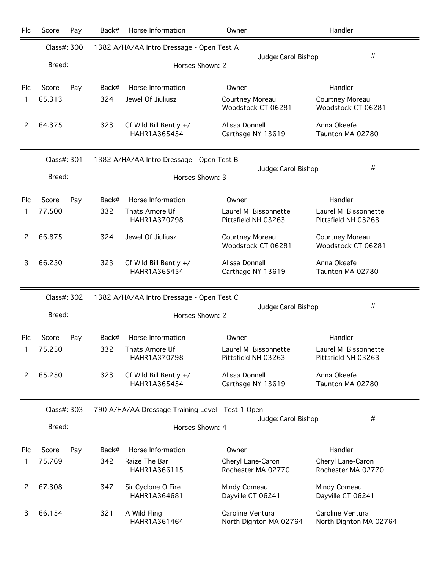| Plc | Score       | Pay | Back# | Horse Information                                 | Owner                                       | Handler                                     |
|-----|-------------|-----|-------|---------------------------------------------------|---------------------------------------------|---------------------------------------------|
|     | Class#: 300 |     |       | 1382 A/HA/AA Intro Dressage - Open Test A         |                                             |                                             |
|     | Breed:      |     |       |                                                   | Judge: Carol Bishop<br>Horses Shown: 2      | #                                           |
|     |             |     |       |                                                   |                                             |                                             |
| Plc | Score       | Pay | Back# | Horse Information                                 | Owner                                       | Handler                                     |
| 1   | 65.313      |     | 324   | Jewel Of Jiuliusz                                 | Courtney Moreau<br>Woodstock CT 06281       | Courtney Moreau<br>Woodstock CT 06281       |
| 2   | 64.375      |     | 323   | Cf Wild Bill Bently +/<br>HAHR1A365454            | Alissa Donnell<br>Carthage NY 13619         | Anna Okeefe<br>Taunton MA 02780             |
|     | Class#: 301 |     |       | 1382 A/HA/AA Intro Dressage - Open Test B         |                                             |                                             |
|     | Breed:      |     |       |                                                   | Judge: Carol Bishop<br>Horses Shown: 3      | #                                           |
|     |             |     |       |                                                   |                                             |                                             |
| Plc | Score       | Pay | Back# | Horse Information                                 | Owner                                       | Handler                                     |
| 1   | 77.500      |     | 332   | Thats Amore Uf<br>HAHR1A370798                    | Laurel M Bissonnette<br>Pittsfield NH 03263 | Laurel M Bissonnette<br>Pittsfield NH 03263 |
| 2   | 66.875      |     | 324   | Jewel Of Jiuliusz                                 | Courtney Moreau<br>Woodstock CT 06281       | Courtney Moreau<br>Woodstock CT 06281       |
| 3   | 66.250      |     | 323   | Cf Wild Bill Bently +/<br>HAHR1A365454            | Alissa Donnell<br>Carthage NY 13619         | Anna Okeefe<br>Taunton MA 02780             |
|     | Class#: 302 |     |       | 1382 A/HA/AA Intro Dressage - Open Test C         |                                             |                                             |
|     | Breed:      |     |       |                                                   | Judge: Carol Bishop<br>Horses Shown: 2      | #                                           |
| Plc | Score       | Pay | Back# | Horse Information                                 | Owner                                       | Handler                                     |
|     | 75.250      |     | 332   | Thats Amore Uf<br>HAHR1A370798                    | Laurel M Bissonnette<br>Pittsfield NH 03263 | Laurel M Bissonnette<br>Pittsfield NH 03263 |
| 2   | 65.250      |     | 323   | Cf Wild Bill Bently +/<br>HAHR1A365454            | Alissa Donnell<br>Carthage NY 13619         | Anna Okeefe<br>Taunton MA 02780             |
|     | Class#: 303 |     |       | 790 A/HA/AA Dressage Training Level - Test 1 Open |                                             |                                             |
|     | Breed:      |     |       |                                                   | Judge: Carol Bishop<br>Horses Shown: 4      | #                                           |
|     |             |     |       |                                                   |                                             |                                             |
| Plc | Score       | Pay | Back# | Horse Information                                 | Owner                                       | Handler                                     |
| 1   | 75.769      |     | 342   | Raize The Bar<br>HAHR1A366115                     | Cheryl Lane-Caron<br>Rochester MA 02770     | Cheryl Lane-Caron<br>Rochester MA 02770     |
| 2   | 67.308      |     | 347   | Sir Cyclone O Fire<br>HAHR1A364681                | Mindy Comeau<br>Dayville CT 06241           | Mindy Comeau<br>Dayville CT 06241           |
| 3   | 66.154      |     | 321   | A Wild Fling<br>HAHR1A361464                      | Caroline Ventura<br>North Dighton MA 02764  | Caroline Ventura<br>North Dighton MA 02764  |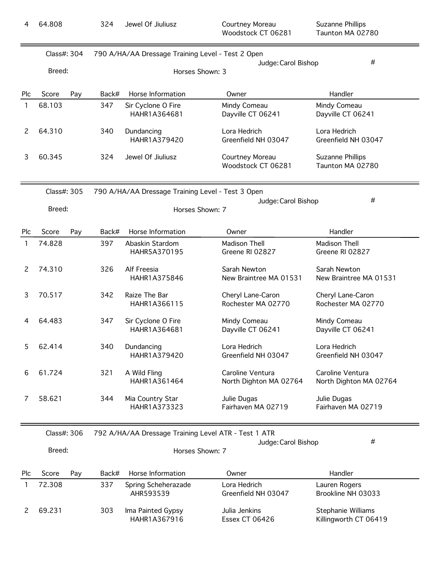| 4              | 64.808                |     | 324   | Jewel Of Jiuliusz                                                    | Courtney Moreau<br>Woodstock CT 06281      | Suzanne Phillips<br>Taunton MA 02780        |
|----------------|-----------------------|-----|-------|----------------------------------------------------------------------|--------------------------------------------|---------------------------------------------|
|                | Class#: 304<br>Breed: |     |       | 790 A/HA/AA Dressage Training Level - Test 2 Open<br>Horses Shown: 3 | Judge: Carol Bishop                        | #                                           |
|                |                       |     |       |                                                                      |                                            |                                             |
| Plc            | Score                 | Pay | Back# | Horse Information                                                    | Owner                                      | Handler                                     |
| 1              | 68.103                |     | 347   | Sir Cyclone O Fire<br>HAHR1A364681                                   | Mindy Comeau<br>Dayville CT 06241          | Mindy Comeau<br>Dayville CT 06241           |
| $\overline{c}$ | 64.310                |     | 340   | Dundancing<br>HAHR1A379420                                           | Lora Hedrich<br>Greenfield NH 03047        | Lora Hedrich<br>Greenfield NH 03047         |
| 3              | 60.345                |     | 324   | Jewel Of Jiuliusz                                                    | Courtney Moreau<br>Woodstock CT 06281      | Suzanne Phillips<br>Taunton MA 02780        |
|                | Class#: 305           |     |       | 790 A/HA/AA Dressage Training Level - Test 3 Open                    |                                            | #                                           |
|                | Breed:                |     |       | Horses Shown: 7                                                      | Judge: Carol Bishop                        |                                             |
| Plc            | Score                 | Pay | Back# | Horse Information                                                    | Owner                                      | Handler                                     |
| 1              | 74.828                |     | 397   | Abaskin Stardom<br>HAHR5A370195                                      | Madison Thell<br>Greene RI 02827           | Madison Thell<br>Greene RI 02827            |
| $\overline{c}$ | 74.310                |     | 326   | Alf Freesia<br>HAHR1A375846                                          | Sarah Newton<br>New Braintree MA 01531     | Sarah Newton<br>New Braintree MA 01531      |
| 3              | 70.517                |     | 342   | Raize The Bar<br>HAHR1A366115                                        | Cheryl Lane-Caron<br>Rochester MA 02770    | Cheryl Lane-Caron<br>Rochester MA 02770     |
| 4              | 64.483                |     | 347   | Sir Cyclone O Fire<br>HAHR1A364681                                   | Mindy Comeau<br>Dayville CT 06241          | Mindy Comeau<br>Dayville CT 06241           |
| 5              | 62.414                |     | 340   | Dundancing<br>HAHR1A379420                                           | Lora Hedrich<br>Greenfield NH 03047        | Lora Hedrich<br>Greenfield NH 03047         |
| 6              | 61.724                |     | 321   | A Wild Fling<br>HAHR1A361464                                         | Caroline Ventura<br>North Dighton MA 02764 | Caroline Ventura<br>North Dighton MA 02764  |
| 7              | 58.621                |     | 344   | Mia Country Star<br>HAHR1A373323                                     | Julie Dugas<br>Fairhaven MA 02719          | Julie Dugas<br>Fairhaven MA 02719           |
|                | Class#: 306           |     |       | 792 A/HA/AA Dressage Training Level ATR - Test 1 ATR                 |                                            |                                             |
|                | Breed:                |     |       | Horses Shown: 7                                                      | Judge: Carol Bishop                        | #                                           |
| Plc            | Score                 | Pay | Back# | Horse Information                                                    | Owner                                      | Handler                                     |
| 1              | 72.308                |     | 337   | Spring Scheherazade<br>AHR593539                                     | Lora Hedrich<br>Greenfield NH 03047        | Lauren Rogers<br>Brookline NH 03033         |
| 2              | 69.231                |     | 303   | Ima Painted Gypsy<br>HAHR1A367916                                    | Julia Jenkins<br>Essex CT 06426            | Stephanie Williams<br>Killingworth CT 06419 |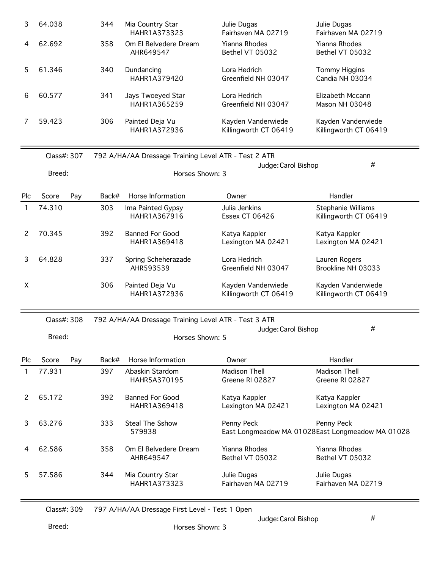| 3. | 64.038 | 344 | Mia Country Star<br>HAHR1A373323   | Julie Dugas<br>Fairhaven MA 02719           | Julie Dugas<br>Fairhaven MA 02719           |
|----|--------|-----|------------------------------------|---------------------------------------------|---------------------------------------------|
| 4  | 62.692 | 358 | Om El Belvedere Dream<br>AHR649547 | Yianna Rhodes<br>Bethel VT 05032            | Yianna Rhodes<br>Bethel VT 05032            |
|    | 61.346 | 340 | Dundancing<br>HAHR1A379420         | Lora Hedrich<br>Greenfield NH 03047         | Tommy Higgins<br>Candia NH 03034            |
| 6  | 60.577 | 341 | Jays Twoeyed Star<br>HAHR1A365259  | Lora Hedrich<br>Greenfield NH 03047         | Elizabeth Mccann<br>Mason NH 03048          |
|    | 59.423 | 306 | Painted Deja Vu<br>HAHR1A372936    | Kayden Vanderwiede<br>Killingworth CT 06419 | Kayden Vanderwiede<br>Killingworth CT 06419 |

|     | Class#: 307 |     |       | 792 A/HA/AA Dressage Training Level ATR - Test 2 ATR |                                             |                                             |
|-----|-------------|-----|-------|------------------------------------------------------|---------------------------------------------|---------------------------------------------|
|     |             |     |       |                                                      | Judge: Carol Bishop                         | #                                           |
|     | Breed:      |     |       | Horses Shown: 3                                      |                                             |                                             |
| Plc | Score       | Pay | Back# | Horse Information                                    | Owner                                       | Handler                                     |
|     | 74.310      |     | 303   | Ima Painted Gypsy<br>HAHR1A367916                    | Julia Jenkins<br><b>Essex CT 06426</b>      | Stephanie Williams<br>Killingworth CT 06419 |
|     | 70.345      |     | 392   | <b>Banned For Good</b><br>HAHR1A369418               | Katya Kappler<br>Lexington MA 02421         | Katya Kappler<br>Lexington MA 02421         |
| 3   | 64.828      |     | 337   | Spring Scheherazade<br>AHR593539                     | Lora Hedrich<br>Greenfield NH 03047         | Lauren Rogers<br>Brookline NH 03033         |
| χ   |             |     | 306   | Painted Deja Vu<br>HAHR1A372936                      | Kayden Vanderwiede<br>Killingworth CT 06419 | Kayden Vanderwiede<br>Killingworth CT 06419 |

| Class#: 308 | 792 A/HA/AA Dressage Training Level ATR - Test 3 ATR |  |
|-------------|------------------------------------------------------|--|

|      | Class#: 308 |     | 792 A/HA/AA Dressage Training Level ATR - Test 3 ATR |                        |                     |                                                  |  |  |
|------|-------------|-----|------------------------------------------------------|------------------------|---------------------|--------------------------------------------------|--|--|
|      |             |     |                                                      |                        | Judge: Carol Bishop | #                                                |  |  |
|      | Breed:      |     |                                                      | Horses Shown: 5        |                     |                                                  |  |  |
|      |             |     |                                                      |                        |                     |                                                  |  |  |
| Plc. | Score       | Pay | Back#                                                | Horse Information      | Owner               | Handler                                          |  |  |
|      | 77.931      |     | 397                                                  | Abaskin Stardom        | Madison Thell       | Madison Thell                                    |  |  |
|      |             |     |                                                      | HAHR5A370195           | Greene RI 02827     | Greene RI 02827                                  |  |  |
|      |             |     |                                                      |                        |                     |                                                  |  |  |
| 2    | 65.172      |     | 392                                                  | <b>Banned For Good</b> | Katya Kappler       | Katya Kappler                                    |  |  |
|      |             |     |                                                      | HAHR1A369418           | Lexington MA 02421  | Lexington MA 02421                               |  |  |
| 3    | 63.276      |     | 333                                                  | <b>Steal The Sshow</b> | Penny Peck          | Penny Peck                                       |  |  |
|      |             |     |                                                      | 579938                 |                     | East Longmeadow MA 01028East Longmeadow MA 01028 |  |  |
|      |             |     |                                                      |                        |                     |                                                  |  |  |
| 4    | 62.586      |     | 358                                                  | Om El Belvedere Dream  | Yianna Rhodes       | Yianna Rhodes                                    |  |  |
|      |             |     |                                                      | AHR649547              | Bethel VT 05032     | Bethel VT 05032                                  |  |  |
|      |             |     |                                                      |                        |                     |                                                  |  |  |
| 5    | 57.586      |     | 344                                                  | Mia Country Star       | Julie Dugas         | Julie Dugas                                      |  |  |
|      |             |     |                                                      | HAHR1A373323           | Fairhaven MA 02719  | Fairhaven MA 02719                               |  |  |
|      |             |     |                                                      |                        |                     |                                                  |  |  |

Class#: 309 797 A/HA/AA Dressage First Level - Test 1 Open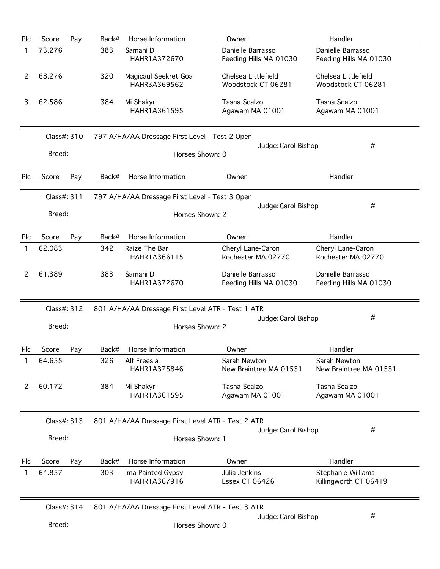| Plc | Score       | Pay | Back# | Horse Information                                 | Owner                                       | Handler                                     |
|-----|-------------|-----|-------|---------------------------------------------------|---------------------------------------------|---------------------------------------------|
| 1   | 73.276      |     | 383   | Samani D<br>HAHR1A372670                          | Danielle Barrasso<br>Feeding Hills MA 01030 | Danielle Barrasso<br>Feeding Hills MA 01030 |
| 2   | 68.276      |     | 320   | Magicaul Seekret Goa<br>HAHR3A369562              | Chelsea Littlefield<br>Woodstock CT 06281   | Chelsea Littlefield<br>Woodstock CT 06281   |
| 3   | 62.586      |     | 384   | Mi Shakyr<br>HAHR1A361595                         | Tasha Scalzo<br>Agawam MA 01001             | Tasha Scalzo<br>Agawam MA 01001             |
|     | Class#: 310 |     |       | 797 A/HA/AA Dressage First Level - Test 2 Open    |                                             |                                             |
|     | Breed:      |     |       | Horses Shown: 0                                   | Judge: Carol Bishop                         | #                                           |
| Plc | Score       | Pay | Back# | Horse Information                                 | Owner                                       | Handler                                     |
|     | Class#: 311 |     |       | 797 A/HA/AA Dressage First Level - Test 3 Open    |                                             |                                             |
|     | Breed:      |     |       | Horses Shown: 2                                   | Judge: Carol Bishop                         | #                                           |
| Plc | Score       | Pay | Back# | Horse Information                                 | Owner                                       | Handler                                     |
| 1   | 62.083      |     | 342   | Raize The Bar<br>HAHR1A366115                     | Cheryl Lane-Caron<br>Rochester MA 02770     | Cheryl Lane-Caron<br>Rochester MA 02770     |
| 2   | 61.389      |     | 383   | Samani D<br>HAHR1A372670                          | Danielle Barrasso<br>Feeding Hills MA 01030 | Danielle Barrasso<br>Feeding Hills MA 01030 |
|     | Class#: 312 |     |       | 801 A/HA/AA Dressage First Level ATR - Test 1 ATR |                                             |                                             |
|     | Breed:      |     |       | Horses Shown: 2                                   | Judge: Carol Bishop                         | #                                           |
| Plc | Score       | Pay | Back# | Horse Information                                 | Owner                                       | Handler                                     |
| 1   | 64.655      |     | 326   | Alf Freesia<br>HAHR1A375846                       | Sarah Newton<br>New Braintree MA 01531      | Sarah Newton<br>New Braintree MA 01531      |
| 2   | 60.172      |     | 384   | Mi Shakyr<br>HAHR1A361595                         | Tasha Scalzo<br>Agawam MA 01001             | Tasha Scalzo<br>Agawam MA 01001             |
|     | Class#: 313 |     |       | 801 A/HA/AA Dressage First Level ATR - Test 2 ATR |                                             | #                                           |
|     | Breed:      |     |       | Horses Shown: 1                                   | Judge: Carol Bishop                         |                                             |
| Plc | Score       | Pay | Back# | Horse Information                                 | Owner                                       | Handler                                     |
|     | 64.857      |     | 303   | Ima Painted Gypsy<br>HAHR1A367916                 | Julia Jenkins<br><b>Essex CT 06426</b>      | Stephanie Williams<br>Killingworth CT 06419 |
|     | Class#: 314 |     |       | 801 A/HA/AA Dressage First Level ATR - Test 3 ATR |                                             |                                             |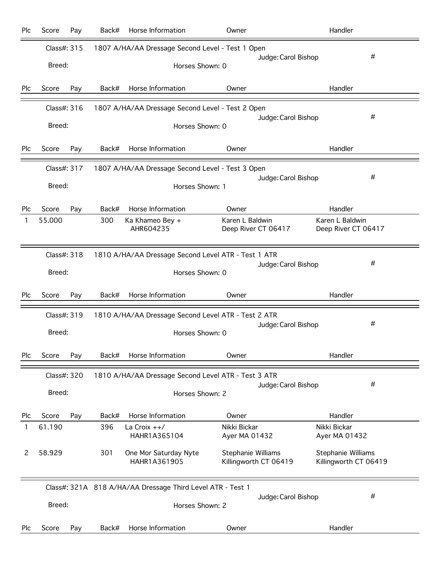|     | Score       | Pay | Back#           | Horse Information                                          | Owner                                       |                     | Handler                                     |  |
|-----|-------------|-----|-----------------|------------------------------------------------------------|---------------------------------------------|---------------------|---------------------------------------------|--|
|     | Class#: 315 |     |                 | 1807 A/HA/AA Dressage Second Level - Test 1 Open           |                                             |                     |                                             |  |
|     | Breed:      |     |                 | Horses Shown: 0                                            |                                             | Judge: Carol Bishop | #                                           |  |
| Plc | Score       | Pay | Back#           | Horse Information                                          | Owner                                       |                     | Handler                                     |  |
|     | Class#: 316 |     |                 | 1807 A/HA/AA Dressage Second Level - Test 2 Open           |                                             |                     | #                                           |  |
|     | Breed:      |     |                 | Horses Shown: 0                                            |                                             | Judge: Carol Bishop |                                             |  |
| Plc | Score       | Pay | Back#           | Horse Information                                          | Owner                                       |                     | Handler                                     |  |
|     | Class#: 317 |     |                 | 1807 A/HA/AA Dressage Second Level - Test 3 Open           |                                             |                     |                                             |  |
|     | Breed:      |     | Horses Shown: 1 |                                                            |                                             | Judge: Carol Bishop | #                                           |  |
| Plc | Score       | Pay | Back#           | Horse Information                                          | Owner                                       |                     | Handler                                     |  |
| 1   | 55.000      |     | 300             | Ka Khameo Bey +<br>AHR604235                               | Karen L Baldwin<br>Deep River CT 06417      |                     | Karen L Baldwin<br>Deep River CT 06417      |  |
|     | Class#: 318 |     |                 | 1810 A/HA/AA Dressage Second Level ATR - Test 1 ATR        |                                             |                     |                                             |  |
|     | Breed:      |     |                 | Horses Shown: 0                                            |                                             | Judge: Carol Bishop | #                                           |  |
| Plc | Score       | Pay | Back#           | Horse Information                                          | Owner                                       |                     | Handler                                     |  |
|     | Class#: 319 |     |                 |                                                            |                                             |                     |                                             |  |
|     |             |     |                 | 1810 A/HA/AA Dressage Second Level ATR - Test 2 ATR        |                                             |                     |                                             |  |
|     | Breed:      |     |                 | Horses Shown: 0                                            |                                             | Judge: Carol Bishop | #                                           |  |
| Plc | Score       | Pay | Back#           | Horse Information                                          | Owner                                       |                     | Handler                                     |  |
|     | Class#: 320 |     |                 | 1810 A/HA/AA Dressage Second Level ATR - Test 3 ATR        |                                             |                     |                                             |  |
|     | Breed:      |     |                 | Horses Shown: 2                                            |                                             | Judge: Carol Bishop | #                                           |  |
| Plc | Score       | Pay | Back#           | Horse Information                                          | Owner                                       |                     | Handler                                     |  |
| 1   | 61.190      |     | 396             | La Croix $++/$<br>HAHR1A365104                             | Nikki Bickar<br>Ayer MA 01432               |                     | Nikki Bickar<br>Ayer MA 01432               |  |
| 2   | 58.929      |     | 301             | One Mor Saturday Nyte<br>HAHR1A361905                      | Stephanie Williams<br>Killingworth CT 06419 |                     | Stephanie Williams<br>Killingworth CT 06419 |  |
|     |             |     |                 | Class#: 321A 818 A/HA/AA Dressage Third Level ATR - Test 1 |                                             |                     |                                             |  |
|     | Breed:      |     |                 | Horses Shown: 2                                            |                                             | Judge: Carol Bishop | #                                           |  |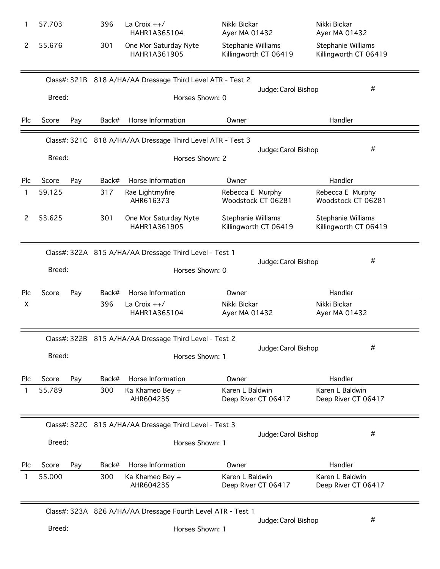|            | 57.703       | 396   | La Croix $++/$<br>HAHR1A365104                             | Nikki Bickar<br>Ayer MA 01432               | Nikki Bickar<br>Ayer MA 01432               |
|------------|--------------|-------|------------------------------------------------------------|---------------------------------------------|---------------------------------------------|
| 2          | 55.676       | 301   | One Mor Saturday Nyte<br>HAHR1A361905                      | Stephanie Williams<br>Killingworth CT 06419 | Stephanie Williams<br>Killingworth CT 06419 |
|            |              |       | Class#: 321B 818 A/HA/AA Dressage Third Level ATR - Test 2 |                                             |                                             |
|            | Breed:       |       | Horses Shown: 0                                            |                                             | #<br>Judge: Carol Bishop                    |
| <b>Plc</b> | Score<br>Pay | Back# | Horse Information                                          | Owner                                       | Handler                                     |
|            |              |       | Class#: 321C 818 A/HA/AA Dressage Third Level ATR - Test 3 |                                             | #<br>Judge: Carol Bishop                    |
|            | Breed:       |       | Horses Shown: 2                                            |                                             |                                             |
| Plc        | Score<br>Pay | Back# | Horse Information                                          | Owner                                       | Handler                                     |
| 1          | 59.125       | 317   | Rae Lightmyfire<br>AHR616373                               | Rebecca E Murphy<br>Woodstock CT 06281      | Rebecca E Murphy<br>Woodstock CT 06281      |
| 2          | 53.625       | 301   | One Mor Saturday Nyte<br>HAHR1A361905                      | Stephanie Williams<br>Killingworth CT 06419 | Stephanie Williams<br>Killingworth CT 06419 |
|            |              |       | Class#: 322A 815 A/HA/AA Dressage Third Level - Test 1     |                                             |                                             |
|            | Breed:       |       | Horses Shown: 0                                            |                                             | #<br>Judge: Carol Bishop                    |
| Plc        | Score<br>Pay | Back# | Horse Information                                          | Owner                                       | Handler                                     |
| X          |              | 396   | La Croix $++/$<br>HAHR1A365104                             | Nikki Bickar<br>Ayer MA 01432               | Nikki Bickar<br>Ayer MA 01432               |
|            |              |       | Class#: 322B 815 A/HA/AA Dressage Third Level - Test 2     |                                             |                                             |
|            | Breed:       |       | Horses Shown: 1                                            |                                             | #<br>Judge: Carol Bishop                    |
| Plc        | Score<br>Pay | Back# | Horse Information                                          | Owner                                       | Handler                                     |
|            | 55.789       | 300   | Ka Khameo Bey +<br>AHR604235                               | Karen L Baldwin<br>Deep River CT 06417      | Karen L Baldwin<br>Deep River CT 06417      |
|            |              |       | Class#: 322C 815 A/HA/AA Dressage Third Level - Test 3     |                                             |                                             |
|            | Breed:       |       | Horses Shown: 1                                            |                                             | #<br>Judge: Carol Bishop                    |
| <b>Plc</b> | Score<br>Pay | Back# | Horse Information                                          | Owner                                       | Handler                                     |
|            | 55.000       | 300   | Ka Khameo Bey +<br>AHR604235                               | Karen L Baldwin<br>Deep River CT 06417      | Karen L Baldwin<br>Deep River CT 06417      |
|            |              |       |                                                            |                                             |                                             |

Class#: 323A 826 A/HA/AA Dressage Fourth Level ATR - Test 1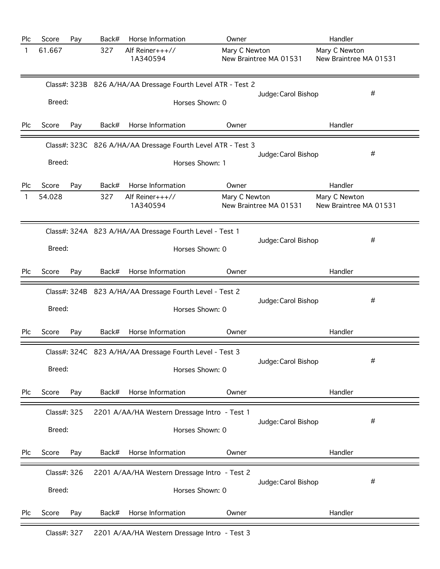| 61.667<br>327<br>Alf Reiner+++//<br>Mary C Newton<br>Mary C Newton<br>1<br>New Braintree MA 01531<br>1A340594<br>New Braintree MA 01531<br>Class#: 323B 826 A/HA/AA Dressage Fourth Level ATR - Test 2<br>#<br>Judge: Carol Bishop<br>Breed:<br>Horses Shown: 0<br>Score<br>Horse Information<br>Handler<br>Plc<br>Pay<br>Back#<br>Owner<br>Class#: 323C 826 A/HA/AA Dressage Fourth Level ATR - Test 3<br>#<br>Judge: Carol Bishop<br>Breed:<br>Horses Shown: 1<br>Score<br>Horse Information<br>Owner<br>Handler<br>Plc<br>Pay<br>Back#<br>54.028<br>327<br>Alf Reiner+++//<br>Mary C Newton<br>Mary C Newton<br>$\mathbf{1}$<br>New Braintree MA 01531<br>New Braintree MA 01531<br>1A340594<br>Class#: 324A 823 A/HA/AA Dressage Fourth Level - Test 1<br>#<br>Judge: Carol Bishop<br>Breed:<br>Horses Shown: 0<br>Score<br>Back#<br>Horse Information<br>Handler<br>Plc<br>Pay<br>Owner<br>Class#: 324B 823 A/HA/AA Dressage Fourth Level - Test 2<br>#<br>Judge: Carol Bishop<br>Breed:<br>Horses Shown: 0<br>Score<br>Back#<br>Horse Information<br>Handler<br>Plc<br>Pay<br>Owner<br>Class#: 324C 823 A/HA/AA Dressage Fourth Level - Test 3<br>#<br>Judge: Carol Bishop<br>Breed:<br>Horses Shown: 0<br>Score<br>Back#<br>Horse Information<br>Owner<br>Handler<br>Plc<br>Pay<br>Class#: 325<br>2201 A/AA/HA Western Dressage Intro - Test 1<br>#<br>Judge: Carol Bishop<br>Breed:<br>Horses Shown: 0<br>Back#<br>Horse Information<br>Owner<br>Handler<br>Plc<br>Score<br>Pay<br>Class#: 326<br>2201 A/AA/HA Western Dressage Intro - Test 2<br>#<br>Judge: Carol Bishop<br>Breed:<br>Horses Shown: 0 | Plc | Score | Pay | Back# | Horse Information | Owner | Handler |
|-----------------------------------------------------------------------------------------------------------------------------------------------------------------------------------------------------------------------------------------------------------------------------------------------------------------------------------------------------------------------------------------------------------------------------------------------------------------------------------------------------------------------------------------------------------------------------------------------------------------------------------------------------------------------------------------------------------------------------------------------------------------------------------------------------------------------------------------------------------------------------------------------------------------------------------------------------------------------------------------------------------------------------------------------------------------------------------------------------------------------------------------------------------------------------------------------------------------------------------------------------------------------------------------------------------------------------------------------------------------------------------------------------------------------------------------------------------------------------------------------------------------------------------------------------------------------------------------------------------------|-----|-------|-----|-------|-------------------|-------|---------|
|                                                                                                                                                                                                                                                                                                                                                                                                                                                                                                                                                                                                                                                                                                                                                                                                                                                                                                                                                                                                                                                                                                                                                                                                                                                                                                                                                                                                                                                                                                                                                                                                                 |     |       |     |       |                   |       |         |
|                                                                                                                                                                                                                                                                                                                                                                                                                                                                                                                                                                                                                                                                                                                                                                                                                                                                                                                                                                                                                                                                                                                                                                                                                                                                                                                                                                                                                                                                                                                                                                                                                 |     |       |     |       |                   |       |         |
|                                                                                                                                                                                                                                                                                                                                                                                                                                                                                                                                                                                                                                                                                                                                                                                                                                                                                                                                                                                                                                                                                                                                                                                                                                                                                                                                                                                                                                                                                                                                                                                                                 |     |       |     |       |                   |       |         |
|                                                                                                                                                                                                                                                                                                                                                                                                                                                                                                                                                                                                                                                                                                                                                                                                                                                                                                                                                                                                                                                                                                                                                                                                                                                                                                                                                                                                                                                                                                                                                                                                                 |     |       |     |       |                   |       |         |
|                                                                                                                                                                                                                                                                                                                                                                                                                                                                                                                                                                                                                                                                                                                                                                                                                                                                                                                                                                                                                                                                                                                                                                                                                                                                                                                                                                                                                                                                                                                                                                                                                 |     |       |     |       |                   |       |         |
|                                                                                                                                                                                                                                                                                                                                                                                                                                                                                                                                                                                                                                                                                                                                                                                                                                                                                                                                                                                                                                                                                                                                                                                                                                                                                                                                                                                                                                                                                                                                                                                                                 |     |       |     |       |                   |       |         |
|                                                                                                                                                                                                                                                                                                                                                                                                                                                                                                                                                                                                                                                                                                                                                                                                                                                                                                                                                                                                                                                                                                                                                                                                                                                                                                                                                                                                                                                                                                                                                                                                                 |     |       |     |       |                   |       |         |
|                                                                                                                                                                                                                                                                                                                                                                                                                                                                                                                                                                                                                                                                                                                                                                                                                                                                                                                                                                                                                                                                                                                                                                                                                                                                                                                                                                                                                                                                                                                                                                                                                 |     |       |     |       |                   |       |         |
|                                                                                                                                                                                                                                                                                                                                                                                                                                                                                                                                                                                                                                                                                                                                                                                                                                                                                                                                                                                                                                                                                                                                                                                                                                                                                                                                                                                                                                                                                                                                                                                                                 |     |       |     |       |                   |       |         |
|                                                                                                                                                                                                                                                                                                                                                                                                                                                                                                                                                                                                                                                                                                                                                                                                                                                                                                                                                                                                                                                                                                                                                                                                                                                                                                                                                                                                                                                                                                                                                                                                                 |     |       |     |       |                   |       |         |
|                                                                                                                                                                                                                                                                                                                                                                                                                                                                                                                                                                                                                                                                                                                                                                                                                                                                                                                                                                                                                                                                                                                                                                                                                                                                                                                                                                                                                                                                                                                                                                                                                 |     |       |     |       |                   |       |         |
|                                                                                                                                                                                                                                                                                                                                                                                                                                                                                                                                                                                                                                                                                                                                                                                                                                                                                                                                                                                                                                                                                                                                                                                                                                                                                                                                                                                                                                                                                                                                                                                                                 |     |       |     |       |                   |       |         |
|                                                                                                                                                                                                                                                                                                                                                                                                                                                                                                                                                                                                                                                                                                                                                                                                                                                                                                                                                                                                                                                                                                                                                                                                                                                                                                                                                                                                                                                                                                                                                                                                                 |     |       |     |       |                   |       |         |
|                                                                                                                                                                                                                                                                                                                                                                                                                                                                                                                                                                                                                                                                                                                                                                                                                                                                                                                                                                                                                                                                                                                                                                                                                                                                                                                                                                                                                                                                                                                                                                                                                 |     |       |     |       |                   |       |         |
|                                                                                                                                                                                                                                                                                                                                                                                                                                                                                                                                                                                                                                                                                                                                                                                                                                                                                                                                                                                                                                                                                                                                                                                                                                                                                                                                                                                                                                                                                                                                                                                                                 |     |       |     |       |                   |       |         |
|                                                                                                                                                                                                                                                                                                                                                                                                                                                                                                                                                                                                                                                                                                                                                                                                                                                                                                                                                                                                                                                                                                                                                                                                                                                                                                                                                                                                                                                                                                                                                                                                                 |     |       |     |       |                   |       |         |
|                                                                                                                                                                                                                                                                                                                                                                                                                                                                                                                                                                                                                                                                                                                                                                                                                                                                                                                                                                                                                                                                                                                                                                                                                                                                                                                                                                                                                                                                                                                                                                                                                 |     |       |     |       |                   |       |         |
|                                                                                                                                                                                                                                                                                                                                                                                                                                                                                                                                                                                                                                                                                                                                                                                                                                                                                                                                                                                                                                                                                                                                                                                                                                                                                                                                                                                                                                                                                                                                                                                                                 |     |       |     |       |                   |       |         |
|                                                                                                                                                                                                                                                                                                                                                                                                                                                                                                                                                                                                                                                                                                                                                                                                                                                                                                                                                                                                                                                                                                                                                                                                                                                                                                                                                                                                                                                                                                                                                                                                                 |     |       |     |       |                   |       |         |
|                                                                                                                                                                                                                                                                                                                                                                                                                                                                                                                                                                                                                                                                                                                                                                                                                                                                                                                                                                                                                                                                                                                                                                                                                                                                                                                                                                                                                                                                                                                                                                                                                 |     |       |     |       |                   |       |         |
|                                                                                                                                                                                                                                                                                                                                                                                                                                                                                                                                                                                                                                                                                                                                                                                                                                                                                                                                                                                                                                                                                                                                                                                                                                                                                                                                                                                                                                                                                                                                                                                                                 |     |       |     |       |                   |       |         |
|                                                                                                                                                                                                                                                                                                                                                                                                                                                                                                                                                                                                                                                                                                                                                                                                                                                                                                                                                                                                                                                                                                                                                                                                                                                                                                                                                                                                                                                                                                                                                                                                                 | Plc | Score | Pay | Back# | Horse Information | Owner | Handler |

Class#: 327 2201 A/AA/HA Western Dressage Intro - Test 3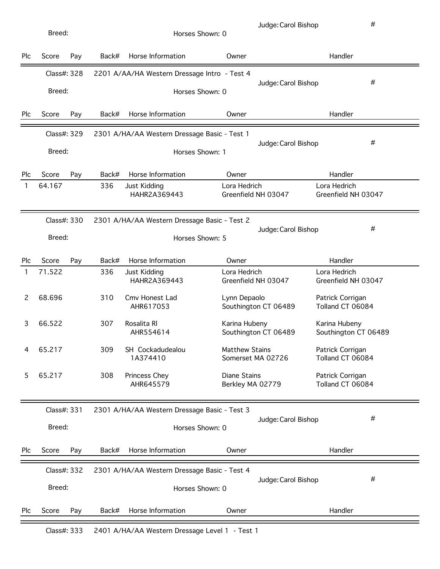| Plc | Score                 | Pay | Back# | Horse Information                            | Owner                                      | Handler                               |
|-----|-----------------------|-----|-------|----------------------------------------------|--------------------------------------------|---------------------------------------|
|     | Class#: 328           |     |       | 2201 A/AA/HA Western Dressage Intro - Test 4 |                                            |                                       |
|     | Breed:                |     |       |                                              | Horses Shown: 0                            | #<br>Judge: Carol Bishop              |
| Plc | Score                 | Pay | Back# | Horse Information                            | Owner                                      | Handler                               |
|     | Class#: 329           |     |       | 2301 A/HA/AA Western Dressage Basic - Test 1 |                                            |                                       |
|     | Breed:                |     |       |                                              | Horses Shown: 1                            | #<br>Judge: Carol Bishop              |
| Plc | Score                 | Pay | Back# | Horse Information                            | Owner                                      | Handler                               |
| 1   | 64.167                |     | 336   | Just Kidding<br>HAHR2A369443                 | Lora Hedrich<br>Greenfield NH 03047        | Lora Hedrich<br>Greenfield NH 03047   |
|     | Class#: 330           |     |       | 2301 A/HA/AA Western Dressage Basic - Test 2 |                                            |                                       |
|     | Breed:                |     |       |                                              | Horses Shown: 5                            | #<br>Judge: Carol Bishop              |
| Plc | Score                 | Pay | Back# | Horse Information                            | Owner                                      | Handler                               |
| 1   | 71.522                |     | 336   | Just Kidding<br>HAHR2A369443                 | Lora Hedrich<br>Greenfield NH 03047        | Lora Hedrich<br>Greenfield NH 03047   |
| 2   | 68.696                |     | 310   | Cmv Honest Lad<br>AHR617053                  | Lynn Depaolo<br>Southington CT 06489       | Patrick Corrigan<br>Tolland CT 06084  |
| 3   | 66.522                |     | 307   | Rosalita RI<br>AHR554614                     | Karina Hubeny<br>Southington CT 06489      | Karina Hubeny<br>Southington CT 06489 |
| 4   | 65.217                |     | 309   | SH Cockadudealou<br>1A374410                 | <b>Matthew Stains</b><br>Somerset MA 02726 | Patrick Corrigan<br>Tolland CT 06084  |
| 5   | 65.217                |     | 308   | Princess Chey<br>AHR645579                   | <b>Diane Stains</b><br>Berkley MA 02779    | Patrick Corrigan<br>Tolland CT 06084  |
|     | Class#: 331           |     |       | 2301 A/HA/AA Western Dressage Basic - Test 3 |                                            |                                       |
|     | Breed:                |     |       |                                              | Horses Shown: 0                            | #<br>Judge: Carol Bishop              |
| Plc | Score                 | Pay | Back# | Horse Information                            | Owner                                      | Handler                               |
|     | Class#: 332<br>Breed: |     |       | 2301 A/HA/AA Western Dressage Basic - Test 4 | Horses Shown: 0                            | #<br>Judge: Carol Bishop              |
| Plc | Score                 | Pay | Back# | Horse Information                            | Owner                                      | Handler                               |

Class#: 333 2401 A/HA/AA Western Dressage Level 1 - Test 1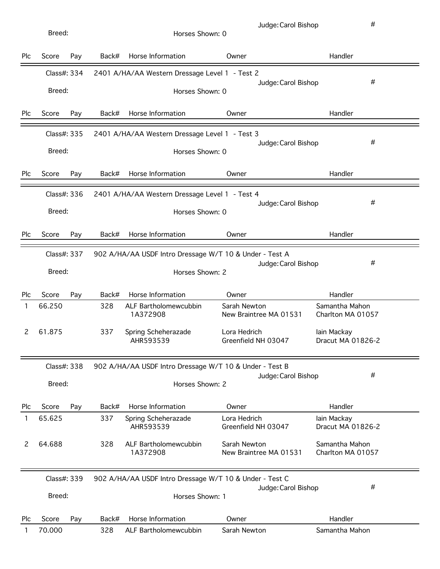| Breed:                |                       |     | Horses Shown: 0 |                                                                            | Judge: Carol Bishop                    | #                                   |   |
|-----------------------|-----------------------|-----|-----------------|----------------------------------------------------------------------------|----------------------------------------|-------------------------------------|---|
| Plc                   | Score                 | Pay | Back#           | Horse Information                                                          | Owner                                  | Handler                             |   |
|                       | Class#: 334<br>Breed: |     |                 | 2401 A/HA/AA Western Dressage Level 1 - Test 2<br>Horses Shown: 0          |                                        | Judge: Carol Bishop                 | # |
| Plc                   | Score                 | Pay | Back#           | Horse Information                                                          | Owner                                  | Handler                             |   |
|                       | Class#: 335<br>Breed: |     |                 | 2401 A/HA/AA Western Dressage Level 1 - Test 3<br>Horses Shown: 0          |                                        | Judge: Carol Bishop                 | # |
| Plc                   | Score                 | Pay | Back#           | Horse Information                                                          | Owner                                  | Handler                             |   |
|                       | Class#: 336<br>Breed: |     |                 | 2401 A/HA/AA Western Dressage Level 1 - Test 4<br>Horses Shown: 0          | Judge: Carol Bishop                    | #                                   |   |
| Plc                   | Score                 | Pay | Back#           | Horse Information                                                          | Owner                                  | Handler                             |   |
| Class#: 337<br>Breed: |                       |     |                 |                                                                            |                                        |                                     |   |
|                       |                       |     |                 | 902 A/HA/AA USDF Intro Dressage W/T 10 & Under - Test A<br>Horses Shown: 2 |                                        | Judge: Carol Bishop                 | # |
| Plc                   | Score                 | Pay | Back#           | Horse Information                                                          | Owner                                  | Handler                             |   |
| $\mathbf{1}$          | 66.250                |     | 328             | ALF Bartholomewcubbin<br>1A372908                                          | Sarah Newton<br>New Braintree MA 01531 | Samantha Mahon<br>Charlton MA 01057 |   |
| 2                     | 61.875                |     | 337             | Spring Scheherazade<br>AHR593539                                           | Lora Hedrich<br>Greenfield NH 03047    | lain Mackay<br>Dracut MA 01826-2    |   |
|                       | Class#: 338           |     |                 | 902 A/HA/AA USDF Intro Dressage W/T 10 & Under - Test B                    |                                        |                                     |   |
|                       | Breed:                |     |                 | Horses Shown: 2                                                            |                                        | Judge: Carol Bishop                 | # |
| Plc                   | Score                 | Pay | Back#           | Horse Information                                                          | Owner                                  | Handler                             |   |

|     |                       |     |       | 1A372908                                                                   | New Braintree MA 01531 |                     | Charlton MA 01057 |  |
|-----|-----------------------|-----|-------|----------------------------------------------------------------------------|------------------------|---------------------|-------------------|--|
|     | Class#: 339<br>Breed: |     |       | 902 A/HA/AA USDF Intro Dressage W/T 10 & Under - Test C<br>Horses Shown: 1 |                        | Judge: Carol Bishop | #                 |  |
| Plc | Score                 | Pay | Back# | Horse Information                                                          | Owner                  |                     | Handler           |  |
|     | 70.000                |     | 328   | ALF Bartholomewcubbin                                                      | Sarah Newton           |                     | Samantha Mahon    |  |

2 64.688 328 ALF Bartholomewcubbin Sarah Newton Samantha Mahon